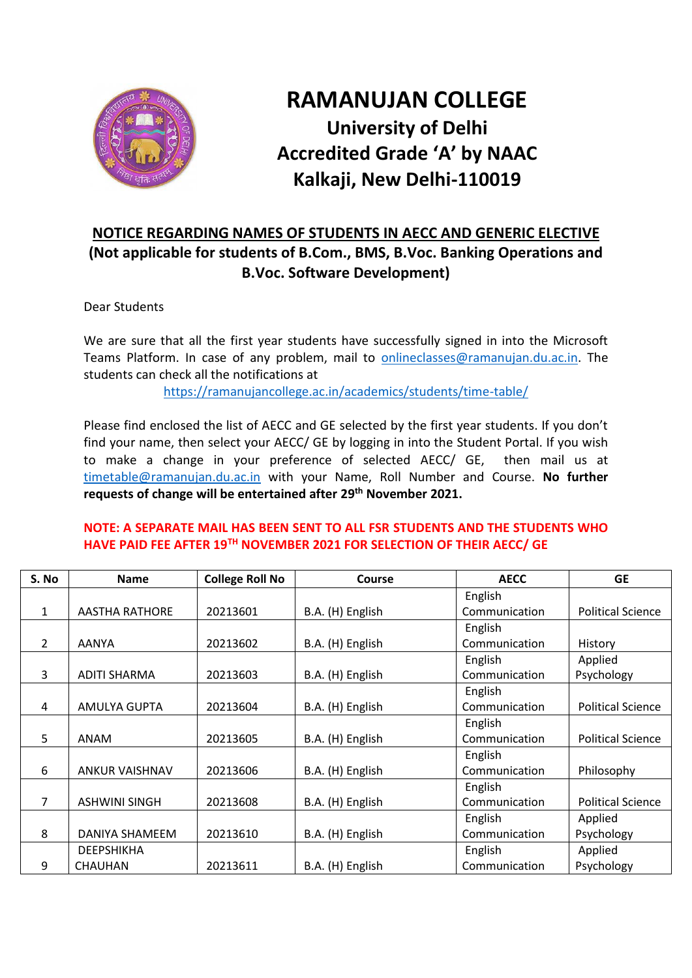

## **RAMANUJAN COLLEGE University of Delhi Accredited Grade 'A' by NAAC Kalkaji, New Delhi-110019**

## **NOTICE REGARDING NAMES OF STUDENTS IN AECC AND GENERIC ELECTIVE (Not applicable for students of B.Com., BMS, B.Voc. Banking Operations and B.Voc. Software Development)**

Dear Students

We are sure that all the first year students have successfully signed in into the Microsoft Teams Platform. In case of any problem, mail to [onlineclasses@ramanujan.du.ac.in.](mailto:onlineclasses@ramanujan.du.ac.in) The students can check all the notifications at

<https://ramanujancollege.ac.in/academics/students/time-table/>

Please find enclosed the list of AECC and GE selected by the first year students. If you don't find your name, then select your AECC/ GE by logging in into the Student Portal. If you wish to make a change in your preference of selected AECC/ GE, then mail us at [timetable@ramanujan.du.ac.in](mailto:timetable@ramanujan.du.ac.in) with your Name, Roll Number and Course. **No further requests of change will be entertained after 29th November 2021.**

## **NOTE: A SEPARATE MAIL HAS BEEN SENT TO ALL FSR STUDENTS AND THE STUDENTS WHO HAVE PAID FEE AFTER 19TH NOVEMBER 2021 FOR SELECTION OF THEIR AECC/ GE**

| S. No        | <b>Name</b>           | <b>College Roll No</b> | <b>Course</b>    | <b>AECC</b>   | <b>GE</b>                |
|--------------|-----------------------|------------------------|------------------|---------------|--------------------------|
|              |                       |                        |                  | English       |                          |
| $\mathbf{1}$ | <b>AASTHA RATHORE</b> | 20213601               | B.A. (H) English | Communication | <b>Political Science</b> |
|              |                       |                        |                  | English       |                          |
| 2            | <b>AANYA</b>          | 20213602               | B.A. (H) English | Communication | History                  |
|              |                       |                        |                  | English       | Applied                  |
| 3            | <b>ADITI SHARMA</b>   | 20213603               | B.A. (H) English | Communication | Psychology               |
|              |                       |                        |                  | English       |                          |
| 4            | AMULYA GUPTA          | 20213604               | B.A. (H) English | Communication | <b>Political Science</b> |
|              |                       |                        |                  | English       |                          |
| 5            | ANAM                  | 20213605               | B.A. (H) English | Communication | <b>Political Science</b> |
|              |                       |                        |                  | English       |                          |
| 6            | <b>ANKUR VAISHNAV</b> | 20213606               | B.A. (H) English | Communication | Philosophy               |
|              |                       |                        |                  | English       |                          |
| 7            | <b>ASHWINI SINGH</b>  | 20213608               | B.A. (H) English | Communication | <b>Political Science</b> |
|              |                       |                        |                  | English       | Applied                  |
| 8            | DANIYA SHAMEEM        | 20213610               | B.A. (H) English | Communication | Psychology               |
|              | <b>DEEPSHIKHA</b>     |                        |                  | English       | Applied                  |
| 9            | CHAUHAN               | 20213611               | B.A. (H) English | Communication | Psychology               |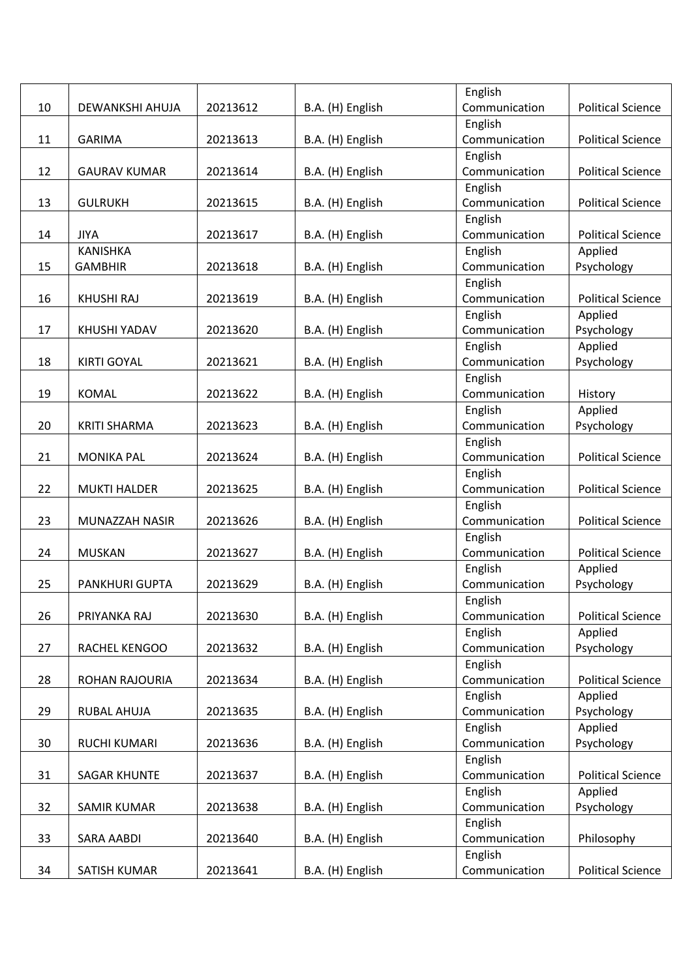|    |                       |          |                  | English                  |                          |
|----|-----------------------|----------|------------------|--------------------------|--------------------------|
| 10 | DEWANKSHI AHUJA       | 20213612 | B.A. (H) English | Communication            | <b>Political Science</b> |
|    |                       |          |                  | English                  |                          |
| 11 | <b>GARIMA</b>         | 20213613 | B.A. (H) English | Communication            | <b>Political Science</b> |
|    |                       |          |                  | English                  |                          |
| 12 | <b>GAURAV KUMAR</b>   | 20213614 | B.A. (H) English | Communication            | <b>Political Science</b> |
|    |                       |          |                  | English                  |                          |
| 13 | <b>GULRUKH</b>        | 20213615 | B.A. (H) English | Communication            | <b>Political Science</b> |
|    |                       |          |                  | English                  |                          |
| 14 | <b>JIYA</b>           | 20213617 | B.A. (H) English | Communication            | <b>Political Science</b> |
|    | <b>KANISHKA</b>       |          |                  | English                  | Applied                  |
| 15 | <b>GAMBHIR</b>        | 20213618 | B.A. (H) English | Communication            | Psychology               |
|    |                       |          |                  | English                  |                          |
| 16 | <b>KHUSHI RAJ</b>     | 20213619 | B.A. (H) English | Communication            | <b>Political Science</b> |
|    |                       |          |                  | English                  | Applied                  |
| 17 | KHUSHI YADAV          | 20213620 | B.A. (H) English | Communication            | Psychology               |
|    |                       |          |                  | English                  | Applied                  |
| 18 | <b>KIRTI GOYAL</b>    | 20213621 | B.A. (H) English | Communication            | Psychology               |
|    |                       |          |                  | English                  |                          |
| 19 | <b>KOMAL</b>          | 20213622 | B.A. (H) English | Communication            | History                  |
|    |                       |          |                  | English                  | Applied                  |
| 20 | <b>KRITI SHARMA</b>   | 20213623 | B.A. (H) English | Communication            | Psychology               |
|    |                       |          |                  | English                  |                          |
| 21 | <b>MONIKA PAL</b>     | 20213624 | B.A. (H) English | Communication            | <b>Political Science</b> |
|    |                       |          |                  | English                  |                          |
| 22 | <b>MUKTI HALDER</b>   | 20213625 | B.A. (H) English | Communication            | <b>Political Science</b> |
|    |                       |          |                  | English                  |                          |
| 23 | MUNAZZAH NASIR        | 20213626 | B.A. (H) English | Communication            | <b>Political Science</b> |
|    |                       |          |                  | English                  |                          |
| 24 | <b>MUSKAN</b>         | 20213627 | B.A. (H) English | Communication            | <b>Political Science</b> |
|    |                       |          |                  | English                  | Applied                  |
| 25 | <b>PANKHURI GUPTA</b> | 20213629 | B.A. (H) English | Communication            | Psychology               |
|    |                       |          |                  | English                  |                          |
| 26 | PRIYANKA RAJ          | 20213630 | B.A. (H) English | Communication            | <b>Political Science</b> |
|    |                       |          |                  | English                  | Applied                  |
| 27 | RACHEL KENGOO         | 20213632 | B.A. (H) English | Communication            | Psychology               |
|    |                       |          |                  | English                  |                          |
| 28 | ROHAN RAJOURIA        | 20213634 |                  | Communication            | <b>Political Science</b> |
|    |                       |          | B.A. (H) English |                          | Applied                  |
| 29 |                       |          |                  | English<br>Communication | Psychology               |
|    | RUBAL AHUJA           | 20213635 | B.A. (H) English |                          |                          |
|    |                       |          |                  | English                  | Applied                  |
| 30 | RUCHI KUMARI          | 20213636 | B.A. (H) English | Communication            | Psychology               |
|    |                       |          |                  | English                  |                          |
| 31 | <b>SAGAR KHUNTE</b>   | 20213637 | B.A. (H) English | Communication            | <b>Political Science</b> |
|    |                       |          |                  | English                  | Applied                  |
| 32 | <b>SAMIR KUMAR</b>    | 20213638 | B.A. (H) English | Communication            | Psychology               |
|    |                       |          |                  | English                  |                          |
| 33 | SARA AABDI            | 20213640 | B.A. (H) English | Communication            | Philosophy               |
|    |                       |          |                  | English                  |                          |
| 34 | SATISH KUMAR          | 20213641 | B.A. (H) English | Communication            | <b>Political Science</b> |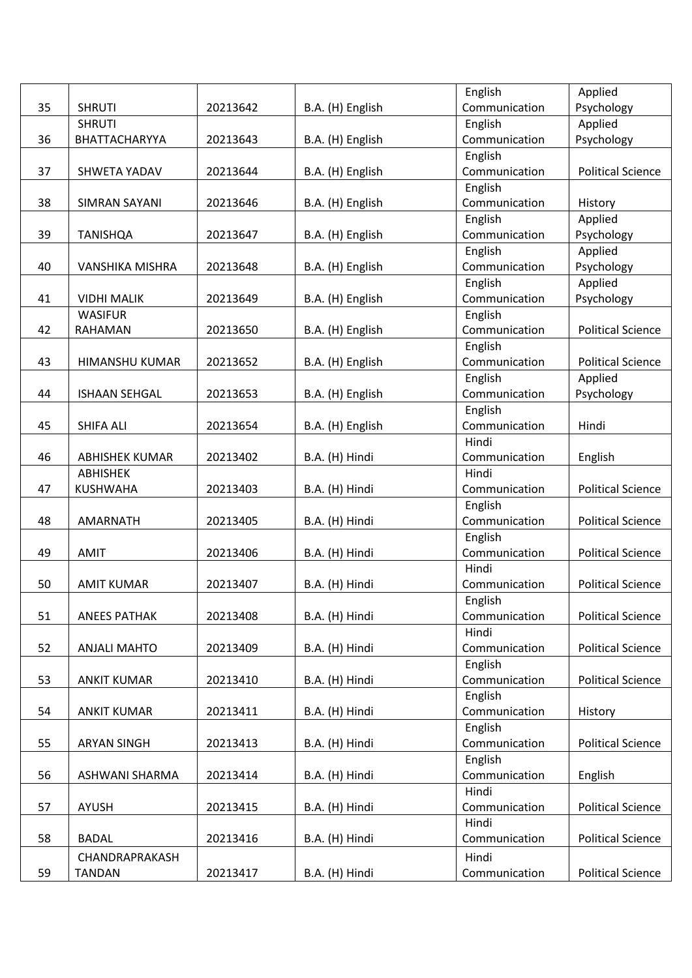| Communication<br>Psychology<br>35<br><b>SHRUTI</b><br>20213642<br>B.A. (H) English<br><b>SHRUTI</b><br>English<br>Applied<br>Psychology<br>36<br>BHATTACHARYYA<br>20213643<br>B.A. (H) English<br>Communication<br>English<br><b>Political Science</b><br>20213644<br>Communication<br>37<br>SHWETA YADAV<br>B.A. (H) English<br>English<br>38<br>Communication<br><b>SIMRAN SAYANI</b><br>20213646<br>B.A. (H) English<br>History<br>English<br>Applied<br>Communication<br>Psychology<br>39<br><b>TANISHQA</b><br>20213647<br>B.A. (H) English<br>English<br>Applied<br>Communication<br>Psychology<br>40<br><b>VANSHIKA MISHRA</b><br>20213648<br>B.A. (H) English<br>Applied<br>English<br>Communication<br>Psychology<br><b>VIDHI MALIK</b><br>B.A. (H) English<br>41<br>20213649<br><b>WASIFUR</b><br>English<br>Communication<br><b>RAHAMAN</b><br><b>Political Science</b><br>42<br>20213650<br>B.A. (H) English<br>English<br><b>Political Science</b><br>20213652<br>Communication<br>43<br>HIMANSHU KUMAR<br>B.A. (H) English<br>English<br>Applied<br><b>ISHAAN SEHGAL</b><br>20213653<br>Communication<br>Psychology<br>44<br>B.A. (H) English<br>English<br>45<br>Communication<br><b>SHIFA ALI</b><br>20213654<br>B.A. (H) English<br>Hindi<br>Hindi<br>B.A. (H) Hindi<br>Communication<br>46<br><b>ABHISHEK KUMAR</b><br>20213402<br>English<br>Hindi<br><b>ABHISHEK</b><br><b>KUSHWAHA</b><br>20213403<br><b>Political Science</b><br>47<br>B.A. (H) Hindi<br>Communication<br>English<br>Communication<br><b>Political Science</b><br>48<br><b>AMARNATH</b><br>20213405<br>B.A. (H) Hindi<br>English<br><b>AMIT</b><br>Communication<br><b>Political Science</b><br>49<br>20213406<br>B.A. (H) Hindi<br>Hindi<br><b>Political Science</b><br>50<br><b>AMIT KUMAR</b><br>20213407<br>B.A. (H) Hindi<br>Communication<br>English<br>51<br>20213408<br>B.A. (H) Hindi<br>Communication<br><b>Political Science</b><br><b>ANEES PATHAK</b><br>Hindi<br>52<br>20213409<br>Communication<br><b>Political Science</b><br><b>ANJALI MAHTO</b><br>B.A. (H) Hindi<br>English<br><b>Political Science</b><br>53<br>20213410<br>B.A. (H) Hindi<br>Communication<br><b>ANKIT KUMAR</b><br>English<br>54<br>20213411<br>B.A. (H) Hindi<br>Communication<br><b>ANKIT KUMAR</b><br>History<br>English<br>Communication<br>55<br><b>Political Science</b><br><b>ARYAN SINGH</b><br>20213413<br>B.A. (H) Hindi<br>English<br>Communication<br>English<br>56<br>ASHWANI SHARMA<br>20213414<br>B.A. (H) Hindi<br>Hindi<br><b>Political Science</b><br>57<br><b>AYUSH</b><br>20213415<br>B.A. (H) Hindi<br>Communication<br>Hindi<br>58<br>20213416<br>Communication<br><b>Political Science</b><br><b>BADAL</b><br>B.A. (H) Hindi<br>CHANDRAPRAKASH<br>Hindi |    |               |          |                | English       | Applied                  |
|------------------------------------------------------------------------------------------------------------------------------------------------------------------------------------------------------------------------------------------------------------------------------------------------------------------------------------------------------------------------------------------------------------------------------------------------------------------------------------------------------------------------------------------------------------------------------------------------------------------------------------------------------------------------------------------------------------------------------------------------------------------------------------------------------------------------------------------------------------------------------------------------------------------------------------------------------------------------------------------------------------------------------------------------------------------------------------------------------------------------------------------------------------------------------------------------------------------------------------------------------------------------------------------------------------------------------------------------------------------------------------------------------------------------------------------------------------------------------------------------------------------------------------------------------------------------------------------------------------------------------------------------------------------------------------------------------------------------------------------------------------------------------------------------------------------------------------------------------------------------------------------------------------------------------------------------------------------------------------------------------------------------------------------------------------------------------------------------------------------------------------------------------------------------------------------------------------------------------------------------------------------------------------------------------------------------------------------------------------------------------------------------------------------------------------------------------------------------------------------------------------------------------------------------------------------------------------------------------------------------------------------------------------------------------------------------------------------------------------------------------------|----|---------------|----------|----------------|---------------|--------------------------|
|                                                                                                                                                                                                                                                                                                                                                                                                                                                                                                                                                                                                                                                                                                                                                                                                                                                                                                                                                                                                                                                                                                                                                                                                                                                                                                                                                                                                                                                                                                                                                                                                                                                                                                                                                                                                                                                                                                                                                                                                                                                                                                                                                                                                                                                                                                                                                                                                                                                                                                                                                                                                                                                                                                                                                            |    |               |          |                |               |                          |
|                                                                                                                                                                                                                                                                                                                                                                                                                                                                                                                                                                                                                                                                                                                                                                                                                                                                                                                                                                                                                                                                                                                                                                                                                                                                                                                                                                                                                                                                                                                                                                                                                                                                                                                                                                                                                                                                                                                                                                                                                                                                                                                                                                                                                                                                                                                                                                                                                                                                                                                                                                                                                                                                                                                                                            |    |               |          |                |               |                          |
|                                                                                                                                                                                                                                                                                                                                                                                                                                                                                                                                                                                                                                                                                                                                                                                                                                                                                                                                                                                                                                                                                                                                                                                                                                                                                                                                                                                                                                                                                                                                                                                                                                                                                                                                                                                                                                                                                                                                                                                                                                                                                                                                                                                                                                                                                                                                                                                                                                                                                                                                                                                                                                                                                                                                                            |    |               |          |                |               |                          |
|                                                                                                                                                                                                                                                                                                                                                                                                                                                                                                                                                                                                                                                                                                                                                                                                                                                                                                                                                                                                                                                                                                                                                                                                                                                                                                                                                                                                                                                                                                                                                                                                                                                                                                                                                                                                                                                                                                                                                                                                                                                                                                                                                                                                                                                                                                                                                                                                                                                                                                                                                                                                                                                                                                                                                            |    |               |          |                |               |                          |
|                                                                                                                                                                                                                                                                                                                                                                                                                                                                                                                                                                                                                                                                                                                                                                                                                                                                                                                                                                                                                                                                                                                                                                                                                                                                                                                                                                                                                                                                                                                                                                                                                                                                                                                                                                                                                                                                                                                                                                                                                                                                                                                                                                                                                                                                                                                                                                                                                                                                                                                                                                                                                                                                                                                                                            |    |               |          |                |               |                          |
|                                                                                                                                                                                                                                                                                                                                                                                                                                                                                                                                                                                                                                                                                                                                                                                                                                                                                                                                                                                                                                                                                                                                                                                                                                                                                                                                                                                                                                                                                                                                                                                                                                                                                                                                                                                                                                                                                                                                                                                                                                                                                                                                                                                                                                                                                                                                                                                                                                                                                                                                                                                                                                                                                                                                                            |    |               |          |                |               |                          |
|                                                                                                                                                                                                                                                                                                                                                                                                                                                                                                                                                                                                                                                                                                                                                                                                                                                                                                                                                                                                                                                                                                                                                                                                                                                                                                                                                                                                                                                                                                                                                                                                                                                                                                                                                                                                                                                                                                                                                                                                                                                                                                                                                                                                                                                                                                                                                                                                                                                                                                                                                                                                                                                                                                                                                            |    |               |          |                |               |                          |
|                                                                                                                                                                                                                                                                                                                                                                                                                                                                                                                                                                                                                                                                                                                                                                                                                                                                                                                                                                                                                                                                                                                                                                                                                                                                                                                                                                                                                                                                                                                                                                                                                                                                                                                                                                                                                                                                                                                                                                                                                                                                                                                                                                                                                                                                                                                                                                                                                                                                                                                                                                                                                                                                                                                                                            |    |               |          |                |               |                          |
|                                                                                                                                                                                                                                                                                                                                                                                                                                                                                                                                                                                                                                                                                                                                                                                                                                                                                                                                                                                                                                                                                                                                                                                                                                                                                                                                                                                                                                                                                                                                                                                                                                                                                                                                                                                                                                                                                                                                                                                                                                                                                                                                                                                                                                                                                                                                                                                                                                                                                                                                                                                                                                                                                                                                                            |    |               |          |                |               |                          |
|                                                                                                                                                                                                                                                                                                                                                                                                                                                                                                                                                                                                                                                                                                                                                                                                                                                                                                                                                                                                                                                                                                                                                                                                                                                                                                                                                                                                                                                                                                                                                                                                                                                                                                                                                                                                                                                                                                                                                                                                                                                                                                                                                                                                                                                                                                                                                                                                                                                                                                                                                                                                                                                                                                                                                            |    |               |          |                |               |                          |
|                                                                                                                                                                                                                                                                                                                                                                                                                                                                                                                                                                                                                                                                                                                                                                                                                                                                                                                                                                                                                                                                                                                                                                                                                                                                                                                                                                                                                                                                                                                                                                                                                                                                                                                                                                                                                                                                                                                                                                                                                                                                                                                                                                                                                                                                                                                                                                                                                                                                                                                                                                                                                                                                                                                                                            |    |               |          |                |               |                          |
|                                                                                                                                                                                                                                                                                                                                                                                                                                                                                                                                                                                                                                                                                                                                                                                                                                                                                                                                                                                                                                                                                                                                                                                                                                                                                                                                                                                                                                                                                                                                                                                                                                                                                                                                                                                                                                                                                                                                                                                                                                                                                                                                                                                                                                                                                                                                                                                                                                                                                                                                                                                                                                                                                                                                                            |    |               |          |                |               |                          |
|                                                                                                                                                                                                                                                                                                                                                                                                                                                                                                                                                                                                                                                                                                                                                                                                                                                                                                                                                                                                                                                                                                                                                                                                                                                                                                                                                                                                                                                                                                                                                                                                                                                                                                                                                                                                                                                                                                                                                                                                                                                                                                                                                                                                                                                                                                                                                                                                                                                                                                                                                                                                                                                                                                                                                            |    |               |          |                |               |                          |
|                                                                                                                                                                                                                                                                                                                                                                                                                                                                                                                                                                                                                                                                                                                                                                                                                                                                                                                                                                                                                                                                                                                                                                                                                                                                                                                                                                                                                                                                                                                                                                                                                                                                                                                                                                                                                                                                                                                                                                                                                                                                                                                                                                                                                                                                                                                                                                                                                                                                                                                                                                                                                                                                                                                                                            |    |               |          |                |               |                          |
|                                                                                                                                                                                                                                                                                                                                                                                                                                                                                                                                                                                                                                                                                                                                                                                                                                                                                                                                                                                                                                                                                                                                                                                                                                                                                                                                                                                                                                                                                                                                                                                                                                                                                                                                                                                                                                                                                                                                                                                                                                                                                                                                                                                                                                                                                                                                                                                                                                                                                                                                                                                                                                                                                                                                                            |    |               |          |                |               |                          |
|                                                                                                                                                                                                                                                                                                                                                                                                                                                                                                                                                                                                                                                                                                                                                                                                                                                                                                                                                                                                                                                                                                                                                                                                                                                                                                                                                                                                                                                                                                                                                                                                                                                                                                                                                                                                                                                                                                                                                                                                                                                                                                                                                                                                                                                                                                                                                                                                                                                                                                                                                                                                                                                                                                                                                            |    |               |          |                |               |                          |
|                                                                                                                                                                                                                                                                                                                                                                                                                                                                                                                                                                                                                                                                                                                                                                                                                                                                                                                                                                                                                                                                                                                                                                                                                                                                                                                                                                                                                                                                                                                                                                                                                                                                                                                                                                                                                                                                                                                                                                                                                                                                                                                                                                                                                                                                                                                                                                                                                                                                                                                                                                                                                                                                                                                                                            |    |               |          |                |               |                          |
|                                                                                                                                                                                                                                                                                                                                                                                                                                                                                                                                                                                                                                                                                                                                                                                                                                                                                                                                                                                                                                                                                                                                                                                                                                                                                                                                                                                                                                                                                                                                                                                                                                                                                                                                                                                                                                                                                                                                                                                                                                                                                                                                                                                                                                                                                                                                                                                                                                                                                                                                                                                                                                                                                                                                                            |    |               |          |                |               |                          |
|                                                                                                                                                                                                                                                                                                                                                                                                                                                                                                                                                                                                                                                                                                                                                                                                                                                                                                                                                                                                                                                                                                                                                                                                                                                                                                                                                                                                                                                                                                                                                                                                                                                                                                                                                                                                                                                                                                                                                                                                                                                                                                                                                                                                                                                                                                                                                                                                                                                                                                                                                                                                                                                                                                                                                            |    |               |          |                |               |                          |
|                                                                                                                                                                                                                                                                                                                                                                                                                                                                                                                                                                                                                                                                                                                                                                                                                                                                                                                                                                                                                                                                                                                                                                                                                                                                                                                                                                                                                                                                                                                                                                                                                                                                                                                                                                                                                                                                                                                                                                                                                                                                                                                                                                                                                                                                                                                                                                                                                                                                                                                                                                                                                                                                                                                                                            |    |               |          |                |               |                          |
|                                                                                                                                                                                                                                                                                                                                                                                                                                                                                                                                                                                                                                                                                                                                                                                                                                                                                                                                                                                                                                                                                                                                                                                                                                                                                                                                                                                                                                                                                                                                                                                                                                                                                                                                                                                                                                                                                                                                                                                                                                                                                                                                                                                                                                                                                                                                                                                                                                                                                                                                                                                                                                                                                                                                                            |    |               |          |                |               |                          |
|                                                                                                                                                                                                                                                                                                                                                                                                                                                                                                                                                                                                                                                                                                                                                                                                                                                                                                                                                                                                                                                                                                                                                                                                                                                                                                                                                                                                                                                                                                                                                                                                                                                                                                                                                                                                                                                                                                                                                                                                                                                                                                                                                                                                                                                                                                                                                                                                                                                                                                                                                                                                                                                                                                                                                            |    |               |          |                |               |                          |
|                                                                                                                                                                                                                                                                                                                                                                                                                                                                                                                                                                                                                                                                                                                                                                                                                                                                                                                                                                                                                                                                                                                                                                                                                                                                                                                                                                                                                                                                                                                                                                                                                                                                                                                                                                                                                                                                                                                                                                                                                                                                                                                                                                                                                                                                                                                                                                                                                                                                                                                                                                                                                                                                                                                                                            |    |               |          |                |               |                          |
|                                                                                                                                                                                                                                                                                                                                                                                                                                                                                                                                                                                                                                                                                                                                                                                                                                                                                                                                                                                                                                                                                                                                                                                                                                                                                                                                                                                                                                                                                                                                                                                                                                                                                                                                                                                                                                                                                                                                                                                                                                                                                                                                                                                                                                                                                                                                                                                                                                                                                                                                                                                                                                                                                                                                                            |    |               |          |                |               |                          |
|                                                                                                                                                                                                                                                                                                                                                                                                                                                                                                                                                                                                                                                                                                                                                                                                                                                                                                                                                                                                                                                                                                                                                                                                                                                                                                                                                                                                                                                                                                                                                                                                                                                                                                                                                                                                                                                                                                                                                                                                                                                                                                                                                                                                                                                                                                                                                                                                                                                                                                                                                                                                                                                                                                                                                            |    |               |          |                |               |                          |
|                                                                                                                                                                                                                                                                                                                                                                                                                                                                                                                                                                                                                                                                                                                                                                                                                                                                                                                                                                                                                                                                                                                                                                                                                                                                                                                                                                                                                                                                                                                                                                                                                                                                                                                                                                                                                                                                                                                                                                                                                                                                                                                                                                                                                                                                                                                                                                                                                                                                                                                                                                                                                                                                                                                                                            |    |               |          |                |               |                          |
|                                                                                                                                                                                                                                                                                                                                                                                                                                                                                                                                                                                                                                                                                                                                                                                                                                                                                                                                                                                                                                                                                                                                                                                                                                                                                                                                                                                                                                                                                                                                                                                                                                                                                                                                                                                                                                                                                                                                                                                                                                                                                                                                                                                                                                                                                                                                                                                                                                                                                                                                                                                                                                                                                                                                                            |    |               |          |                |               |                          |
|                                                                                                                                                                                                                                                                                                                                                                                                                                                                                                                                                                                                                                                                                                                                                                                                                                                                                                                                                                                                                                                                                                                                                                                                                                                                                                                                                                                                                                                                                                                                                                                                                                                                                                                                                                                                                                                                                                                                                                                                                                                                                                                                                                                                                                                                                                                                                                                                                                                                                                                                                                                                                                                                                                                                                            |    |               |          |                |               |                          |
|                                                                                                                                                                                                                                                                                                                                                                                                                                                                                                                                                                                                                                                                                                                                                                                                                                                                                                                                                                                                                                                                                                                                                                                                                                                                                                                                                                                                                                                                                                                                                                                                                                                                                                                                                                                                                                                                                                                                                                                                                                                                                                                                                                                                                                                                                                                                                                                                                                                                                                                                                                                                                                                                                                                                                            |    |               |          |                |               |                          |
|                                                                                                                                                                                                                                                                                                                                                                                                                                                                                                                                                                                                                                                                                                                                                                                                                                                                                                                                                                                                                                                                                                                                                                                                                                                                                                                                                                                                                                                                                                                                                                                                                                                                                                                                                                                                                                                                                                                                                                                                                                                                                                                                                                                                                                                                                                                                                                                                                                                                                                                                                                                                                                                                                                                                                            |    |               |          |                |               |                          |
|                                                                                                                                                                                                                                                                                                                                                                                                                                                                                                                                                                                                                                                                                                                                                                                                                                                                                                                                                                                                                                                                                                                                                                                                                                                                                                                                                                                                                                                                                                                                                                                                                                                                                                                                                                                                                                                                                                                                                                                                                                                                                                                                                                                                                                                                                                                                                                                                                                                                                                                                                                                                                                                                                                                                                            |    |               |          |                |               |                          |
|                                                                                                                                                                                                                                                                                                                                                                                                                                                                                                                                                                                                                                                                                                                                                                                                                                                                                                                                                                                                                                                                                                                                                                                                                                                                                                                                                                                                                                                                                                                                                                                                                                                                                                                                                                                                                                                                                                                                                                                                                                                                                                                                                                                                                                                                                                                                                                                                                                                                                                                                                                                                                                                                                                                                                            |    |               |          |                |               |                          |
|                                                                                                                                                                                                                                                                                                                                                                                                                                                                                                                                                                                                                                                                                                                                                                                                                                                                                                                                                                                                                                                                                                                                                                                                                                                                                                                                                                                                                                                                                                                                                                                                                                                                                                                                                                                                                                                                                                                                                                                                                                                                                                                                                                                                                                                                                                                                                                                                                                                                                                                                                                                                                                                                                                                                                            |    |               |          |                |               |                          |
|                                                                                                                                                                                                                                                                                                                                                                                                                                                                                                                                                                                                                                                                                                                                                                                                                                                                                                                                                                                                                                                                                                                                                                                                                                                                                                                                                                                                                                                                                                                                                                                                                                                                                                                                                                                                                                                                                                                                                                                                                                                                                                                                                                                                                                                                                                                                                                                                                                                                                                                                                                                                                                                                                                                                                            |    |               |          |                |               |                          |
|                                                                                                                                                                                                                                                                                                                                                                                                                                                                                                                                                                                                                                                                                                                                                                                                                                                                                                                                                                                                                                                                                                                                                                                                                                                                                                                                                                                                                                                                                                                                                                                                                                                                                                                                                                                                                                                                                                                                                                                                                                                                                                                                                                                                                                                                                                                                                                                                                                                                                                                                                                                                                                                                                                                                                            |    |               |          |                |               |                          |
|                                                                                                                                                                                                                                                                                                                                                                                                                                                                                                                                                                                                                                                                                                                                                                                                                                                                                                                                                                                                                                                                                                                                                                                                                                                                                                                                                                                                                                                                                                                                                                                                                                                                                                                                                                                                                                                                                                                                                                                                                                                                                                                                                                                                                                                                                                                                                                                                                                                                                                                                                                                                                                                                                                                                                            |    |               |          |                |               |                          |
|                                                                                                                                                                                                                                                                                                                                                                                                                                                                                                                                                                                                                                                                                                                                                                                                                                                                                                                                                                                                                                                                                                                                                                                                                                                                                                                                                                                                                                                                                                                                                                                                                                                                                                                                                                                                                                                                                                                                                                                                                                                                                                                                                                                                                                                                                                                                                                                                                                                                                                                                                                                                                                                                                                                                                            |    |               |          |                |               |                          |
|                                                                                                                                                                                                                                                                                                                                                                                                                                                                                                                                                                                                                                                                                                                                                                                                                                                                                                                                                                                                                                                                                                                                                                                                                                                                                                                                                                                                                                                                                                                                                                                                                                                                                                                                                                                                                                                                                                                                                                                                                                                                                                                                                                                                                                                                                                                                                                                                                                                                                                                                                                                                                                                                                                                                                            |    |               |          |                |               |                          |
|                                                                                                                                                                                                                                                                                                                                                                                                                                                                                                                                                                                                                                                                                                                                                                                                                                                                                                                                                                                                                                                                                                                                                                                                                                                                                                                                                                                                                                                                                                                                                                                                                                                                                                                                                                                                                                                                                                                                                                                                                                                                                                                                                                                                                                                                                                                                                                                                                                                                                                                                                                                                                                                                                                                                                            |    |               |          |                |               |                          |
|                                                                                                                                                                                                                                                                                                                                                                                                                                                                                                                                                                                                                                                                                                                                                                                                                                                                                                                                                                                                                                                                                                                                                                                                                                                                                                                                                                                                                                                                                                                                                                                                                                                                                                                                                                                                                                                                                                                                                                                                                                                                                                                                                                                                                                                                                                                                                                                                                                                                                                                                                                                                                                                                                                                                                            |    |               |          |                |               |                          |
|                                                                                                                                                                                                                                                                                                                                                                                                                                                                                                                                                                                                                                                                                                                                                                                                                                                                                                                                                                                                                                                                                                                                                                                                                                                                                                                                                                                                                                                                                                                                                                                                                                                                                                                                                                                                                                                                                                                                                                                                                                                                                                                                                                                                                                                                                                                                                                                                                                                                                                                                                                                                                                                                                                                                                            |    |               |          |                |               |                          |
|                                                                                                                                                                                                                                                                                                                                                                                                                                                                                                                                                                                                                                                                                                                                                                                                                                                                                                                                                                                                                                                                                                                                                                                                                                                                                                                                                                                                                                                                                                                                                                                                                                                                                                                                                                                                                                                                                                                                                                                                                                                                                                                                                                                                                                                                                                                                                                                                                                                                                                                                                                                                                                                                                                                                                            |    |               |          |                |               |                          |
|                                                                                                                                                                                                                                                                                                                                                                                                                                                                                                                                                                                                                                                                                                                                                                                                                                                                                                                                                                                                                                                                                                                                                                                                                                                                                                                                                                                                                                                                                                                                                                                                                                                                                                                                                                                                                                                                                                                                                                                                                                                                                                                                                                                                                                                                                                                                                                                                                                                                                                                                                                                                                                                                                                                                                            |    |               |          |                |               |                          |
|                                                                                                                                                                                                                                                                                                                                                                                                                                                                                                                                                                                                                                                                                                                                                                                                                                                                                                                                                                                                                                                                                                                                                                                                                                                                                                                                                                                                                                                                                                                                                                                                                                                                                                                                                                                                                                                                                                                                                                                                                                                                                                                                                                                                                                                                                                                                                                                                                                                                                                                                                                                                                                                                                                                                                            |    |               |          |                |               |                          |
|                                                                                                                                                                                                                                                                                                                                                                                                                                                                                                                                                                                                                                                                                                                                                                                                                                                                                                                                                                                                                                                                                                                                                                                                                                                                                                                                                                                                                                                                                                                                                                                                                                                                                                                                                                                                                                                                                                                                                                                                                                                                                                                                                                                                                                                                                                                                                                                                                                                                                                                                                                                                                                                                                                                                                            |    |               |          |                |               |                          |
|                                                                                                                                                                                                                                                                                                                                                                                                                                                                                                                                                                                                                                                                                                                                                                                                                                                                                                                                                                                                                                                                                                                                                                                                                                                                                                                                                                                                                                                                                                                                                                                                                                                                                                                                                                                                                                                                                                                                                                                                                                                                                                                                                                                                                                                                                                                                                                                                                                                                                                                                                                                                                                                                                                                                                            |    |               |          |                |               |                          |
|                                                                                                                                                                                                                                                                                                                                                                                                                                                                                                                                                                                                                                                                                                                                                                                                                                                                                                                                                                                                                                                                                                                                                                                                                                                                                                                                                                                                                                                                                                                                                                                                                                                                                                                                                                                                                                                                                                                                                                                                                                                                                                                                                                                                                                                                                                                                                                                                                                                                                                                                                                                                                                                                                                                                                            |    |               |          |                |               |                          |
|                                                                                                                                                                                                                                                                                                                                                                                                                                                                                                                                                                                                                                                                                                                                                                                                                                                                                                                                                                                                                                                                                                                                                                                                                                                                                                                                                                                                                                                                                                                                                                                                                                                                                                                                                                                                                                                                                                                                                                                                                                                                                                                                                                                                                                                                                                                                                                                                                                                                                                                                                                                                                                                                                                                                                            |    |               |          |                |               |                          |
|                                                                                                                                                                                                                                                                                                                                                                                                                                                                                                                                                                                                                                                                                                                                                                                                                                                                                                                                                                                                                                                                                                                                                                                                                                                                                                                                                                                                                                                                                                                                                                                                                                                                                                                                                                                                                                                                                                                                                                                                                                                                                                                                                                                                                                                                                                                                                                                                                                                                                                                                                                                                                                                                                                                                                            | 59 | <b>TANDAN</b> | 20213417 | B.A. (H) Hindi | Communication | <b>Political Science</b> |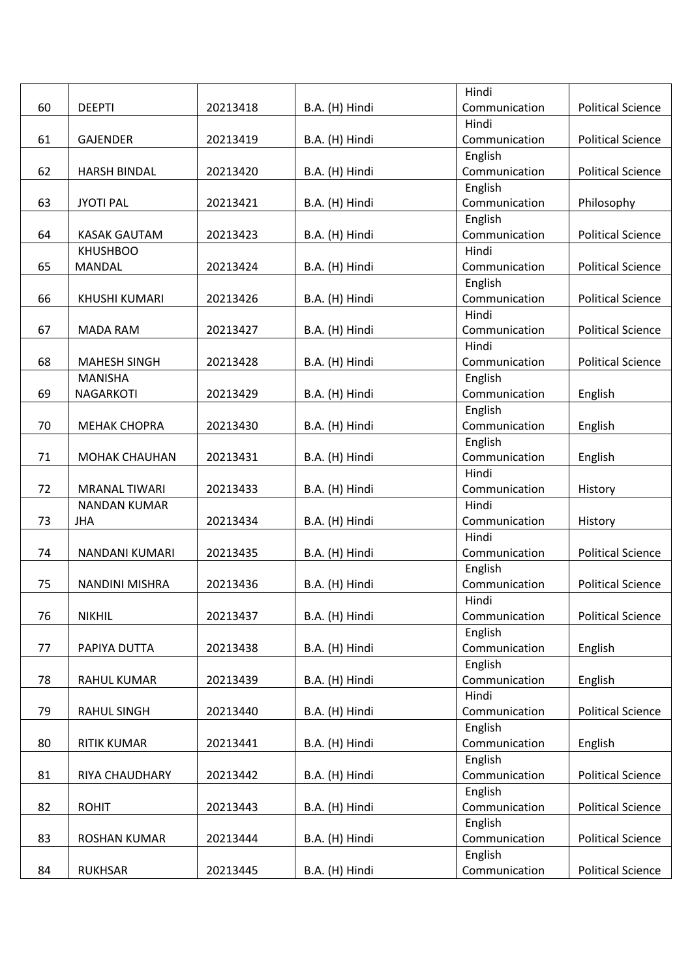|    |                       |          |                | Hindi                    |                          |
|----|-----------------------|----------|----------------|--------------------------|--------------------------|
| 60 | <b>DEEPTI</b>         | 20213418 | B.A. (H) Hindi | Communication            | <b>Political Science</b> |
|    |                       |          |                | Hindi                    |                          |
| 61 | <b>GAJENDER</b>       | 20213419 | B.A. (H) Hindi | Communication            | <b>Political Science</b> |
|    |                       |          |                | English                  |                          |
| 62 | <b>HARSH BINDAL</b>   | 20213420 | B.A. (H) Hindi | Communication            | <b>Political Science</b> |
|    |                       |          |                | English                  |                          |
| 63 | <b>JYOTI PAL</b>      | 20213421 | B.A. (H) Hindi | Communication            | Philosophy               |
|    |                       |          |                | English                  |                          |
| 64 | <b>KASAK GAUTAM</b>   | 20213423 | B.A. (H) Hindi | Communication            | <b>Political Science</b> |
|    | <b>KHUSHBOO</b>       |          |                | Hindi                    |                          |
| 65 | <b>MANDAL</b>         | 20213424 | B.A. (H) Hindi | Communication            | <b>Political Science</b> |
|    |                       |          |                | English                  |                          |
| 66 | <b>KHUSHI KUMARI</b>  | 20213426 | B.A. (H) Hindi | Communication            | <b>Political Science</b> |
|    |                       |          |                | Hindi                    |                          |
| 67 | <b>MADA RAM</b>       | 20213427 | B.A. (H) Hindi | Communication            | <b>Political Science</b> |
|    |                       |          |                | Hindi                    |                          |
| 68 | <b>MAHESH SINGH</b>   | 20213428 | B.A. (H) Hindi | Communication            | <b>Political Science</b> |
|    | <b>MANISHA</b>        |          |                | English                  |                          |
| 69 | <b>NAGARKOTI</b>      | 20213429 | B.A. (H) Hindi | Communication            | English                  |
|    |                       |          |                | English                  |                          |
| 70 | <b>MEHAK CHOPRA</b>   | 20213430 | B.A. (H) Hindi | Communication            | English                  |
|    |                       |          |                | English                  |                          |
| 71 | <b>MOHAK CHAUHAN</b>  | 20213431 | B.A. (H) Hindi | Communication            | English                  |
|    |                       |          |                | Hindi                    |                          |
| 72 | <b>MRANAL TIWARI</b>  | 20213433 | B.A. (H) Hindi | Communication            | History                  |
|    | <b>NANDAN KUMAR</b>   |          |                | Hindi                    |                          |
| 73 | <b>JHA</b>            | 20213434 | B.A. (H) Hindi | Communication            | History                  |
|    |                       |          |                | Hindi                    |                          |
| 74 | NANDANI KUMARI        | 20213435 | B.A. (H) Hindi | Communication            | <b>Political Science</b> |
|    |                       |          |                | English                  |                          |
| 75 | <b>NANDINI MISHRA</b> | 20213436 | B.A. (H) Hindi | Communication            | <b>Political Science</b> |
|    |                       |          |                | Hindi                    |                          |
| 76 | <b>NIKHIL</b>         | 20213437 | B.A. (H) Hindi | Communication            | <b>Political Science</b> |
|    |                       |          |                | English                  |                          |
| 77 | PAPIYA DUTTA          | 20213438 | B.A. (H) Hindi | Communication            | English                  |
|    |                       |          |                | English                  |                          |
| 78 | RAHUL KUMAR           | 20213439 | B.A. (H) Hindi | Communication            | English                  |
|    |                       |          |                | Hindi                    |                          |
| 79 | <b>RAHUL SINGH</b>    | 20213440 | B.A. (H) Hindi | Communication            | <b>Political Science</b> |
|    |                       |          |                | English                  |                          |
| 80 | <b>RITIK KUMAR</b>    | 20213441 | B.A. (H) Hindi | Communication            | English                  |
|    |                       |          |                | English                  |                          |
| 81 | RIYA CHAUDHARY        | 20213442 | B.A. (H) Hindi | Communication            | <b>Political Science</b> |
|    |                       |          |                | English                  |                          |
| 82 | <b>ROHIT</b>          | 20213443 | B.A. (H) Hindi | Communication            | <b>Political Science</b> |
|    |                       |          |                | English                  |                          |
| 83 | ROSHAN KUMAR          | 20213444 | B.A. (H) Hindi | Communication<br>English | <b>Political Science</b> |
| 84 | <b>RUKHSAR</b>        | 20213445 | B.A. (H) Hindi | Communication            | <b>Political Science</b> |
|    |                       |          |                |                          |                          |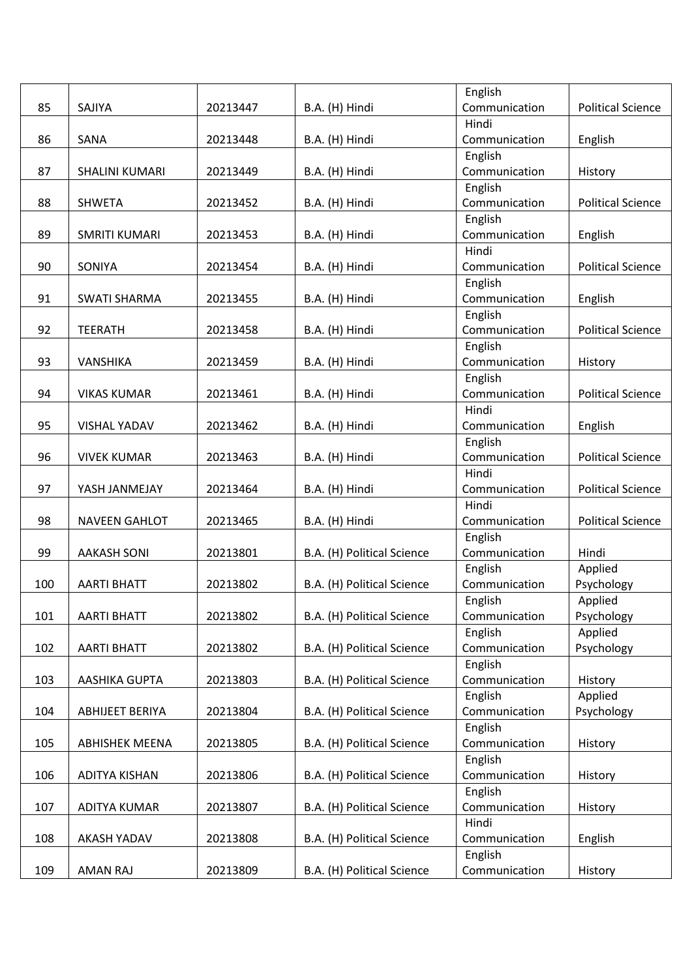|     |                       |          |                            | English                  |                          |
|-----|-----------------------|----------|----------------------------|--------------------------|--------------------------|
| 85  | SAJIYA                | 20213447 | B.A. (H) Hindi             | Communication            | <b>Political Science</b> |
|     |                       |          |                            | Hindi                    |                          |
| 86  | SANA                  | 20213448 | B.A. (H) Hindi             | Communication            | English                  |
|     |                       |          |                            | English                  |                          |
| 87  | SHALINI KUMARI        | 20213449 | B.A. (H) Hindi             | Communication            | History                  |
|     |                       |          |                            | English                  |                          |
| 88  | <b>SHWETA</b>         | 20213452 | B.A. (H) Hindi             | Communication            | <b>Political Science</b> |
|     |                       |          |                            | English                  |                          |
| 89  | <b>SMRITI KUMARI</b>  | 20213453 | B.A. (H) Hindi             | Communication            | English                  |
|     |                       |          |                            | Hindi                    |                          |
| 90  | SONIYA                | 20213454 | B.A. (H) Hindi             | Communication            | <b>Political Science</b> |
|     |                       |          |                            | English                  |                          |
| 91  | <b>SWATI SHARMA</b>   | 20213455 | B.A. (H) Hindi             | Communication            | English                  |
|     |                       |          |                            | English                  |                          |
| 92  | <b>TEERATH</b>        | 20213458 | B.A. (H) Hindi             | Communication            | <b>Political Science</b> |
|     |                       |          |                            | English                  |                          |
| 93  | <b>VANSHIKA</b>       | 20213459 | B.A. (H) Hindi             | Communication            | History                  |
|     |                       |          |                            | English                  |                          |
| 94  | <b>VIKAS KUMAR</b>    | 20213461 | B.A. (H) Hindi             | Communication            | <b>Political Science</b> |
|     |                       |          |                            | Hindi                    |                          |
| 95  | <b>VISHAL YADAV</b>   | 20213462 | B.A. (H) Hindi             | Communication            | English                  |
|     |                       |          |                            | English                  |                          |
| 96  | <b>VIVEK KUMAR</b>    | 20213463 | B.A. (H) Hindi             | Communication            | <b>Political Science</b> |
|     |                       |          |                            | Hindi                    |                          |
| 97  | YASH JANMEJAY         | 20213464 | B.A. (H) Hindi             | Communication            | <b>Political Science</b> |
|     |                       |          |                            | Hindi                    |                          |
| 98  | <b>NAVEEN GAHLOT</b>  | 20213465 | B.A. (H) Hindi             | Communication            | <b>Political Science</b> |
|     |                       |          |                            | English                  |                          |
| 99  | <b>AAKASH SONI</b>    | 20213801 | B.A. (H) Political Science | Communication            | Hindi                    |
|     |                       |          |                            | English                  | Applied                  |
| 100 | <b>AARTI BHATT</b>    | 20213802 | B.A. (H) Political Science | Communication            | Psychology               |
|     | <b>AARTI BHATT</b>    |          |                            | English                  | Applied                  |
| 101 |                       | 20213802 | B.A. (H) Political Science | Communication            | Psychology               |
| 102 | <b>AARTI BHATT</b>    | 20213802 | B.A. (H) Political Science | English<br>Communication | Applied<br>Psychology    |
|     |                       |          |                            | English                  |                          |
| 103 | AASHIKA GUPTA         | 20213803 | B.A. (H) Political Science | Communication            | History                  |
|     |                       |          |                            | English                  | Applied                  |
| 104 | ABHIJEET BERIYA       | 20213804 | B.A. (H) Political Science | Communication            | Psychology               |
|     |                       |          |                            | English                  |                          |
| 105 | <b>ABHISHEK MEENA</b> | 20213805 | B.A. (H) Political Science | Communication            | History                  |
|     |                       |          |                            | English                  |                          |
| 106 | <b>ADITYA KISHAN</b>  | 20213806 | B.A. (H) Political Science | Communication            | History                  |
|     |                       |          |                            | English                  |                          |
| 107 | <b>ADITYA KUMAR</b>   | 20213807 | B.A. (H) Political Science | Communication            | History                  |
|     |                       |          |                            | Hindi                    |                          |
| 108 | AKASH YADAV           | 20213808 | B.A. (H) Political Science | Communication            | English                  |
|     |                       |          |                            | English                  |                          |
| 109 | AMAN RAJ              | 20213809 | B.A. (H) Political Science | Communication            | History                  |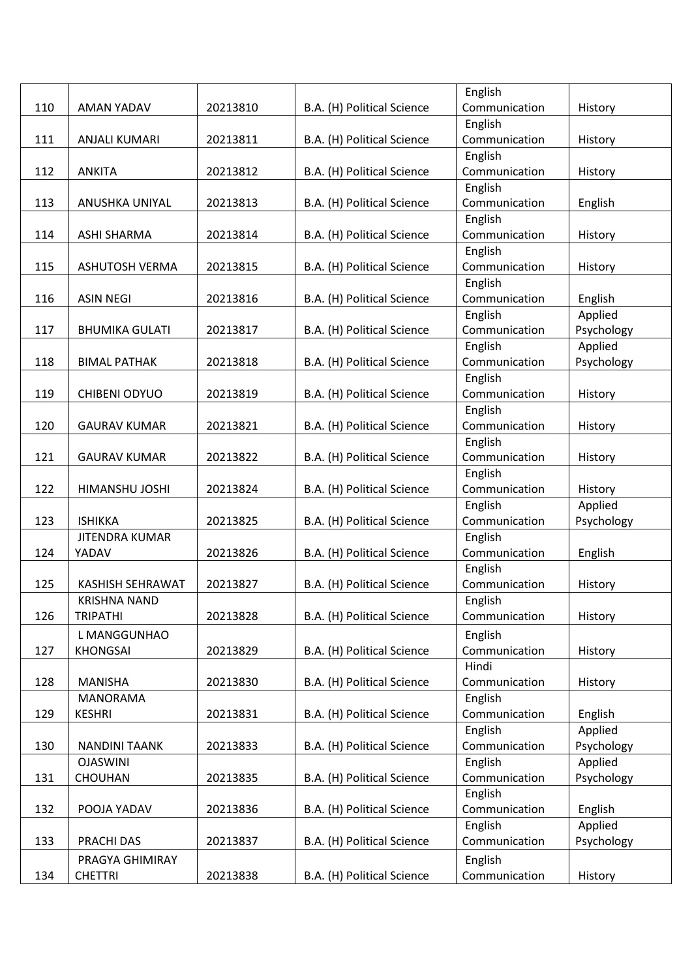|     |                                  |          |                            | English                  |                    |
|-----|----------------------------------|----------|----------------------------|--------------------------|--------------------|
| 110 | AMAN YADAV                       | 20213810 | B.A. (H) Political Science | Communication            | History            |
|     |                                  |          |                            | English                  |                    |
| 111 | <b>ANJALI KUMARI</b>             | 20213811 | B.A. (H) Political Science | Communication            | History            |
|     |                                  |          |                            | English                  |                    |
| 112 | <b>ANKITA</b>                    | 20213812 | B.A. (H) Political Science | Communication            | History            |
|     |                                  |          |                            | English                  |                    |
| 113 | <b>ANUSHKA UNIYAL</b>            | 20213813 | B.A. (H) Political Science | Communication            | English            |
|     |                                  |          |                            | English                  |                    |
| 114 | <b>ASHI SHARMA</b>               | 20213814 | B.A. (H) Political Science | Communication            | History            |
|     |                                  |          |                            | English                  |                    |
| 115 | <b>ASHUTOSH VERMA</b>            | 20213815 | B.A. (H) Political Science | Communication            | History            |
|     |                                  |          |                            | English                  |                    |
| 116 | <b>ASIN NEGI</b>                 | 20213816 | B.A. (H) Political Science | Communication            | English            |
|     |                                  |          |                            | English                  | Applied            |
| 117 | <b>BHUMIKA GULATI</b>            | 20213817 | B.A. (H) Political Science | Communication            | Psychology         |
|     |                                  |          |                            | English                  | Applied            |
| 118 | <b>BIMAL PATHAK</b>              | 20213818 | B.A. (H) Political Science | Communication            | Psychology         |
|     |                                  |          |                            | English                  |                    |
| 119 | CHIBENI ODYUO                    | 20213819 | B.A. (H) Political Science | Communication            | History            |
|     |                                  |          |                            | English                  |                    |
| 120 | <b>GAURAV KUMAR</b>              | 20213821 | B.A. (H) Political Science | Communication            | History            |
|     |                                  |          |                            | English                  |                    |
| 121 | <b>GAURAV KUMAR</b>              | 20213822 | B.A. (H) Political Science | Communication            | History            |
|     |                                  |          |                            | English                  |                    |
| 122 | HIMANSHU JOSHI                   | 20213824 | B.A. (H) Political Science | Communication            | History            |
|     |                                  |          |                            | English                  | Applied            |
| 123 | <b>ISHIKKA</b>                   | 20213825 | B.A. (H) Political Science | Communication            | Psychology         |
|     | <b>JITENDRA KUMAR</b>            |          |                            | English                  |                    |
| 124 | YADAV                            | 20213826 | B.A. (H) Political Science | Communication            | English            |
|     |                                  |          |                            | English                  |                    |
| 125 | <b>KASHISH SEHRAWAT</b>          | 20213827 | B.A. (H) Political Science | Communication            | History            |
|     | <b>KRISHNA NAND</b>              |          |                            | English                  |                    |
| 126 | <b>TRIPATHI</b>                  | 20213828 | B.A. (H) Political Science | Communication            | History            |
|     | L MANGGUNHAO                     |          |                            | English                  |                    |
| 127 | <b>KHONGSAI</b>                  | 20213829 | B.A. (H) Political Science | Communication            | History            |
|     |                                  |          |                            | Hindi                    |                    |
| 128 | <b>MANISHA</b>                   | 20213830 | B.A. (H) Political Science | Communication            | History            |
|     | <b>MANORAMA</b><br><b>KESHRI</b> |          |                            | English<br>Communication |                    |
| 129 |                                  | 20213831 | B.A. (H) Political Science | English                  | English<br>Applied |
| 130 | <b>NANDINI TAANK</b>             | 20213833 | B.A. (H) Political Science | Communication            | Psychology         |
|     | <b>OJASWINI</b>                  |          |                            | English                  | Applied            |
| 131 | CHOUHAN                          | 20213835 | B.A. (H) Political Science | Communication            | Psychology         |
|     |                                  |          |                            | English                  |                    |
| 132 | POOJA YADAV                      | 20213836 | B.A. (H) Political Science | Communication            | English            |
|     |                                  |          |                            | English                  | Applied            |
| 133 | PRACHI DAS                       | 20213837 | B.A. (H) Political Science | Communication            | Psychology         |
|     | PRAGYA GHIMIRAY                  |          |                            | English                  |                    |
| 134 | <b>CHETTRI</b>                   | 20213838 | B.A. (H) Political Science | Communication            | History            |
|     |                                  |          |                            |                          |                    |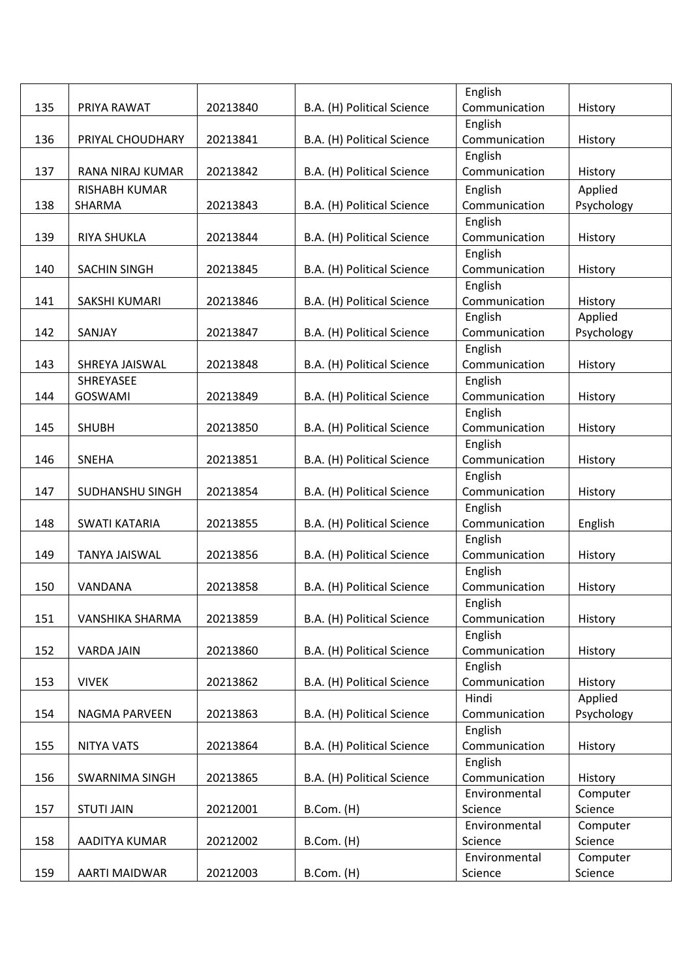|     |                         |          |                            | English                  |            |
|-----|-------------------------|----------|----------------------------|--------------------------|------------|
| 135 | PRIYA RAWAT             | 20213840 | B.A. (H) Political Science | Communication            | History    |
|     |                         |          |                            | English                  |            |
| 136 | PRIYAL CHOUDHARY        | 20213841 | B.A. (H) Political Science | Communication            | History    |
|     |                         |          |                            | English                  |            |
| 137 | <b>RANA NIRAJ KUMAR</b> | 20213842 | B.A. (H) Political Science | Communication            | History    |
|     | <b>RISHABH KUMAR</b>    |          |                            | English                  | Applied    |
| 138 | SHARMA                  | 20213843 | B.A. (H) Political Science | Communication            | Psychology |
|     |                         |          |                            | English                  |            |
| 139 | <b>RIYA SHUKLA</b>      | 20213844 | B.A. (H) Political Science | Communication            | History    |
|     |                         |          |                            | English                  |            |
| 140 | SACHIN SINGH            | 20213845 | B.A. (H) Political Science | Communication            | History    |
|     |                         |          |                            | English                  |            |
| 141 | SAKSHI KUMARI           | 20213846 | B.A. (H) Political Science | Communication            | History    |
|     |                         |          |                            | English                  | Applied    |
| 142 | SANJAY                  | 20213847 | B.A. (H) Political Science | Communication            | Psychology |
|     |                         |          |                            | English                  |            |
| 143 | SHREYA JAISWAL          | 20213848 | B.A. (H) Political Science | Communication            | History    |
|     | SHREYASEE               |          |                            | English                  |            |
| 144 | <b>GOSWAMI</b>          | 20213849 | B.A. (H) Political Science | Communication            | History    |
|     |                         |          |                            | English                  |            |
| 145 | <b>SHUBH</b>            | 20213850 | B.A. (H) Political Science | Communication            | History    |
|     |                         |          |                            | English                  |            |
| 146 | <b>SNEHA</b>            | 20213851 | B.A. (H) Political Science | Communication            | History    |
|     |                         |          |                            | English                  |            |
| 147 | SUDHANSHU SINGH         | 20213854 | B.A. (H) Political Science | Communication            | History    |
| 148 | <b>SWATI KATARIA</b>    | 20213855 |                            | English<br>Communication |            |
|     |                         |          | B.A. (H) Political Science | English                  | English    |
| 149 | <b>TANYA JAISWAL</b>    | 20213856 | B.A. (H) Political Science | Communication            | History    |
|     |                         |          |                            | English                  |            |
| 150 | VANDANA                 | 20213858 | B.A. (H) Political Science | Communication            | History    |
|     |                         |          |                            | English                  |            |
| 151 | VANSHIKA SHARMA         | 20213859 | B.A. (H) Political Science | Communication            | History    |
|     |                         |          |                            | English                  |            |
| 152 | <b>VARDA JAIN</b>       | 20213860 | B.A. (H) Political Science | Communication            | History    |
|     |                         |          |                            | English                  |            |
| 153 | <b>VIVEK</b>            | 20213862 | B.A. (H) Political Science | Communication            | History    |
|     |                         |          |                            | Hindi                    | Applied    |
| 154 | NAGMA PARVEEN           | 20213863 | B.A. (H) Political Science | Communication            | Psychology |
|     |                         |          |                            | English                  |            |
| 155 | <b>NITYA VATS</b>       | 20213864 | B.A. (H) Political Science | Communication            | History    |
|     |                         |          |                            | English                  |            |
| 156 | SWARNIMA SINGH          | 20213865 | B.A. (H) Political Science | Communication            | History    |
|     |                         |          |                            | Environmental            | Computer   |
| 157 | <b>STUTI JAIN</b>       | 20212001 | B.Com. (H)                 | Science                  | Science    |
|     |                         |          |                            | Environmental            | Computer   |
| 158 | AADITYA KUMAR           | 20212002 | B.Com. (H)                 | Science                  | Science    |
|     |                         |          |                            | Environmental            | Computer   |
| 159 | AARTI MAIDWAR           | 20212003 | B.Com. (H)                 | Science                  | Science    |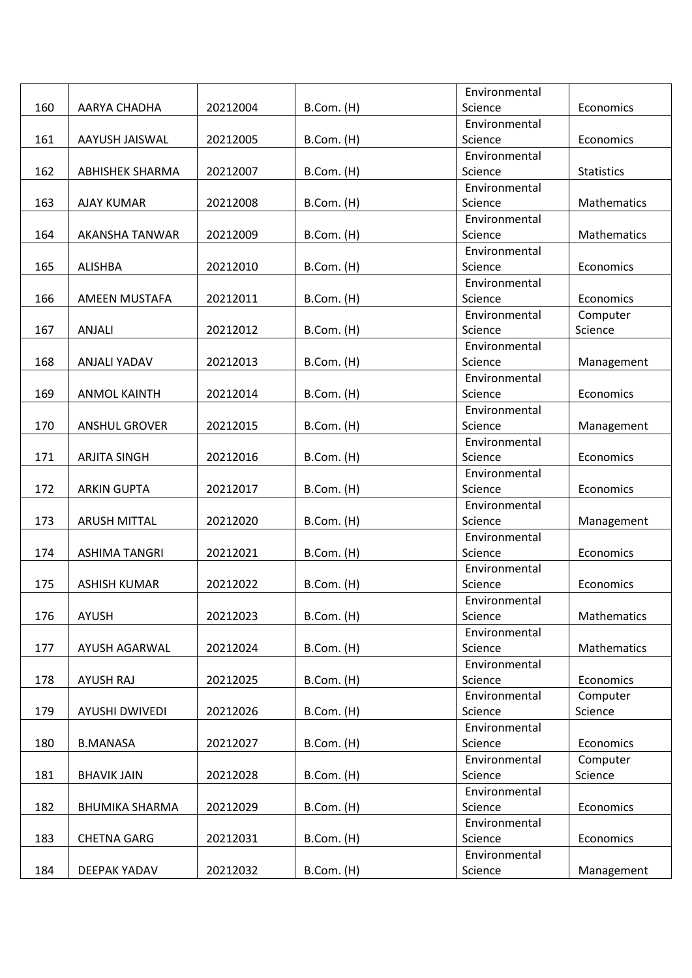|     |                        |          |            | Environmental |                   |
|-----|------------------------|----------|------------|---------------|-------------------|
| 160 | AARYA CHADHA           | 20212004 | B.Com. (H) | Science       | Economics         |
|     |                        |          |            | Environmental |                   |
| 161 | AAYUSH JAISWAL         | 20212005 | B.Com. (H) | Science       | Economics         |
|     |                        |          |            | Environmental |                   |
| 162 | <b>ABHISHEK SHARMA</b> | 20212007 | B.Com. (H) | Science       | <b>Statistics</b> |
|     |                        |          |            | Environmental |                   |
| 163 | <b>AJAY KUMAR</b>      | 20212008 | B.Com. (H) | Science       | Mathematics       |
|     |                        |          |            | Environmental |                   |
| 164 | AKANSHA TANWAR         | 20212009 | B.Com. (H) | Science       | Mathematics       |
|     |                        |          |            | Environmental |                   |
| 165 | <b>ALISHBA</b>         | 20212010 | B.Com. (H) | Science       | Economics         |
|     |                        |          |            | Environmental |                   |
| 166 | AMEEN MUSTAFA          | 20212011 | B.Com. (H) | Science       | Economics         |
|     |                        |          |            | Environmental | Computer          |
| 167 | <b>ANJALI</b>          | 20212012 | B.Com. (H) | Science       | Science           |
|     |                        |          |            | Environmental |                   |
| 168 | ANJALI YADAV           | 20212013 | B.Com. (H) | Science       | Management        |
|     |                        |          |            | Environmental |                   |
| 169 | <b>ANMOL KAINTH</b>    | 20212014 | B.Com. (H) | Science       | Economics         |
|     |                        |          |            | Environmental |                   |
| 170 | <b>ANSHUL GROVER</b>   | 20212015 | B.Com. (H) | Science       | Management        |
|     |                        |          |            | Environmental |                   |
| 171 | <b>ARJITA SINGH</b>    | 20212016 | B.Com. (H) | Science       | Economics         |
|     |                        |          |            | Environmental |                   |
| 172 | <b>ARKIN GUPTA</b>     | 20212017 | B.Com. (H) | Science       | Economics         |
|     |                        |          |            | Environmental |                   |
| 173 | <b>ARUSH MITTAL</b>    | 20212020 | B.Com. (H) | Science       | Management        |
|     |                        |          |            | Environmental |                   |
| 174 | <b>ASHIMA TANGRI</b>   | 20212021 | B.Com. (H) | Science       | Economics         |
|     |                        |          |            | Environmental |                   |
| 175 | <b>ASHISH KUMAR</b>    | 20212022 | B.Com. (H) | Science       | Economics         |
|     |                        |          |            | Environmental |                   |
| 176 | <b>AYUSH</b>           | 20212023 | B.Com. (H) | Science       | Mathematics       |
|     |                        |          |            | Environmental |                   |
| 177 | AYUSH AGARWAL          | 20212024 | B.Com. (H) | Science       | Mathematics       |
|     |                        |          |            | Environmental |                   |
| 178 | AYUSH RAJ              | 20212025 | B.Com. (H) | Science       | Economics         |
|     |                        |          |            | Environmental | Computer          |
| 179 | AYUSHI DWIVEDI         | 20212026 | B.Com. (H) | Science       | Science           |
|     |                        |          |            | Environmental |                   |
| 180 | <b>B.MANASA</b>        | 20212027 | B.Com. (H) | Science       | Economics         |
|     |                        |          |            | Environmental | Computer          |
| 181 | <b>BHAVIK JAIN</b>     | 20212028 | B.Com. (H) | Science       | Science           |
|     |                        |          |            | Environmental |                   |
| 182 | <b>BHUMIKA SHARMA</b>  | 20212029 | B.Com. (H) | Science       | Economics         |
|     |                        |          |            | Environmental |                   |
| 183 | <b>CHETNA GARG</b>     | 20212031 | B.Com. (H) | Science       | Economics         |
|     |                        |          |            | Environmental |                   |
| 184 | DEEPAK YADAV           | 20212032 | B.Com. (H) | Science       | Management        |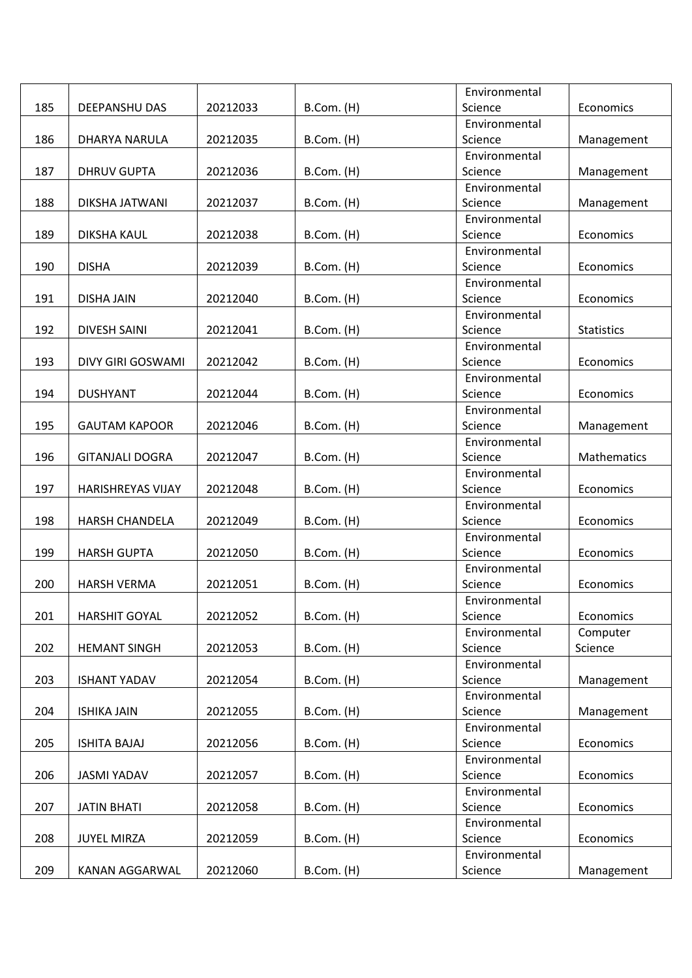|     |                          |          |                 | Environmental            |                   |
|-----|--------------------------|----------|-----------------|--------------------------|-------------------|
| 185 | DEEPANSHU DAS            | 20212033 | B.Com. (H)      | Science                  | Economics         |
|     |                          |          |                 | Environmental            |                   |
| 186 | DHARYA NARULA            | 20212035 | B.Com. (H)      | Science                  | Management        |
|     |                          |          |                 | Environmental            |                   |
| 187 | <b>DHRUV GUPTA</b>       | 20212036 | B.Com. (H)      | Science                  | Management        |
|     |                          |          |                 | Environmental            |                   |
| 188 | DIKSHA JATWANI           | 20212037 | B.Com. (H)      | Science                  | Management        |
|     |                          |          |                 | Environmental            |                   |
| 189 | DIKSHA KAUL              | 20212038 | B.Com. (H)      | Science                  | Economics         |
|     |                          |          |                 | Environmental            |                   |
| 190 | <b>DISHA</b>             | 20212039 | B.Com. (H)      | Science                  | Economics         |
|     |                          |          |                 | Environmental            |                   |
| 191 | <b>DISHA JAIN</b>        | 20212040 | B.Com. (H)      | Science                  | Economics         |
|     |                          |          |                 | Environmental            |                   |
| 192 | <b>DIVESH SAINI</b>      | 20212041 | B.Com. (H)      | Science                  | <b>Statistics</b> |
|     |                          |          |                 | Environmental            |                   |
| 193 | DIVY GIRI GOSWAMI        | 20212042 | B.Com. (H)      | Science                  | Economics         |
|     |                          |          |                 | Environmental            |                   |
| 194 | <b>DUSHYANT</b>          | 20212044 | B.Com. (H)      | Science                  | Economics         |
|     |                          |          |                 | Environmental            |                   |
| 195 | <b>GAUTAM KAPOOR</b>     | 20212046 | $B.$ Com. $(H)$ | Science                  | Management        |
|     |                          |          |                 | Environmental            |                   |
| 196 | <b>GITANJALI DOGRA</b>   | 20212047 | B.Com. (H)      | Science                  | Mathematics       |
|     |                          |          |                 | Environmental            |                   |
| 197 | <b>HARISHREYAS VIJAY</b> | 20212048 | B.Com. (H)      | Science                  | Economics         |
|     |                          |          |                 | Environmental            |                   |
| 198 | <b>HARSH CHANDELA</b>    | 20212049 | B.Com. (H)      | Science                  | Economics         |
|     |                          |          |                 | Environmental            |                   |
| 199 | <b>HARSH GUPTA</b>       | 20212050 | $B.$ Com. $(H)$ | Science                  | Economics         |
|     |                          |          |                 | Environmental            |                   |
| 200 | <b>HARSH VERMA</b>       | 20212051 | B.Com. (H)      | Science                  | Economics         |
|     |                          |          |                 | Environmental            |                   |
| 201 | <b>HARSHIT GOYAL</b>     | 20212052 | B.Com. (H)      | Science                  | Economics         |
|     |                          |          |                 | Environmental            | Computer          |
| 202 | <b>HEMANT SINGH</b>      | 20212053 | B.Com. (H)      | Science                  | Science           |
|     |                          |          |                 | Environmental            |                   |
| 203 | <b>ISHANT YADAV</b>      | 20212054 | B.Com. (H)      | Science                  | Management        |
| 204 |                          | 20212055 | B.Com. (H)      | Environmental<br>Science |                   |
|     | <b>ISHIKA JAIN</b>       |          |                 | Environmental            | Management        |
| 205 | <b>ISHITA BAJAJ</b>      | 20212056 | B.Com. (H)      | Science                  | Economics         |
|     |                          |          |                 | Environmental            |                   |
| 206 | <b>JASMI YADAV</b>       | 20212057 | B.Com. (H)      | Science                  | Economics         |
|     |                          |          |                 | Environmental            |                   |
| 207 | <b>JATIN BHATI</b>       | 20212058 | B.Com. (H)      | Science                  | Economics         |
|     |                          |          |                 | Environmental            |                   |
| 208 | <b>JUYEL MIRZA</b>       | 20212059 | B.Com. (H)      | Science                  | Economics         |
|     |                          |          |                 | Environmental            |                   |
| 209 | KANAN AGGARWAL           | 20212060 | B.Com. (H)      | Science                  | Management        |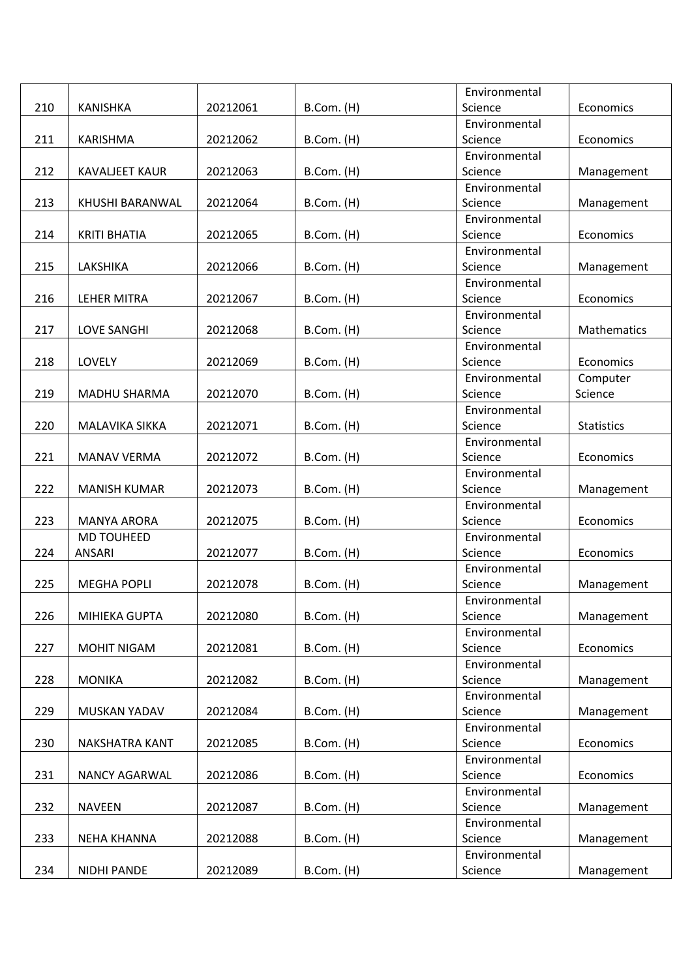|     |                             |          |            | Environmental            |                   |
|-----|-----------------------------|----------|------------|--------------------------|-------------------|
| 210 | <b>KANISHKA</b>             | 20212061 | B.Com. (H) | Science                  | Economics         |
|     |                             |          |            | Environmental            |                   |
| 211 | <b>KARISHMA</b>             | 20212062 | B.Com. (H) | Science                  | Economics         |
|     |                             |          |            | Environmental            |                   |
| 212 | <b>KAVALJEET KAUR</b>       | 20212063 | B.Com. (H) | Science                  | Management        |
|     |                             |          |            | Environmental            |                   |
| 213 | KHUSHI BARANWAL             | 20212064 | B.Com. (H) | Science                  | Management        |
|     |                             |          |            | Environmental            |                   |
| 214 | <b>KRITI BHATIA</b>         | 20212065 | B.Com. (H) | Science                  | Economics         |
|     |                             |          |            | Environmental            |                   |
| 215 | LAKSHIKA                    | 20212066 | B.Com. (H) | Science                  | Management        |
|     |                             |          |            | Environmental            |                   |
| 216 | LEHER MITRA                 | 20212067 | B.Com. (H) | Science                  | Economics         |
|     |                             |          |            | Environmental            |                   |
| 217 | <b>LOVE SANGHI</b>          | 20212068 | B.Com. (H) | Science                  | Mathematics       |
|     |                             |          |            | Environmental            |                   |
| 218 | LOVELY                      | 20212069 | B.Com. (H) | Science                  | Economics         |
|     |                             |          |            | Environmental            | Computer          |
| 219 | <b>MADHU SHARMA</b>         | 20212070 | B.Com. (H) | Science                  | Science           |
|     |                             |          |            | Environmental            |                   |
| 220 | MALAVIKA SIKKA              | 20212071 | B.Com. (H) | Science                  | <b>Statistics</b> |
|     |                             |          |            | Environmental            |                   |
| 221 | <b>MANAV VERMA</b>          | 20212072 | B.Com. (H) | Science                  | Economics         |
|     |                             |          |            | Environmental            |                   |
| 222 | <b>MANISH KUMAR</b>         | 20212073 | B.Com. (H) | Science                  | Management        |
|     |                             |          |            | Environmental            |                   |
| 223 | <b>MANYA ARORA</b>          | 20212075 | B.Com. (H) | Science                  | Economics         |
| 224 | <b>MD TOUHEED</b><br>ANSARI | 20212077 |            | Environmental<br>Science | Economics         |
|     |                             |          | B.Com. (H) | Environmental            |                   |
| 225 | <b>MEGHA POPLI</b>          | 20212078 | B.Com. (H) | Science                  | Management        |
|     |                             |          |            | Environmental            |                   |
| 226 | MIHIEKA GUPTA               | 20212080 | B.Com. (H) | Science                  | Management        |
|     |                             |          |            | Environmental            |                   |
| 227 | MOHIT NIGAM                 | 20212081 | B.Com. (H) | Science                  | Economics         |
|     |                             |          |            | Environmental            |                   |
| 228 | <b>MONIKA</b>               | 20212082 | B.Com. (H) | Science                  | Management        |
|     |                             |          |            | Environmental            |                   |
| 229 | MUSKAN YADAV                | 20212084 | B.Com. (H) | Science                  | Management        |
|     |                             |          |            | Environmental            |                   |
| 230 | <b>NAKSHATRA KANT</b>       | 20212085 | B.Com. (H) | Science                  | Economics         |
|     |                             |          |            | Environmental            |                   |
| 231 | NANCY AGARWAL               | 20212086 | B.Com. (H) | Science                  | Economics         |
|     |                             |          |            | Environmental            |                   |
| 232 | <b>NAVEEN</b>               | 20212087 | B.Com. (H) | Science                  | Management        |
|     |                             |          |            | Environmental            |                   |
| 233 | <b>NEHA KHANNA</b>          | 20212088 | B.Com. (H) | Science                  | Management        |
|     |                             |          |            | Environmental            |                   |
| 234 | <b>NIDHI PANDE</b>          | 20212089 | B.Com. (H) | Science                  | Management        |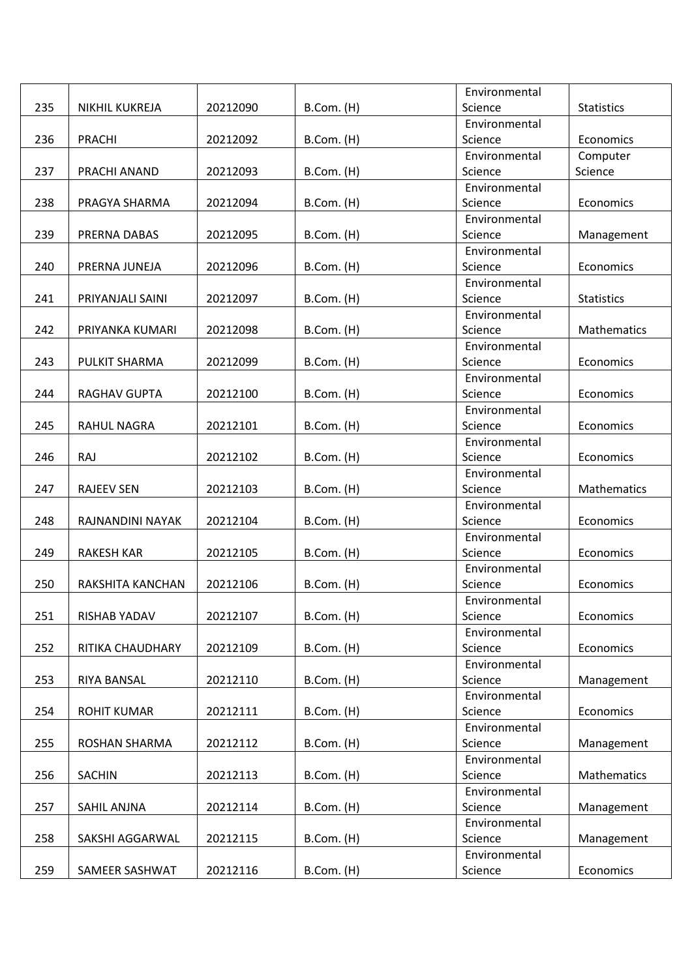|     |                      |          |            | Environmental            |                   |
|-----|----------------------|----------|------------|--------------------------|-------------------|
| 235 | NIKHIL KUKREJA       | 20212090 | B.Com. (H) | Science                  | <b>Statistics</b> |
|     |                      |          |            | Environmental            |                   |
| 236 | PRACHI               | 20212092 | B.Com. (H) | Science                  | Economics         |
|     |                      |          |            | Environmental            | Computer          |
| 237 | PRACHI ANAND         | 20212093 | B.Com. (H) | Science                  | Science           |
|     |                      |          |            | Environmental            |                   |
| 238 | PRAGYA SHARMA        | 20212094 | B.Com. (H) | Science                  | Economics         |
|     |                      |          |            | Environmental            |                   |
| 239 | PRERNA DABAS         | 20212095 | B.Com. (H) | Science                  | Management        |
|     |                      |          |            | Environmental            |                   |
| 240 | PRERNA JUNEJA        | 20212096 | B.Com. (H) | Science                  | Economics         |
|     |                      |          |            | Environmental            |                   |
| 241 | PRIYANJALI SAINI     | 20212097 | B.Com. (H) | Science                  | <b>Statistics</b> |
|     |                      |          |            | Environmental            |                   |
| 242 | PRIYANKA KUMARI      | 20212098 | B.Com. (H) | Science                  | Mathematics       |
|     |                      |          |            | Environmental            |                   |
| 243 | <b>PULKIT SHARMA</b> | 20212099 | B.Com. (H) | Science                  | Economics         |
|     |                      |          |            | Environmental            |                   |
| 244 | RAGHAV GUPTA         | 20212100 | B.Com. (H) | Science                  | Economics         |
|     |                      |          |            | Environmental            |                   |
| 245 | <b>RAHUL NAGRA</b>   | 20212101 | B.Com. (H) | Science                  | Economics         |
|     |                      |          |            | Environmental            |                   |
| 246 | <b>RAJ</b>           | 20212102 | B.Com. (H) | Science                  | Economics         |
|     |                      |          |            | Environmental            |                   |
| 247 | <b>RAJEEV SEN</b>    | 20212103 | B.Com. (H) | Science                  | Mathematics       |
| 248 |                      |          |            | Environmental<br>Science | Economics         |
|     | RAJNANDINI NAYAK     | 20212104 | B.Com. (H) | Environmental            |                   |
| 249 | <b>RAKESH KAR</b>    | 20212105 | B.Com. (H) | Science                  | Economics         |
|     |                      |          |            | Environmental            |                   |
| 250 | RAKSHITA KANCHAN     | 20212106 | B.Com. (H) | Science                  | Economics         |
|     |                      |          |            | Environmental            |                   |
| 251 | RISHAB YADAV         | 20212107 | B.Com. (H) | Science                  | Economics         |
|     |                      |          |            | Environmental            |                   |
| 252 | RITIKA CHAUDHARY     | 20212109 | B.Com. (H) | Science                  | Economics         |
|     |                      |          |            | Environmental            |                   |
| 253 | RIYA BANSAL          | 20212110 | B.Com. (H) | Science                  | Management        |
|     |                      |          |            | Environmental            |                   |
| 254 | <b>ROHIT KUMAR</b>   | 20212111 | B.Com. (H) | Science                  | Economics         |
|     |                      |          |            | Environmental            |                   |
| 255 | ROSHAN SHARMA        | 20212112 | B.Com. (H) | Science                  | Management        |
|     |                      |          |            | Environmental            |                   |
| 256 | <b>SACHIN</b>        | 20212113 | B.Com. (H) | Science                  | Mathematics       |
|     |                      |          |            | Environmental            |                   |
| 257 | SAHIL ANJNA          | 20212114 | B.Com. (H) | Science                  | Management        |
|     |                      |          |            | Environmental            |                   |
| 258 | SAKSHI AGGARWAL      | 20212115 | B.Com. (H) | Science                  | Management        |
|     |                      |          |            | Environmental            |                   |
| 259 | SAMEER SASHWAT       | 20212116 | B.Com. (H) | Science                  | Economics         |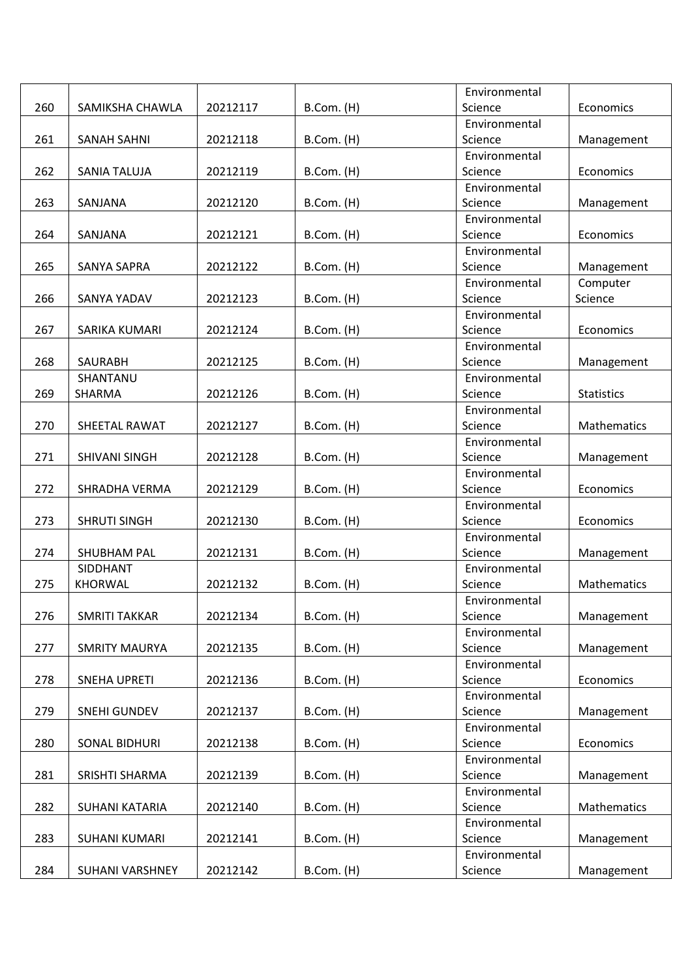|     |                      |          |                 | Environmental |                   |
|-----|----------------------|----------|-----------------|---------------|-------------------|
| 260 | SAMIKSHA CHAWLA      | 20212117 | B.Com. (H)      | Science       | Economics         |
|     |                      |          |                 | Environmental |                   |
| 261 | <b>SANAH SAHNI</b>   | 20212118 | B.Com. (H)      | Science       | Management        |
|     |                      |          |                 | Environmental |                   |
| 262 | SANIA TALUJA         | 20212119 | B.Com. (H)      | Science       | Economics         |
|     |                      |          |                 | Environmental |                   |
| 263 | SANJANA              | 20212120 | B.Com. (H)      | Science       | Management        |
|     |                      |          |                 | Environmental |                   |
| 264 | SANJANA              | 20212121 | B.Com. (H)      | Science       | Economics         |
|     |                      |          |                 | Environmental |                   |
| 265 | SANYA SAPRA          | 20212122 | B.Com. (H)      | Science       | Management        |
|     |                      |          |                 | Environmental | Computer          |
| 266 | SANYA YADAV          | 20212123 | B.Com. (H)      | Science       | Science           |
|     |                      |          |                 | Environmental |                   |
| 267 | SARIKA KUMARI        | 20212124 | B.Com. (H)      | Science       | Economics         |
|     |                      |          |                 | Environmental |                   |
| 268 | <b>SAURABH</b>       | 20212125 | B.Com. (H)      | Science       | Management        |
|     | SHANTANU             |          |                 | Environmental |                   |
| 269 | SHARMA               | 20212126 | B.Com. (H)      | Science       | <b>Statistics</b> |
|     |                      |          |                 | Environmental |                   |
| 270 | SHEETAL RAWAT        | 20212127 | B.Com. (H)      | Science       | Mathematics       |
|     |                      |          |                 | Environmental |                   |
| 271 | SHIVANI SINGH        | 20212128 | B.Com. (H)      | Science       | Management        |
|     |                      |          |                 | Environmental |                   |
| 272 | SHRADHA VERMA        | 20212129 | $B.$ Com. $(H)$ | Science       | Economics         |
|     |                      |          |                 | Environmental |                   |
| 273 | <b>SHRUTI SINGH</b>  | 20212130 | B.Com. (H)      | Science       | Economics         |
|     |                      |          |                 | Environmental |                   |
| 274 | SHUBHAM PAL          | 20212131 | B.Com. (H)      | Science       | Management        |
|     | SIDDHANT             |          |                 | Environmental |                   |
| 275 | <b>KHORWAL</b>       | 20212132 | B.Com. (H)      | Science       | Mathematics       |
|     |                      |          |                 | Environmental |                   |
| 276 | <b>SMRITI TAKKAR</b> | 20212134 | B.Com. (H)      | Science       | Management        |
|     |                      |          |                 | Environmental |                   |
| 277 | <b>SMRITY MAURYA</b> | 20212135 | B.Com. (H)      | Science       | Management        |
|     |                      |          |                 | Environmental |                   |
| 278 | <b>SNEHA UPRETI</b>  | 20212136 | B.Com. (H)      | Science       | Economics         |
|     |                      |          |                 | Environmental |                   |
| 279 | <b>SNEHI GUNDEV</b>  | 20212137 | B.Com. (H)      | Science       | Management        |
|     |                      |          |                 | Environmental |                   |
| 280 | SONAL BIDHURI        | 20212138 | B.Com. (H)      | Science       | Economics         |
|     |                      |          |                 | Environmental |                   |
| 281 | SRISHTI SHARMA       | 20212139 | $B.$ Com. $(H)$ | Science       | Management        |
|     |                      |          |                 | Environmental |                   |
| 282 | SUHANI KATARIA       | 20212140 | B.Com. (H)      | Science       | Mathematics       |
|     |                      |          |                 | Environmental |                   |
| 283 | SUHANI KUMARI        | 20212141 | B.Com. (H)      | Science       | Management        |
|     |                      |          |                 | Environmental |                   |
| 284 | SUHANI VARSHNEY      | 20212142 | B.Com. (H)      | Science       | Management        |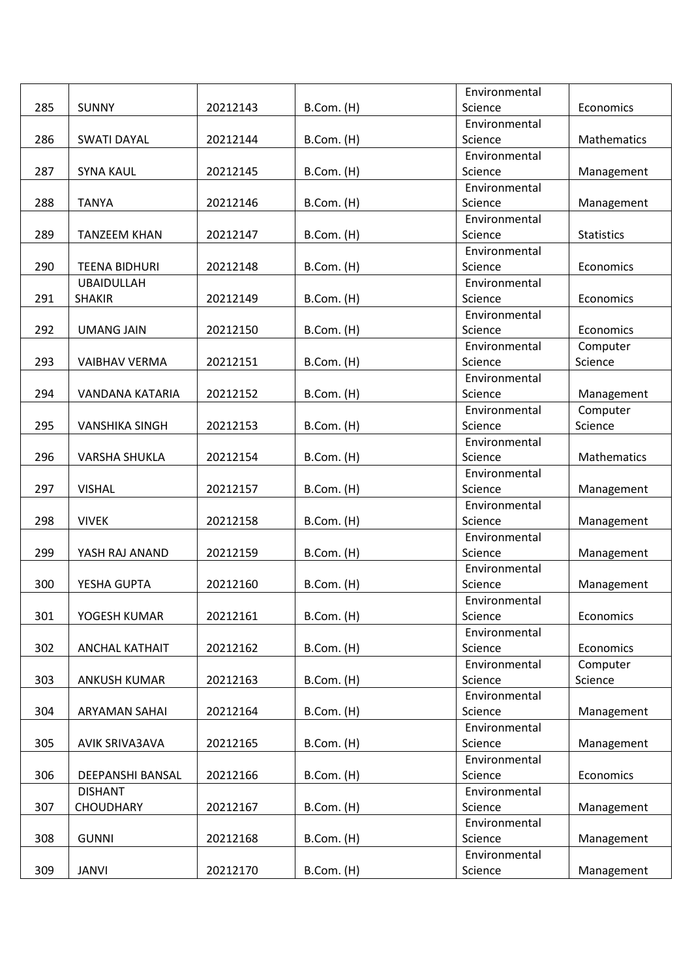|     |                       |          |            | Environmental |                   |
|-----|-----------------------|----------|------------|---------------|-------------------|
| 285 | <b>SUNNY</b>          | 20212143 | B.Com. (H) | Science       | Economics         |
|     |                       |          |            | Environmental |                   |
| 286 | <b>SWATI DAYAL</b>    | 20212144 | B.Com. (H) | Science       | Mathematics       |
|     |                       |          |            | Environmental |                   |
| 287 | <b>SYNA KAUL</b>      | 20212145 | B.Com. (H) | Science       | Management        |
|     |                       |          |            | Environmental |                   |
| 288 | <b>TANYA</b>          | 20212146 | B.Com. (H) | Science       | Management        |
|     |                       |          |            | Environmental |                   |
| 289 | <b>TANZEEM KHAN</b>   | 20212147 | B.Com. (H) | Science       | <b>Statistics</b> |
|     |                       |          |            | Environmental |                   |
| 290 | <b>TEENA BIDHURI</b>  | 20212148 | B.Com. (H) | Science       | Economics         |
|     | <b>UBAIDULLAH</b>     |          |            | Environmental |                   |
| 291 | <b>SHAKIR</b>         | 20212149 | B.Com. (H) | Science       | Economics         |
|     |                       |          |            | Environmental |                   |
| 292 | <b>UMANG JAIN</b>     | 20212150 | B.Com. (H) | Science       | Economics         |
|     |                       |          |            | Environmental | Computer          |
| 293 | <b>VAIBHAV VERMA</b>  | 20212151 | B.Com. (H) | Science       | Science           |
|     |                       |          |            | Environmental |                   |
| 294 | VANDANA KATARIA       | 20212152 | B.Com. (H) | Science       | Management        |
|     |                       |          |            | Environmental | Computer          |
| 295 | <b>VANSHIKA SINGH</b> | 20212153 | B.Com. (H) | Science       | Science           |
|     |                       |          |            | Environmental |                   |
| 296 | <b>VARSHA SHUKLA</b>  | 20212154 | B.Com. (H) | Science       | Mathematics       |
|     |                       |          |            | Environmental |                   |
| 297 | <b>VISHAL</b>         | 20212157 | B.Com. (H) | Science       | Management        |
|     |                       |          |            | Environmental |                   |
| 298 | <b>VIVEK</b>          | 20212158 | B.Com. (H) | Science       | Management        |
|     |                       |          |            | Environmental |                   |
| 299 | YASH RAJ ANAND        | 20212159 | B.Com. (H) | Science       | Management        |
|     |                       |          |            | Environmental |                   |
| 300 | YESHA GUPTA           | 20212160 | B.Com. (H) | Science       | Management        |
|     |                       |          |            | Environmental |                   |
| 301 | YOGESH KUMAR          | 20212161 | B.Com. (H) | Science       | Economics         |
|     |                       |          |            | Environmental |                   |
| 302 | ANCHAL KATHAIT        | 20212162 | B.Com. (H) | Science       | Economics         |
|     |                       |          |            | Environmental | Computer          |
| 303 | ANKUSH KUMAR          | 20212163 | B.Com. (H) | Science       | Science           |
|     |                       |          |            | Environmental |                   |
| 304 | ARYAMAN SAHAI         | 20212164 | B.Com. (H) | Science       | Management        |
|     |                       |          |            | Environmental |                   |
| 305 | AVIK SRIVA3AVA        | 20212165 | B.Com. (H) | Science       | Management        |
|     |                       |          |            | Environmental |                   |
| 306 | DEEPANSHI BANSAL      | 20212166 | B.Com. (H) | Science       | Economics         |
|     | <b>DISHANT</b>        |          |            | Environmental |                   |
| 307 | <b>CHOUDHARY</b>      | 20212167 | B.Com. (H) | Science       | Management        |
|     |                       |          |            | Environmental |                   |
| 308 | <b>GUNNI</b>          | 20212168 | B.Com. (H) | Science       | Management        |
|     |                       |          |            | Environmental |                   |
| 309 | <b>JANVI</b>          | 20212170 | B.Com. (H) | Science       | Management        |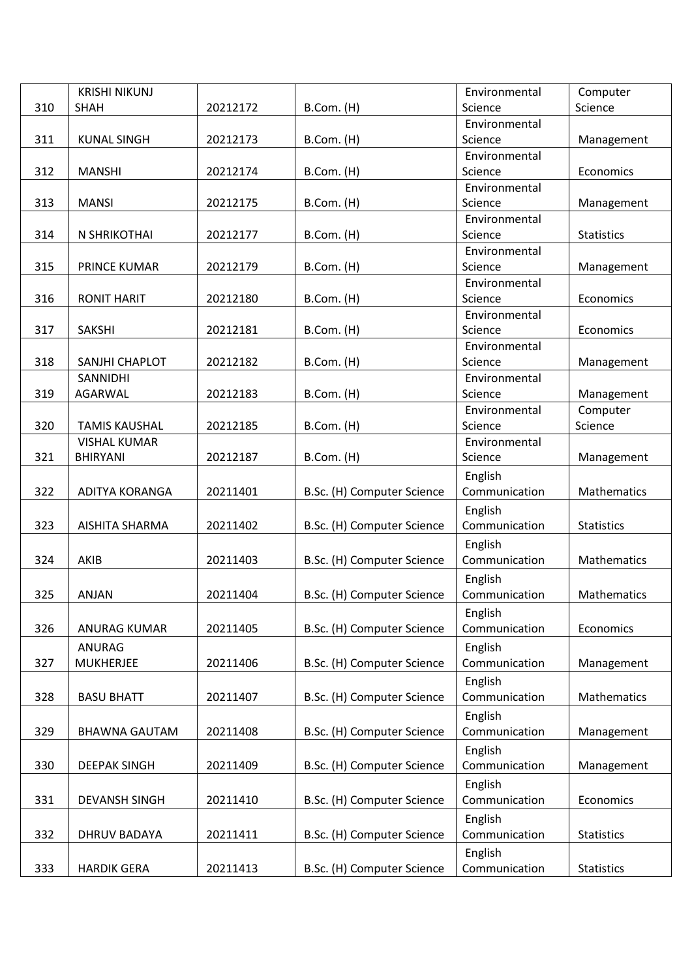|     | <b>KRISHI NIKUNJ</b> |          |                            | Environmental            | Computer          |
|-----|----------------------|----------|----------------------------|--------------------------|-------------------|
| 310 | <b>SHAH</b>          | 20212172 | B.Com. (H)                 | Science                  | Science           |
|     |                      |          |                            | Environmental            |                   |
| 311 | <b>KUNAL SINGH</b>   | 20212173 | B.Com. (H)                 | Science                  | Management        |
|     |                      |          |                            | Environmental            |                   |
| 312 | <b>MANSHI</b>        | 20212174 | B.Com. (H)                 | Science                  | Economics         |
|     |                      |          |                            | Environmental            |                   |
| 313 | <b>MANSI</b>         | 20212175 | B.Com. (H)                 | Science                  | Management        |
|     |                      |          |                            | Environmental            |                   |
| 314 | N SHRIKOTHAI         | 20212177 | B.Com. (H)                 | Science                  | <b>Statistics</b> |
|     |                      |          |                            | Environmental            |                   |
| 315 | PRINCE KUMAR         | 20212179 | B.Com. (H)                 | Science                  | Management        |
|     |                      |          |                            | Environmental            |                   |
| 316 | <b>RONIT HARIT</b>   | 20212180 | B.Com. (H)                 | Science                  | Economics         |
|     |                      |          |                            | Environmental            |                   |
| 317 | <b>SAKSHI</b>        | 20212181 | B.Com. (H)                 | Science                  | Economics         |
|     |                      |          |                            | Environmental            |                   |
| 318 | SANJHI CHAPLOT       | 20212182 | B.Com. (H)                 | Science                  | Management        |
|     | SANNIDHI             |          |                            | Environmental            |                   |
| 319 | AGARWAL              | 20212183 | B.Com. (H)                 | Science                  | Management        |
|     |                      |          |                            | Environmental            | Computer          |
| 320 | <b>TAMIS KAUSHAL</b> | 20212185 | B.Com. (H)                 | Science                  | Science           |
|     | <b>VISHAL KUMAR</b>  |          |                            | Environmental            |                   |
| 321 | <b>BHIRYANI</b>      | 20212187 | B.Com. (H)                 | Science                  | Management        |
|     |                      |          |                            | English                  |                   |
| 322 | ADITYA KORANGA       | 20211401 | B.Sc. (H) Computer Science | Communication            | Mathematics       |
|     |                      |          |                            | English                  |                   |
| 323 | AISHITA SHARMA       | 20211402 | B.Sc. (H) Computer Science | Communication            | <b>Statistics</b> |
|     |                      |          |                            | English                  |                   |
| 324 | AKIB                 | 20211403 | B.Sc. (H) Computer Science | Communication            | Mathematics       |
|     |                      |          |                            | English                  |                   |
| 325 | <b>ANJAN</b>         | 20211404 | B.Sc. (H) Computer Science | Communication            | Mathematics       |
|     |                      |          |                            | English                  |                   |
| 326 | <b>ANURAG KUMAR</b>  | 20211405 | B.Sc. (H) Computer Science | Communication            | Economics         |
|     | ANURAG               |          |                            | English                  |                   |
| 327 | <b>MUKHERJEE</b>     | 20211406 | B.Sc. (H) Computer Science | Communication            | Management        |
|     |                      |          |                            | English                  |                   |
| 328 | <b>BASU BHATT</b>    | 20211407 | B.Sc. (H) Computer Science | Communication            | Mathematics       |
|     |                      |          |                            | English                  |                   |
| 329 | <b>BHAWNA GAUTAM</b> | 20211408 | B.Sc. (H) Computer Science | Communication            | Management        |
|     |                      |          |                            |                          |                   |
| 330 |                      |          |                            | English<br>Communication |                   |
|     | <b>DEEPAK SINGH</b>  | 20211409 | B.Sc. (H) Computer Science |                          | Management        |
|     |                      |          |                            | English                  |                   |
| 331 | <b>DEVANSH SINGH</b> | 20211410 | B.Sc. (H) Computer Science | Communication            | Economics         |
|     |                      |          |                            | English                  |                   |
| 332 | <b>DHRUV BADAYA</b>  | 20211411 | B.Sc. (H) Computer Science | Communication            | <b>Statistics</b> |
|     |                      |          |                            | English                  |                   |
| 333 | <b>HARDIK GERA</b>   | 20211413 | B.Sc. (H) Computer Science | Communication            | <b>Statistics</b> |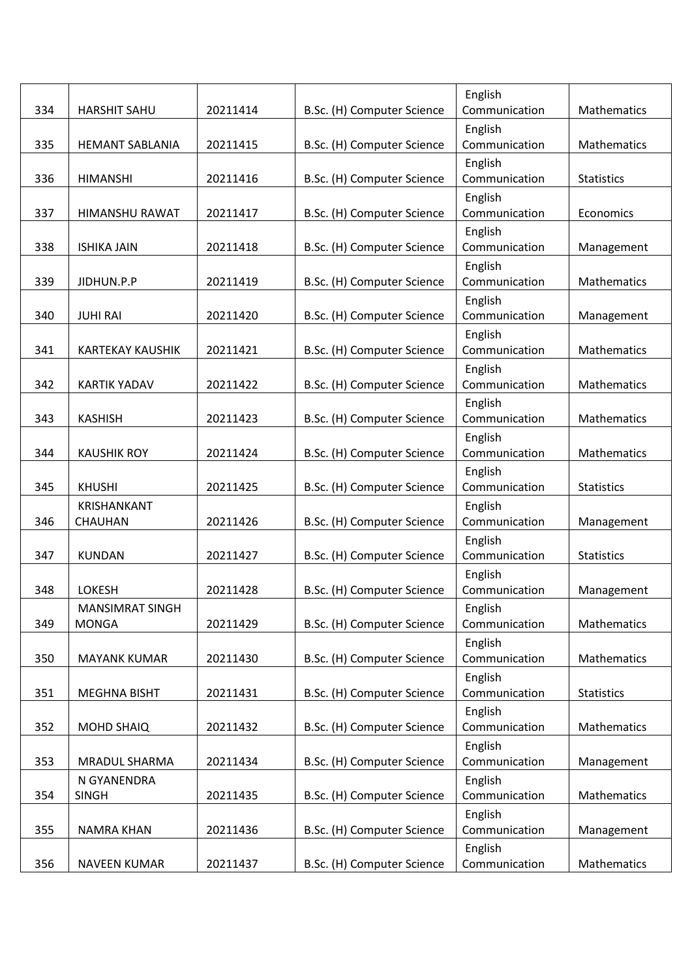|     |                               |          |                            | English                  |                    |
|-----|-------------------------------|----------|----------------------------|--------------------------|--------------------|
| 334 | <b>HARSHIT SAHU</b>           | 20211414 | B.Sc. (H) Computer Science | Communication            | Mathematics        |
| 335 | <b>HEMANT SABLANIA</b>        | 20211415 | B.Sc. (H) Computer Science | English<br>Communication | Mathematics        |
|     |                               |          |                            | English                  |                    |
| 336 | <b>HIMANSHI</b>               | 20211416 | B.Sc. (H) Computer Science | Communication            | <b>Statistics</b>  |
|     |                               |          |                            | English                  |                    |
| 337 | HIMANSHU RAWAT                | 20211417 | B.Sc. (H) Computer Science | Communication<br>English | Economics          |
| 338 | <b>ISHIKA JAIN</b>            | 20211418 | B.Sc. (H) Computer Science | Communication            | Management         |
|     |                               |          |                            | English                  |                    |
| 339 | JIDHUN.P.P                    | 20211419 | B.Sc. (H) Computer Science | Communication            | <b>Mathematics</b> |
|     |                               |          |                            | English                  |                    |
| 340 | <b>JUHI RAI</b>               | 20211420 | B.Sc. (H) Computer Science | Communication            | Management         |
| 341 | <b>KARTEKAY KAUSHIK</b>       | 20211421 | B.Sc. (H) Computer Science | English<br>Communication | Mathematics        |
|     |                               |          |                            | English                  |                    |
| 342 | <b>KARTIK YADAV</b>           | 20211422 | B.Sc. (H) Computer Science | Communication            | Mathematics        |
|     |                               |          |                            | English                  |                    |
| 343 | <b>KASHISH</b>                | 20211423 | B.Sc. (H) Computer Science | Communication            | Mathematics        |
|     |                               |          |                            | English                  |                    |
| 344 | <b>KAUSHIK ROY</b>            | 20211424 | B.Sc. (H) Computer Science | Communication            | Mathematics        |
|     |                               |          |                            | English                  |                    |
| 345 | <b>KHUSHI</b>                 | 20211425 | B.Sc. (H) Computer Science | Communication            | <b>Statistics</b>  |
| 346 | <b>KRISHANKANT</b><br>CHAUHAN | 20211426 |                            | English<br>Communication |                    |
|     |                               |          | B.Sc. (H) Computer Science | English                  | Management         |
| 347 | <b>KUNDAN</b>                 | 20211427 | B.Sc. (H) Computer Science | Communication            | <b>Statistics</b>  |
|     |                               |          |                            | English                  |                    |
| 348 | <b>LOKESH</b>                 | 20211428 | B.Sc. (H) Computer Science | Communication            | Management         |
|     | <b>MANSIMRAT SINGH</b>        |          |                            | English                  |                    |
| 349 | <b>MONGA</b>                  | 20211429 | B.Sc. (H) Computer Science | Communication            | Mathematics        |
|     |                               |          |                            | English                  |                    |
| 350 | <b>MAYANK KUMAR</b>           | 20211430 | B.Sc. (H) Computer Science | Communication            | Mathematics        |
| 351 | <b>MEGHNA BISHT</b>           | 20211431 | B.Sc. (H) Computer Science | English<br>Communication | <b>Statistics</b>  |
|     |                               |          |                            | English                  |                    |
| 352 | <b>MOHD SHAIQ</b>             | 20211432 | B.Sc. (H) Computer Science | Communication            | Mathematics        |
|     |                               |          |                            | English                  |                    |
| 353 | MRADUL SHARMA                 | 20211434 | B.Sc. (H) Computer Science | Communication            | Management         |
|     | N GYANENDRA                   |          |                            | English                  |                    |
| 354 | <b>SINGH</b>                  | 20211435 | B.Sc. (H) Computer Science | Communication            | Mathematics        |
|     |                               |          |                            | English                  |                    |
| 355 | <b>NAMRA KHAN</b>             | 20211436 | B.Sc. (H) Computer Science | Communication            | Management         |
|     |                               |          |                            | English                  |                    |
| 356 | <b>NAVEEN KUMAR</b>           | 20211437 | B.Sc. (H) Computer Science | Communication            | Mathematics        |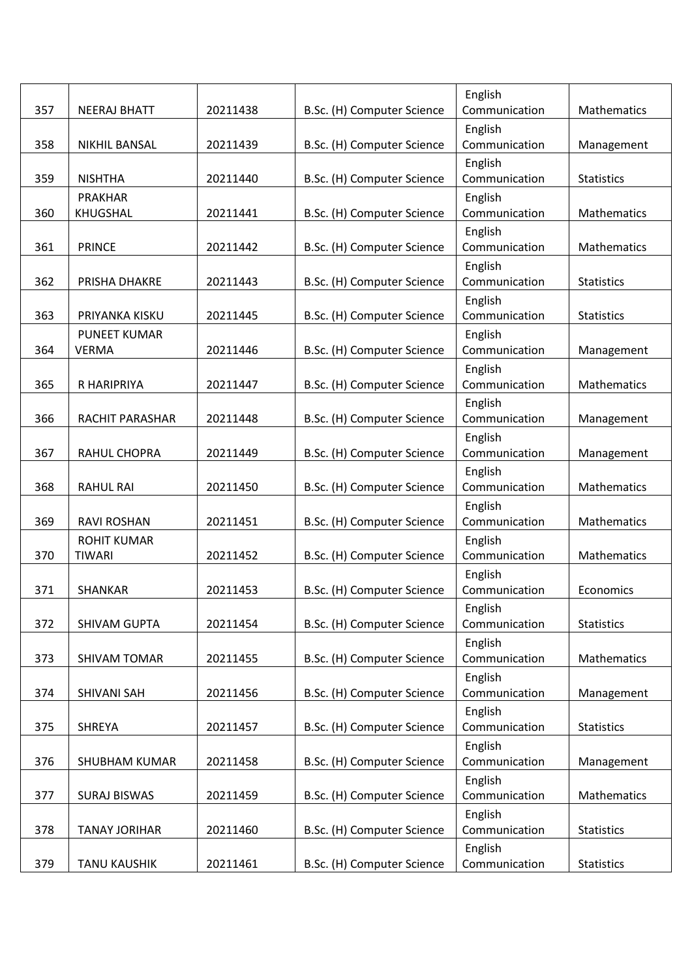|     |                      |          |                            | English                  |                    |
|-----|----------------------|----------|----------------------------|--------------------------|--------------------|
| 357 | <b>NEERAJ BHATT</b>  | 20211438 | B.Sc. (H) Computer Science | Communication            | Mathematics        |
| 358 | <b>NIKHIL BANSAL</b> | 20211439 | B.Sc. (H) Computer Science | English<br>Communication | Management         |
| 359 | <b>NISHTHA</b>       | 20211440 | B.Sc. (H) Computer Science | English<br>Communication | <b>Statistics</b>  |
|     | <b>PRAKHAR</b>       |          |                            | English                  |                    |
| 360 | KHUGSHAL             | 20211441 | B.Sc. (H) Computer Science | Communication            | Mathematics        |
| 361 | <b>PRINCE</b>        | 20211442 | B.Sc. (H) Computer Science | English<br>Communication | Mathematics        |
| 362 | PRISHA DHAKRE        | 20211443 | B.Sc. (H) Computer Science | English<br>Communication | <b>Statistics</b>  |
|     |                      |          |                            | English                  |                    |
| 363 | PRIYANKA KISKU       | 20211445 | B.Sc. (H) Computer Science | Communication            | <b>Statistics</b>  |
|     | <b>PUNEET KUMAR</b>  |          |                            | English                  |                    |
| 364 | <b>VERMA</b>         | 20211446 | B.Sc. (H) Computer Science | Communication            | Management         |
|     |                      |          |                            | English                  |                    |
| 365 | R HARIPRIYA          | 20211447 | B.Sc. (H) Computer Science | Communication            | Mathematics        |
| 366 | RACHIT PARASHAR      | 20211448 | B.Sc. (H) Computer Science | English<br>Communication | Management         |
|     |                      |          |                            | English                  |                    |
| 367 | RAHUL CHOPRA         | 20211449 | B.Sc. (H) Computer Science | Communication            | Management         |
|     |                      |          |                            | English                  |                    |
| 368 | <b>RAHUL RAI</b>     | 20211450 | B.Sc. (H) Computer Science | Communication            | <b>Mathematics</b> |
|     |                      |          |                            | English                  |                    |
| 369 | <b>RAVI ROSHAN</b>   | 20211451 | B.Sc. (H) Computer Science | Communication            | Mathematics        |
|     | <b>ROHIT KUMAR</b>   |          |                            | English                  |                    |
| 370 | <b>TIWARI</b>        | 20211452 | B.Sc. (H) Computer Science | Communication            | Mathematics        |
| 371 | <b>SHANKAR</b>       | 20211453 | B.Sc. (H) Computer Science | English<br>Communication | Economics          |
|     |                      |          |                            | English                  |                    |
| 372 | SHIVAM GUPTA         | 20211454 | B.Sc. (H) Computer Science | Communication            | <b>Statistics</b>  |
|     |                      |          |                            | English                  |                    |
| 373 | SHIVAM TOMAR         | 20211455 | B.Sc. (H) Computer Science | Communication            | Mathematics        |
| 374 | SHIVANI SAH          | 20211456 | B.Sc. (H) Computer Science | English<br>Communication | Management         |
|     |                      |          |                            | English                  |                    |
| 375 | SHREYA               | 20211457 | B.Sc. (H) Computer Science | Communication            | <b>Statistics</b>  |
|     |                      |          |                            | English                  |                    |
| 376 | <b>SHUBHAM KUMAR</b> | 20211458 | B.Sc. (H) Computer Science | Communication            | Management         |
|     |                      |          |                            | English                  |                    |
| 377 | <b>SURAJ BISWAS</b>  | 20211459 | B.Sc. (H) Computer Science | Communication            | Mathematics        |
|     |                      |          |                            | English                  |                    |
| 378 | <b>TANAY JORIHAR</b> | 20211460 | B.Sc. (H) Computer Science | Communication            | <b>Statistics</b>  |
|     |                      |          |                            | English                  |                    |
| 379 | <b>TANU KAUSHIK</b>  | 20211461 | B.Sc. (H) Computer Science | Communication            | <b>Statistics</b>  |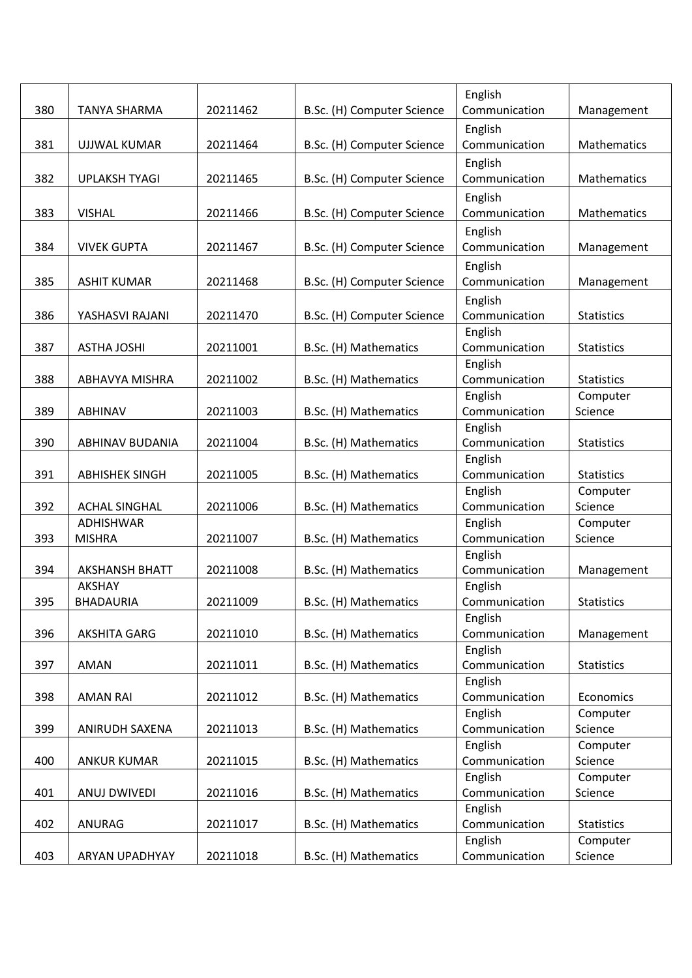|     |                       |          |                            | English                  |                     |
|-----|-----------------------|----------|----------------------------|--------------------------|---------------------|
| 380 | <b>TANYA SHARMA</b>   | 20211462 | B.Sc. (H) Computer Science | Communication            | Management          |
|     |                       |          |                            | English                  |                     |
| 381 | <b>UJJWAL KUMAR</b>   | 20211464 | B.Sc. (H) Computer Science | Communication            | Mathematics         |
|     |                       |          |                            | English                  |                     |
| 382 | <b>UPLAKSH TYAGI</b>  | 20211465 | B.Sc. (H) Computer Science | Communication            | Mathematics         |
|     |                       |          |                            | English                  |                     |
| 383 | <b>VISHAL</b>         | 20211466 | B.Sc. (H) Computer Science | Communication            | Mathematics         |
|     |                       |          |                            | English                  |                     |
| 384 | <b>VIVEK GUPTA</b>    | 20211467 | B.Sc. (H) Computer Science | Communication            | Management          |
|     |                       |          |                            | English                  |                     |
| 385 | <b>ASHIT KUMAR</b>    | 20211468 | B.Sc. (H) Computer Science | Communication            | Management          |
|     |                       |          |                            | English                  |                     |
| 386 | YASHASVI RAJANI       | 20211470 | B.Sc. (H) Computer Science | Communication            | <b>Statistics</b>   |
|     |                       |          |                            | English                  |                     |
| 387 | <b>ASTHA JOSHI</b>    | 20211001 | B.Sc. (H) Mathematics      | Communication            | <b>Statistics</b>   |
|     |                       |          |                            | English                  |                     |
| 388 | ABHAVYA MISHRA        | 20211002 | B.Sc. (H) Mathematics      | Communication            | <b>Statistics</b>   |
|     |                       |          |                            | English                  | Computer            |
| 389 | <b>ABHINAV</b>        | 20211003 | B.Sc. (H) Mathematics      | Communication            | Science             |
|     |                       |          |                            | English                  |                     |
| 390 | ABHINAV BUDANIA       | 20211004 | B.Sc. (H) Mathematics      | Communication            | <b>Statistics</b>   |
| 391 | <b>ABHISHEK SINGH</b> | 20211005 | B.Sc. (H) Mathematics      | English<br>Communication | <b>Statistics</b>   |
|     |                       |          |                            | English                  | Computer            |
| 392 | <b>ACHAL SINGHAL</b>  | 20211006 | B.Sc. (H) Mathematics      | Communication            | Science             |
|     | <b>ADHISHWAR</b>      |          |                            | English                  | Computer            |
| 393 | <b>MISHRA</b>         | 20211007 | B.Sc. (H) Mathematics      | Communication            | Science             |
|     |                       |          |                            | English                  |                     |
| 394 | <b>AKSHANSH BHATT</b> | 20211008 | B.Sc. (H) Mathematics      | Communication            | Management          |
|     | <b>AKSHAY</b>         |          |                            | English                  |                     |
| 395 | BHADAURIA             | 20211009 | B.Sc. (H) Mathematics      | Communication            | <b>Statistics</b>   |
|     |                       |          |                            | English                  |                     |
| 396 | AKSHITA GARG          | 20211010 | B.Sc. (H) Mathematics      | Communication            | Management          |
|     |                       |          |                            | English                  |                     |
| 397 | AMAN                  | 20211011 | B.Sc. (H) Mathematics      | Communication            | <b>Statistics</b>   |
|     |                       |          |                            | English                  |                     |
| 398 | <b>AMAN RAI</b>       | 20211012 | B.Sc. (H) Mathematics      | Communication            | Economics           |
| 399 | ANIRUDH SAXENA        | 20211013 | B.Sc. (H) Mathematics      | English<br>Communication | Computer<br>Science |
|     |                       |          |                            | English                  | Computer            |
| 400 | <b>ANKUR KUMAR</b>    | 20211015 | B.Sc. (H) Mathematics      | Communication            | Science             |
|     |                       |          |                            | English                  | Computer            |
| 401 | ANUJ DWIVEDI          | 20211016 | B.Sc. (H) Mathematics      | Communication            | Science             |
|     |                       |          |                            | English                  |                     |
| 402 | ANURAG                | 20211017 | B.Sc. (H) Mathematics      | Communication            | <b>Statistics</b>   |
|     |                       |          |                            | English                  | Computer            |
| 403 | ARYAN UPADHYAY        | 20211018 | B.Sc. (H) Mathematics      | Communication            | Science             |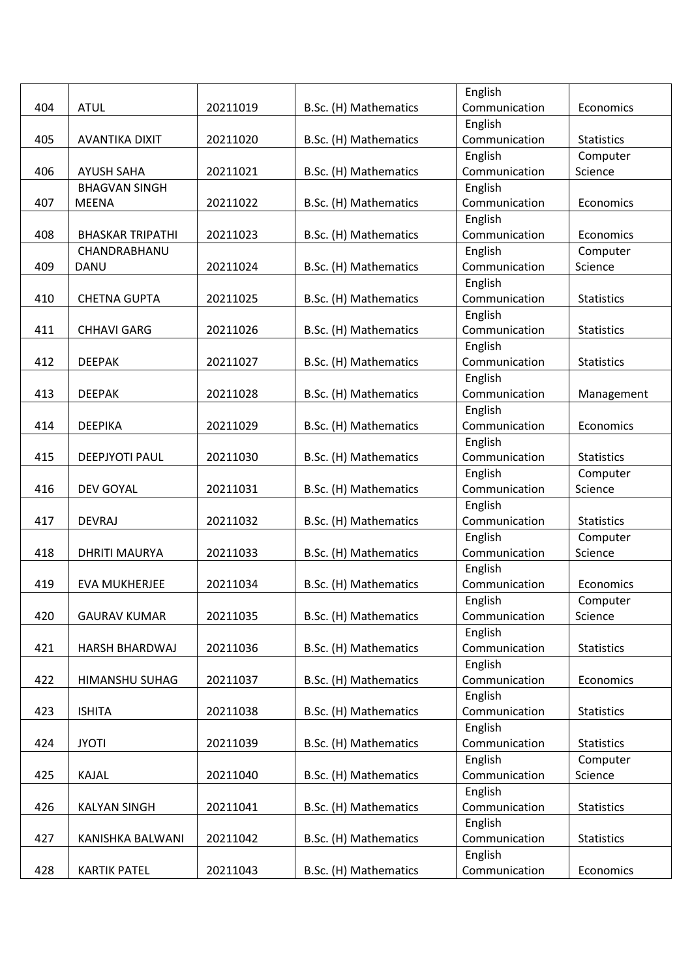|     |                         |          |                       | English                  |                     |
|-----|-------------------------|----------|-----------------------|--------------------------|---------------------|
| 404 | <b>ATUL</b>             | 20211019 | B.Sc. (H) Mathematics | Communication            | Economics           |
|     |                         |          |                       | English                  |                     |
| 405 | <b>AVANTIKA DIXIT</b>   | 20211020 | B.Sc. (H) Mathematics | Communication            | <b>Statistics</b>   |
|     |                         |          |                       | English                  | Computer            |
| 406 | <b>AYUSH SAHA</b>       | 20211021 | B.Sc. (H) Mathematics | Communication            | Science             |
|     | <b>BHAGVAN SINGH</b>    |          |                       | English                  |                     |
| 407 | <b>MEENA</b>            | 20211022 | B.Sc. (H) Mathematics | Communication            | Economics           |
|     |                         |          |                       | English                  |                     |
| 408 | <b>BHASKAR TRIPATHI</b> | 20211023 | B.Sc. (H) Mathematics | Communication            | Economics           |
|     | CHANDRABHANU            |          |                       | English                  | Computer            |
| 409 | DANU                    | 20211024 | B.Sc. (H) Mathematics | Communication            | Science             |
|     |                         |          |                       | English                  |                     |
| 410 | <b>CHETNA GUPTA</b>     | 20211025 | B.Sc. (H) Mathematics | Communication            | <b>Statistics</b>   |
|     |                         |          |                       | English                  |                     |
| 411 | <b>CHHAVI GARG</b>      | 20211026 | B.Sc. (H) Mathematics | Communication            | <b>Statistics</b>   |
|     |                         |          |                       | English                  |                     |
| 412 | <b>DEEPAK</b>           | 20211027 | B.Sc. (H) Mathematics | Communication            | <b>Statistics</b>   |
|     |                         |          |                       | English                  |                     |
| 413 | <b>DEEPAK</b>           | 20211028 | B.Sc. (H) Mathematics | Communication            | Management          |
|     |                         |          |                       | English                  |                     |
| 414 | <b>DEEPIKA</b>          | 20211029 | B.Sc. (H) Mathematics | Communication            | Economics           |
|     |                         |          |                       | English                  |                     |
| 415 | <b>DEEPJYOTI PAUL</b>   | 20211030 | B.Sc. (H) Mathematics | Communication            | <b>Statistics</b>   |
|     |                         |          |                       | English                  | Computer            |
| 416 | <b>DEV GOYAL</b>        | 20211031 | B.Sc. (H) Mathematics | Communication            | Science             |
|     |                         |          |                       | English                  |                     |
| 417 | <b>DEVRAJ</b>           | 20211032 | B.Sc. (H) Mathematics | Communication            | <b>Statistics</b>   |
|     |                         |          |                       | English                  | Computer            |
| 418 | <b>DHRITI MAURYA</b>    | 20211033 | B.Sc. (H) Mathematics | Communication            | Science             |
|     |                         |          |                       | English                  |                     |
| 419 | <b>EVA MUKHERJEE</b>    | 20211034 | B.Sc. (H) Mathematics | Communication            | Economics           |
| 420 | <b>GAURAV KUMAR</b>     | 20211035 | B.Sc. (H) Mathematics | English<br>Communication | Computer<br>Science |
|     |                         |          |                       | English                  |                     |
| 421 | <b>HARSH BHARDWAJ</b>   | 20211036 | B.Sc. (H) Mathematics | Communication            | <b>Statistics</b>   |
|     |                         |          |                       | English                  |                     |
| 422 | HIMANSHU SUHAG          | 20211037 | B.Sc. (H) Mathematics | Communication            | Economics           |
|     |                         |          |                       | English                  |                     |
| 423 | <b>ISHITA</b>           | 20211038 | B.Sc. (H) Mathematics | Communication            | <b>Statistics</b>   |
|     |                         |          |                       | English                  |                     |
| 424 | <b>JYOTI</b>            | 20211039 | B.Sc. (H) Mathematics | Communication            | <b>Statistics</b>   |
|     |                         |          |                       | English                  | Computer            |
| 425 | KAJAL                   | 20211040 | B.Sc. (H) Mathematics | Communication            | Science             |
|     |                         |          |                       | English                  |                     |
| 426 | <b>KALYAN SINGH</b>     | 20211041 | B.Sc. (H) Mathematics | Communication            | <b>Statistics</b>   |
|     |                         |          |                       | English                  |                     |
| 427 | KANISHKA BALWANI        | 20211042 | B.Sc. (H) Mathematics | Communication            | <b>Statistics</b>   |
|     |                         |          |                       | English                  |                     |
| 428 | <b>KARTIK PATEL</b>     | 20211043 | B.Sc. (H) Mathematics | Communication            | Economics           |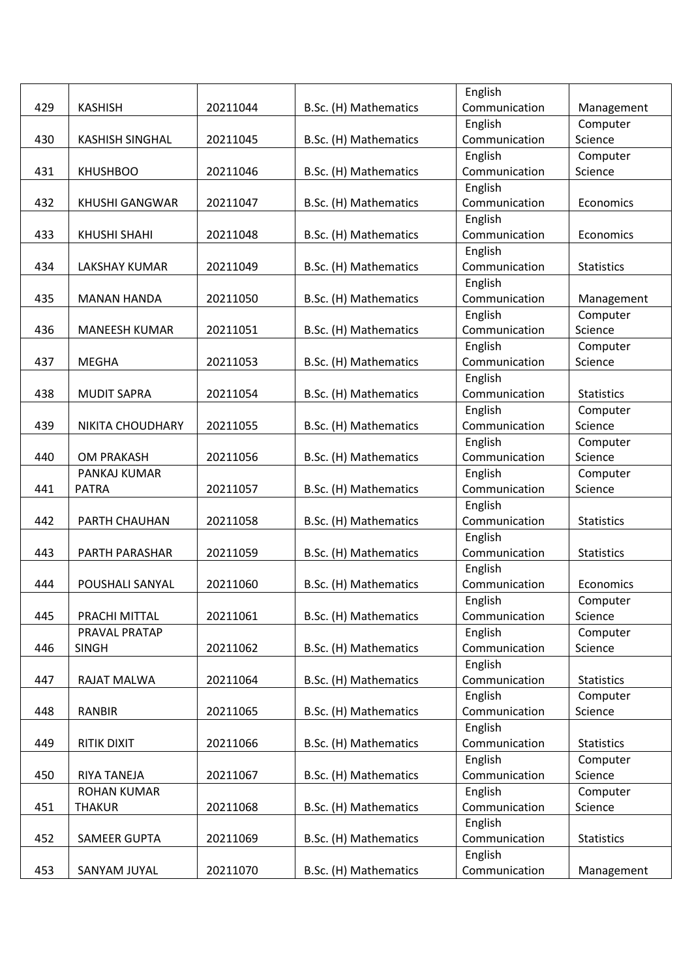|     |                        |          |                       | English       |                   |
|-----|------------------------|----------|-----------------------|---------------|-------------------|
| 429 | <b>KASHISH</b>         | 20211044 | B.Sc. (H) Mathematics | Communication | Management        |
|     |                        |          |                       | English       | Computer          |
| 430 | <b>KASHISH SINGHAL</b> | 20211045 | B.Sc. (H) Mathematics | Communication | Science           |
|     |                        |          |                       | English       | Computer          |
| 431 | <b>KHUSHBOO</b>        | 20211046 | B.Sc. (H) Mathematics | Communication | Science           |
|     |                        |          |                       | English       |                   |
| 432 | <b>KHUSHI GANGWAR</b>  | 20211047 | B.Sc. (H) Mathematics | Communication | Economics         |
|     |                        |          |                       | English       |                   |
| 433 | <b>KHUSHI SHAHI</b>    | 20211048 | B.Sc. (H) Mathematics | Communication | Economics         |
|     |                        |          |                       | English       |                   |
| 434 | <b>LAKSHAY KUMAR</b>   | 20211049 | B.Sc. (H) Mathematics | Communication | <b>Statistics</b> |
|     |                        |          |                       | English       |                   |
| 435 | <b>MANAN HANDA</b>     | 20211050 | B.Sc. (H) Mathematics | Communication | Management        |
|     |                        |          |                       | English       | Computer          |
| 436 | <b>MANEESH KUMAR</b>   | 20211051 | B.Sc. (H) Mathematics | Communication | Science           |
|     |                        |          |                       | English       | Computer          |
| 437 | <b>MEGHA</b>           | 20211053 | B.Sc. (H) Mathematics | Communication | Science           |
|     |                        |          |                       | English       |                   |
| 438 | <b>MUDIT SAPRA</b>     | 20211054 | B.Sc. (H) Mathematics | Communication | <b>Statistics</b> |
|     |                        |          |                       | English       | Computer          |
| 439 | NIKITA CHOUDHARY       | 20211055 | B.Sc. (H) Mathematics | Communication | Science           |
|     |                        |          |                       | English       | Computer          |
| 440 | <b>OM PRAKASH</b>      | 20211056 | B.Sc. (H) Mathematics | Communication | Science           |
|     | PANKAJ KUMAR           |          |                       | English       | Computer          |
| 441 | <b>PATRA</b>           | 20211057 | B.Sc. (H) Mathematics | Communication | Science           |
|     |                        |          |                       | English       |                   |
| 442 | PARTH CHAUHAN          | 20211058 | B.Sc. (H) Mathematics | Communication | <b>Statistics</b> |
|     |                        |          |                       | English       |                   |
| 443 | PARTH PARASHAR         | 20211059 | B.Sc. (H) Mathematics | Communication | <b>Statistics</b> |
|     |                        |          |                       | English       |                   |
| 444 | POUSHALI SANYAL        | 20211060 | B.Sc. (H) Mathematics | Communication | Economics         |
|     |                        |          |                       | English       | Computer          |
| 445 | PRACHI MITTAL          | 20211061 | B.Sc. (H) Mathematics | Communication | Science           |
|     | PRAVAL PRATAP          |          |                       | English       | Computer          |
| 446 | <b>SINGH</b>           | 20211062 | B.Sc. (H) Mathematics | Communication | Science           |
|     |                        |          |                       | English       |                   |
| 447 | RAJAT MALWA            | 20211064 | B.Sc. (H) Mathematics | Communication | <b>Statistics</b> |
|     |                        |          |                       | English       | Computer          |
| 448 | <b>RANBIR</b>          | 20211065 | B.Sc. (H) Mathematics | Communication | Science           |
|     |                        |          |                       | English       |                   |
| 449 | RITIK DIXIT            | 20211066 | B.Sc. (H) Mathematics | Communication | <b>Statistics</b> |
|     |                        |          |                       | English       | Computer          |
| 450 | RIYA TANEJA            | 20211067 | B.Sc. (H) Mathematics | Communication | Science           |
|     | <b>ROHAN KUMAR</b>     |          |                       | English       | Computer          |
| 451 | <b>THAKUR</b>          | 20211068 | B.Sc. (H) Mathematics | Communication | Science           |
|     |                        |          |                       | English       |                   |
| 452 | SAMEER GUPTA           | 20211069 | B.Sc. (H) Mathematics | Communication | <b>Statistics</b> |
|     |                        |          |                       | English       |                   |
| 453 | SANYAM JUYAL           | 20211070 | B.Sc. (H) Mathematics | Communication | Management        |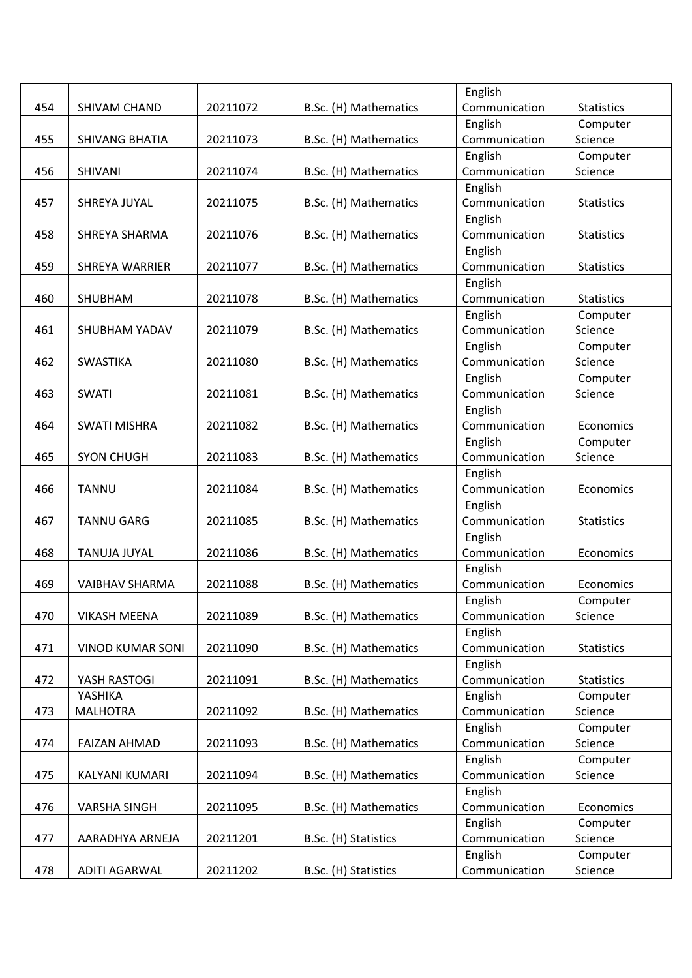| Communication<br>454<br>20211072<br>B.Sc. (H) Mathematics<br><b>Statistics</b><br>SHIVAM CHAND<br>English<br>Computer<br>20211073<br>B.Sc. (H) Mathematics<br>Communication<br>455<br><b>SHIVANG BHATIA</b><br>Science<br>English<br>Computer<br>Communication<br><b>SHIVANI</b><br>20211074<br>B.Sc. (H) Mathematics<br>456<br>Science<br>English<br>Communication<br>457<br>20211075<br>B.Sc. (H) Mathematics<br><b>Statistics</b><br>SHREYA JUYAL<br>English<br>Communication<br>458<br>SHREYA SHARMA<br>20211076<br>B.Sc. (H) Mathematics<br><b>Statistics</b> |
|--------------------------------------------------------------------------------------------------------------------------------------------------------------------------------------------------------------------------------------------------------------------------------------------------------------------------------------------------------------------------------------------------------------------------------------------------------------------------------------------------------------------------------------------------------------------|
|                                                                                                                                                                                                                                                                                                                                                                                                                                                                                                                                                                    |
|                                                                                                                                                                                                                                                                                                                                                                                                                                                                                                                                                                    |
|                                                                                                                                                                                                                                                                                                                                                                                                                                                                                                                                                                    |
|                                                                                                                                                                                                                                                                                                                                                                                                                                                                                                                                                                    |
|                                                                                                                                                                                                                                                                                                                                                                                                                                                                                                                                                                    |
|                                                                                                                                                                                                                                                                                                                                                                                                                                                                                                                                                                    |
|                                                                                                                                                                                                                                                                                                                                                                                                                                                                                                                                                                    |
|                                                                                                                                                                                                                                                                                                                                                                                                                                                                                                                                                                    |
|                                                                                                                                                                                                                                                                                                                                                                                                                                                                                                                                                                    |
| English                                                                                                                                                                                                                                                                                                                                                                                                                                                                                                                                                            |
| 20211077<br>Communication<br>459<br><b>SHREYA WARRIER</b><br>B.Sc. (H) Mathematics<br><b>Statistics</b>                                                                                                                                                                                                                                                                                                                                                                                                                                                            |
| English                                                                                                                                                                                                                                                                                                                                                                                                                                                                                                                                                            |
| Communication<br>460<br>SHUBHAM<br>20211078<br>B.Sc. (H) Mathematics<br><b>Statistics</b>                                                                                                                                                                                                                                                                                                                                                                                                                                                                          |
| English<br>Computer                                                                                                                                                                                                                                                                                                                                                                                                                                                                                                                                                |
| Communication<br>Science<br>461<br><b>SHUBHAM YADAV</b><br>20211079<br>B.Sc. (H) Mathematics                                                                                                                                                                                                                                                                                                                                                                                                                                                                       |
| English<br>Computer                                                                                                                                                                                                                                                                                                                                                                                                                                                                                                                                                |
| <b>SWASTIKA</b><br>20211080<br>Communication<br>Science<br>462<br>B.Sc. (H) Mathematics                                                                                                                                                                                                                                                                                                                                                                                                                                                                            |
| English<br>Computer                                                                                                                                                                                                                                                                                                                                                                                                                                                                                                                                                |
| Communication<br><b>SWATI</b><br>20211081<br>B.Sc. (H) Mathematics<br>463<br>Science                                                                                                                                                                                                                                                                                                                                                                                                                                                                               |
| English                                                                                                                                                                                                                                                                                                                                                                                                                                                                                                                                                            |
| Communication<br>464<br><b>SWATI MISHRA</b><br>20211082<br>B.Sc. (H) Mathematics<br>Economics                                                                                                                                                                                                                                                                                                                                                                                                                                                                      |
| English<br>Computer                                                                                                                                                                                                                                                                                                                                                                                                                                                                                                                                                |
| <b>SYON CHUGH</b><br>B.Sc. (H) Mathematics<br>Communication<br>Science<br>465<br>20211083                                                                                                                                                                                                                                                                                                                                                                                                                                                                          |
| English                                                                                                                                                                                                                                                                                                                                                                                                                                                                                                                                                            |
| <b>TANNU</b><br>20211084<br>B.Sc. (H) Mathematics<br>Communication<br>Economics<br>466                                                                                                                                                                                                                                                                                                                                                                                                                                                                             |
| English                                                                                                                                                                                                                                                                                                                                                                                                                                                                                                                                                            |
| Communication<br>467<br><b>TANNU GARG</b><br>20211085<br>B.Sc. (H) Mathematics<br><b>Statistics</b>                                                                                                                                                                                                                                                                                                                                                                                                                                                                |
| English                                                                                                                                                                                                                                                                                                                                                                                                                                                                                                                                                            |
| Communication<br>468<br><b>TANUJA JUYAL</b><br>20211086<br>B.Sc. (H) Mathematics<br>Economics                                                                                                                                                                                                                                                                                                                                                                                                                                                                      |
| English                                                                                                                                                                                                                                                                                                                                                                                                                                                                                                                                                            |
| 469<br>20211088<br>B.Sc. (H) Mathematics<br>Communication<br><b>VAIBHAV SHARMA</b><br>Economics                                                                                                                                                                                                                                                                                                                                                                                                                                                                    |
| English<br>Computer                                                                                                                                                                                                                                                                                                                                                                                                                                                                                                                                                |
| 470<br><b>VIKASH MEENA</b><br>20211089<br>B.Sc. (H) Mathematics<br>Science<br>Communication                                                                                                                                                                                                                                                                                                                                                                                                                                                                        |
| English                                                                                                                                                                                                                                                                                                                                                                                                                                                                                                                                                            |
| 20211090<br>B.Sc. (H) Mathematics<br>Communication<br>471<br><b>VINOD KUMAR SONI</b><br><b>Statistics</b>                                                                                                                                                                                                                                                                                                                                                                                                                                                          |
| English                                                                                                                                                                                                                                                                                                                                                                                                                                                                                                                                                            |
| YASH RASTOGI<br>20211091<br>B.Sc. (H) Mathematics<br>Communication<br>472<br><b>Statistics</b><br>YASHIKA                                                                                                                                                                                                                                                                                                                                                                                                                                                          |
| English<br>Computer<br><b>MALHOTRA</b><br>B.Sc. (H) Mathematics<br>Communication<br>Science<br>473<br>20211092                                                                                                                                                                                                                                                                                                                                                                                                                                                     |
| English                                                                                                                                                                                                                                                                                                                                                                                                                                                                                                                                                            |
| Computer<br>Communication<br>B.Sc. (H) Mathematics<br>Science<br>474<br><b>FAIZAN AHMAD</b><br>20211093                                                                                                                                                                                                                                                                                                                                                                                                                                                            |
| English<br>Computer                                                                                                                                                                                                                                                                                                                                                                                                                                                                                                                                                |
| 20211094<br>B.Sc. (H) Mathematics<br>Communication<br>Science<br>475<br>KALYANI KUMARI                                                                                                                                                                                                                                                                                                                                                                                                                                                                             |
| English                                                                                                                                                                                                                                                                                                                                                                                                                                                                                                                                                            |
| 476<br><b>VARSHA SINGH</b><br>20211095<br>B.Sc. (H) Mathematics<br>Communication<br>Economics                                                                                                                                                                                                                                                                                                                                                                                                                                                                      |
| English<br>Computer                                                                                                                                                                                                                                                                                                                                                                                                                                                                                                                                                |
| Communication<br>Science<br>477<br>20211201<br>B.Sc. (H) Statistics<br>AARADHYA ARNEJA                                                                                                                                                                                                                                                                                                                                                                                                                                                                             |
| English<br>Computer                                                                                                                                                                                                                                                                                                                                                                                                                                                                                                                                                |
| 478<br>Communication<br>Science<br><b>ADITI AGARWAL</b><br>20211202<br>B.Sc. (H) Statistics                                                                                                                                                                                                                                                                                                                                                                                                                                                                        |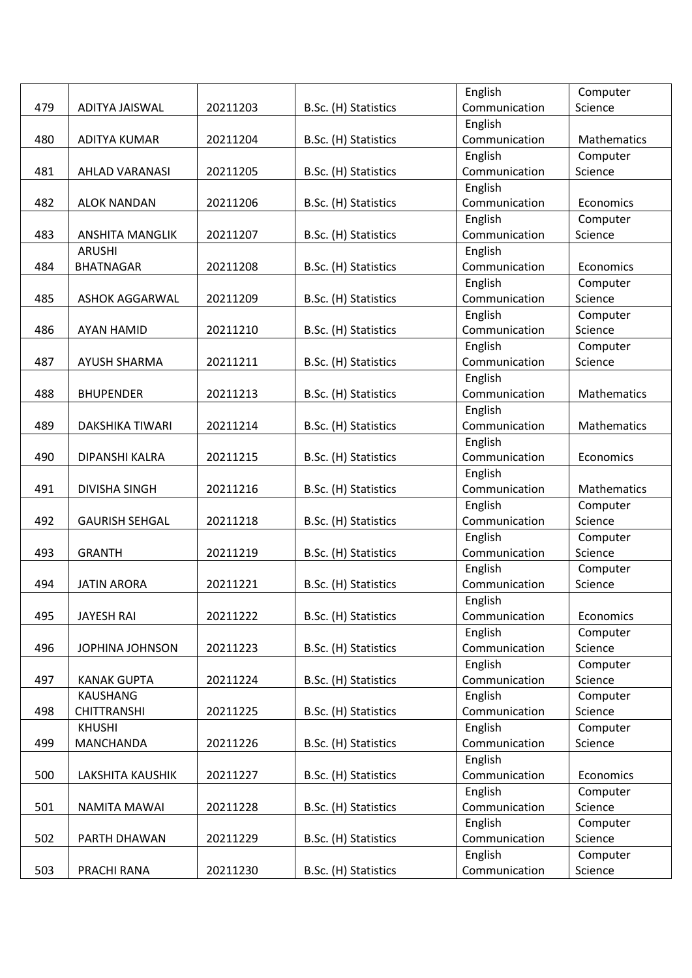|     |                        |          |                      | English       | Computer    |
|-----|------------------------|----------|----------------------|---------------|-------------|
| 479 | ADITYA JAISWAL         | 20211203 | B.Sc. (H) Statistics | Communication | Science     |
|     |                        |          |                      | English       |             |
| 480 | <b>ADITYA KUMAR</b>    | 20211204 | B.Sc. (H) Statistics | Communication | Mathematics |
|     |                        |          |                      | English       | Computer    |
| 481 | <b>AHLAD VARANASI</b>  | 20211205 | B.Sc. (H) Statistics | Communication | Science     |
|     |                        |          |                      | English       |             |
| 482 | <b>ALOK NANDAN</b>     | 20211206 | B.Sc. (H) Statistics | Communication | Economics   |
|     |                        |          |                      | English       | Computer    |
| 483 | <b>ANSHITA MANGLIK</b> | 20211207 | B.Sc. (H) Statistics | Communication | Science     |
|     | <b>ARUSHI</b>          |          |                      | English       |             |
| 484 | <b>BHATNAGAR</b>       | 20211208 | B.Sc. (H) Statistics | Communication | Economics   |
|     |                        |          |                      | English       | Computer    |
| 485 | <b>ASHOK AGGARWAL</b>  | 20211209 | B.Sc. (H) Statistics | Communication | Science     |
|     |                        |          |                      | English       | Computer    |
| 486 | <b>AYAN HAMID</b>      | 20211210 | B.Sc. (H) Statistics | Communication | Science     |
|     |                        |          |                      | English       | Computer    |
| 487 | <b>AYUSH SHARMA</b>    | 20211211 | B.Sc. (H) Statistics | Communication | Science     |
|     |                        |          |                      | English       |             |
| 488 | <b>BHUPENDER</b>       | 20211213 | B.Sc. (H) Statistics | Communication | Mathematics |
|     |                        |          |                      | English       |             |
| 489 | DAKSHIKA TIWARI        | 20211214 | B.Sc. (H) Statistics | Communication | Mathematics |
|     |                        |          |                      | English       |             |
| 490 | DIPANSHI KALRA         | 20211215 | B.Sc. (H) Statistics | Communication | Economics   |
|     |                        |          |                      | English       |             |
| 491 | <b>DIVISHA SINGH</b>   | 20211216 | B.Sc. (H) Statistics | Communication | Mathematics |
|     |                        |          |                      | English       | Computer    |
| 492 | <b>GAURISH SEHGAL</b>  | 20211218 | B.Sc. (H) Statistics | Communication | Science     |
|     |                        |          |                      | English       | Computer    |
| 493 | <b>GRANTH</b>          | 20211219 | B.Sc. (H) Statistics | Communication | Science     |
|     |                        |          |                      | English       | Computer    |
| 494 | <b>JATIN ARORA</b>     | 20211221 | B.Sc. (H) Statistics | Communication | Science     |
|     |                        |          |                      | English       |             |
| 495 | <b>JAYESH RAI</b>      | 20211222 | B.Sc. (H) Statistics | Communication | Economics   |
|     |                        |          |                      | English       | Computer    |
| 496 | JOPHINA JOHNSON        | 20211223 | B.Sc. (H) Statistics | Communication | Science     |
|     |                        |          |                      | English       | Computer    |
| 497 | <b>KANAK GUPTA</b>     | 20211224 | B.Sc. (H) Statistics | Communication | Science     |
|     | <b>KAUSHANG</b>        |          |                      | English       | Computer    |
| 498 | <b>CHITTRANSHI</b>     | 20211225 | B.Sc. (H) Statistics | Communication | Science     |
|     | <b>KHUSHI</b>          |          |                      | English       | Computer    |
| 499 | MANCHANDA              | 20211226 | B.Sc. (H) Statistics | Communication | Science     |
|     |                        |          |                      | English       |             |
| 500 | LAKSHITA KAUSHIK       | 20211227 | B.Sc. (H) Statistics | Communication | Economics   |
|     |                        |          |                      | English       | Computer    |
| 501 | NAMITA MAWAI           | 20211228 | B.Sc. (H) Statistics | Communication | Science     |
|     |                        |          |                      | English       | Computer    |
| 502 | PARTH DHAWAN           | 20211229 | B.Sc. (H) Statistics | Communication | Science     |
|     |                        |          |                      | English       | Computer    |
| 503 | PRACHI RANA            | 20211230 | B.Sc. (H) Statistics | Communication | Science     |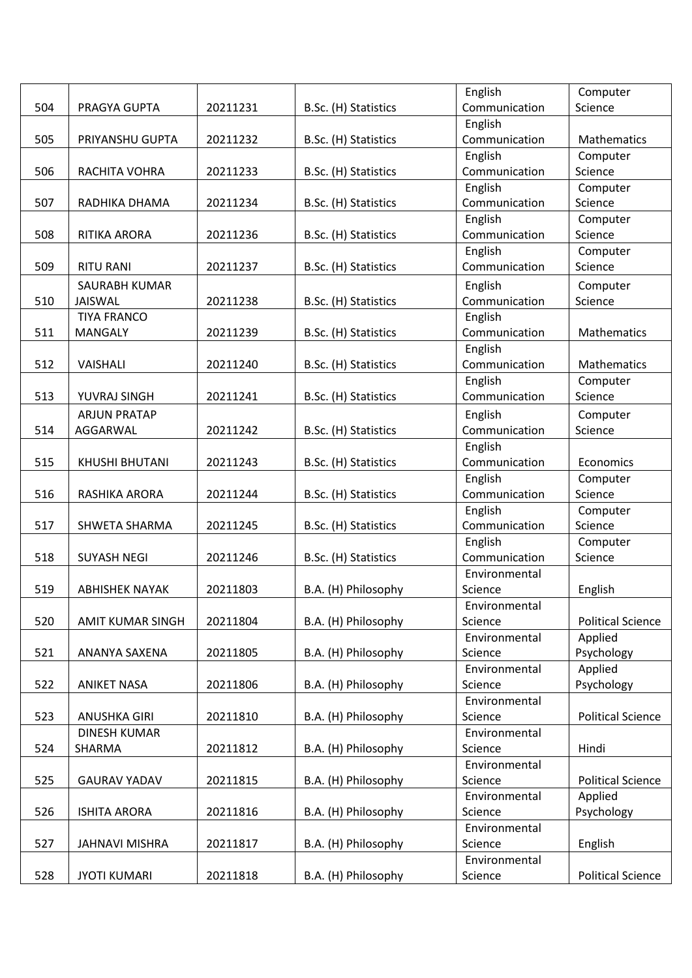|     |                       |          |                      | English                  | Computer                 |
|-----|-----------------------|----------|----------------------|--------------------------|--------------------------|
| 504 | PRAGYA GUPTA          | 20211231 | B.Sc. (H) Statistics | Communication            | Science                  |
|     |                       |          |                      | English                  |                          |
| 505 | PRIYANSHU GUPTA       | 20211232 | B.Sc. (H) Statistics | Communication            | <b>Mathematics</b>       |
|     |                       |          |                      | English                  | Computer                 |
| 506 | RACHITA VOHRA         | 20211233 | B.Sc. (H) Statistics | Communication            | Science                  |
|     |                       |          |                      | English                  | Computer                 |
| 507 | RADHIKA DHAMA         | 20211234 | B.Sc. (H) Statistics | Communication            | Science                  |
|     |                       |          |                      | English                  | Computer                 |
| 508 | RITIKA ARORA          | 20211236 | B.Sc. (H) Statistics | Communication            | Science                  |
|     |                       |          |                      | English                  | Computer                 |
| 509 | <b>RITU RANI</b>      | 20211237 | B.Sc. (H) Statistics | Communication            | Science                  |
|     | SAURABH KUMAR         |          |                      | English                  | Computer                 |
| 510 | <b>JAISWAL</b>        | 20211238 | B.Sc. (H) Statistics | Communication            | Science                  |
|     | <b>TIYA FRANCO</b>    |          |                      | English                  |                          |
| 511 | <b>MANGALY</b>        | 20211239 | B.Sc. (H) Statistics | Communication            | Mathematics              |
|     |                       |          |                      | English                  |                          |
| 512 | <b>VAISHALI</b>       | 20211240 | B.Sc. (H) Statistics | Communication            | Mathematics              |
|     |                       |          |                      |                          |                          |
| 513 |                       |          | B.Sc. (H) Statistics | English<br>Communication | Computer<br>Science      |
|     | YUVRAJ SINGH          | 20211241 |                      |                          |                          |
|     | <b>ARJUN PRATAP</b>   |          |                      | English                  | Computer                 |
| 514 | AGGARWAL              | 20211242 | B.Sc. (H) Statistics | Communication            | Science                  |
|     |                       |          |                      | English                  |                          |
| 515 | <b>KHUSHI BHUTANI</b> | 20211243 | B.Sc. (H) Statistics | Communication            | Economics                |
|     |                       |          |                      | English                  | Computer                 |
| 516 | RASHIKA ARORA         | 20211244 | B.Sc. (H) Statistics | Communication            | Science                  |
|     |                       |          |                      | English                  | Computer                 |
| 517 | SHWETA SHARMA         | 20211245 | B.Sc. (H) Statistics | Communication            | Science                  |
|     |                       |          |                      | English                  | Computer                 |
| 518 | <b>SUYASH NEGI</b>    | 20211246 | B.Sc. (H) Statistics | Communication            | Science                  |
|     |                       |          |                      | Environmental            |                          |
| 519 | <b>ABHISHEK NAYAK</b> | 20211803 | B.A. (H) Philosophy  | Science                  | English                  |
|     |                       |          |                      | Environmental            |                          |
| 520 | AMIT KUMAR SINGH      | 20211804 | B.A. (H) Philosophy  | Science                  | <b>Political Science</b> |
|     |                       |          |                      | Environmental            | Applied                  |
| 521 | ANANYA SAXENA         | 20211805 | B.A. (H) Philosophy  | Science                  | Psychology               |
|     |                       |          |                      | Environmental            | Applied                  |
| 522 | <b>ANIKET NASA</b>    | 20211806 | B.A. (H) Philosophy  | Science                  | Psychology               |
|     |                       |          |                      | Environmental            |                          |
| 523 | <b>ANUSHKA GIRI</b>   | 20211810 | B.A. (H) Philosophy  | Science                  | <b>Political Science</b> |
|     | <b>DINESH KUMAR</b>   |          |                      | Environmental            |                          |
| 524 | SHARMA                | 20211812 | B.A. (H) Philosophy  | Science                  | Hindi                    |
|     |                       |          |                      | Environmental            |                          |
| 525 | <b>GAURAV YADAV</b>   | 20211815 | B.A. (H) Philosophy  | Science                  | <b>Political Science</b> |
|     |                       |          |                      | Environmental            | Applied                  |
| 526 | <b>ISHITA ARORA</b>   | 20211816 | B.A. (H) Philosophy  | Science                  | Psychology               |
|     |                       |          |                      | Environmental            |                          |
| 527 | JAHNAVI MISHRA        | 20211817 | B.A. (H) Philosophy  | Science                  | English                  |
|     |                       |          |                      | Environmental            |                          |
| 528 | <b>JYOTI KUMARI</b>   | 20211818 | B.A. (H) Philosophy  | Science                  | <b>Political Science</b> |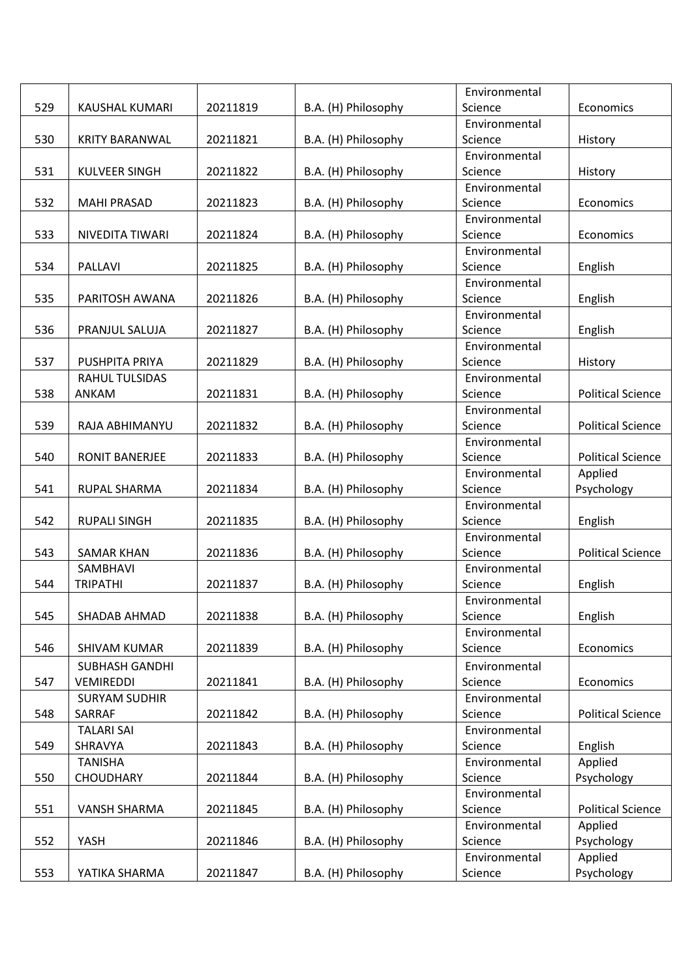|     |                       |          |                     | Environmental |                          |
|-----|-----------------------|----------|---------------------|---------------|--------------------------|
| 529 | KAUSHAL KUMARI        | 20211819 | B.A. (H) Philosophy | Science       | Economics                |
|     |                       |          |                     | Environmental |                          |
| 530 | <b>KRITY BARANWAL</b> | 20211821 | B.A. (H) Philosophy | Science       | History                  |
|     |                       |          |                     | Environmental |                          |
| 531 | <b>KULVEER SINGH</b>  | 20211822 | B.A. (H) Philosophy | Science       | History                  |
|     |                       |          |                     | Environmental |                          |
| 532 | <b>MAHI PRASAD</b>    | 20211823 | B.A. (H) Philosophy | Science       | Economics                |
|     |                       |          |                     | Environmental |                          |
| 533 | NIVEDITA TIWARI       | 20211824 | B.A. (H) Philosophy | Science       | Economics                |
|     |                       |          |                     | Environmental |                          |
| 534 | <b>PALLAVI</b>        | 20211825 | B.A. (H) Philosophy | Science       | English                  |
|     |                       |          |                     | Environmental |                          |
| 535 | PARITOSH AWANA        | 20211826 | B.A. (H) Philosophy | Science       | English                  |
|     |                       |          |                     | Environmental |                          |
| 536 | PRANJUL SALUJA        | 20211827 | B.A. (H) Philosophy | Science       | English                  |
|     |                       |          |                     | Environmental |                          |
| 537 | PUSHPITA PRIYA        | 20211829 | B.A. (H) Philosophy | Science       | History                  |
|     | <b>RAHUL TULSIDAS</b> |          |                     | Environmental |                          |
| 538 | ANKAM                 | 20211831 | B.A. (H) Philosophy | Science       | <b>Political Science</b> |
|     |                       |          |                     | Environmental |                          |
| 539 | RAJA ABHIMANYU        | 20211832 | B.A. (H) Philosophy | Science       | <b>Political Science</b> |
|     |                       |          |                     | Environmental |                          |
| 540 | <b>RONIT BANERJEE</b> | 20211833 | B.A. (H) Philosophy | Science       | <b>Political Science</b> |
|     |                       |          |                     | Environmental |                          |
|     |                       | 20211834 |                     |               | Applied                  |
| 541 | RUPAL SHARMA          |          | B.A. (H) Philosophy | Science       | Psychology               |
|     |                       |          |                     | Environmental |                          |
| 542 | <b>RUPALI SINGH</b>   | 20211835 | B.A. (H) Philosophy | Science       | English                  |
|     |                       |          |                     | Environmental |                          |
| 543 | <b>SAMAR KHAN</b>     | 20211836 | B.A. (H) Philosophy | Science       | <b>Political Science</b> |
|     | SAMBHAVI              |          |                     | Environmental |                          |
| 544 | <b>TRIPATHI</b>       | 20211837 | B.A. (H) Philosophy | Science       | English                  |
|     |                       |          |                     | Environmental |                          |
| 545 | SHADAB AHMAD          | 20211838 | B.A. (H) Philosophy | Science       | English                  |
|     |                       |          |                     | Environmental |                          |
| 546 | SHIVAM KUMAR          | 20211839 | B.A. (H) Philosophy | Science       | Economics                |
|     | <b>SUBHASH GANDHI</b> |          |                     | Environmental |                          |
| 547 | <b>VEMIREDDI</b>      | 20211841 | B.A. (H) Philosophy | Science       | Economics                |
|     | <b>SURYAM SUDHIR</b>  |          |                     | Environmental |                          |
| 548 | SARRAF                | 20211842 | B.A. (H) Philosophy | Science       | <b>Political Science</b> |
|     | <b>TALARI SAI</b>     |          |                     | Environmental |                          |
| 549 | SHRAVYA               | 20211843 | B.A. (H) Philosophy | Science       | English                  |
|     | <b>TANISHA</b>        |          |                     | Environmental | Applied                  |
| 550 | <b>CHOUDHARY</b>      | 20211844 | B.A. (H) Philosophy | Science       | Psychology               |
|     |                       |          |                     | Environmental |                          |
| 551 | <b>VANSH SHARMA</b>   | 20211845 | B.A. (H) Philosophy | Science       | <b>Political Science</b> |
|     |                       |          |                     | Environmental | Applied                  |
| 552 | YASH                  | 20211846 | B.A. (H) Philosophy | Science       | Psychology               |
|     |                       |          |                     | Environmental | Applied                  |
| 553 | YATIKA SHARMA         | 20211847 | B.A. (H) Philosophy | Science       | Psychology               |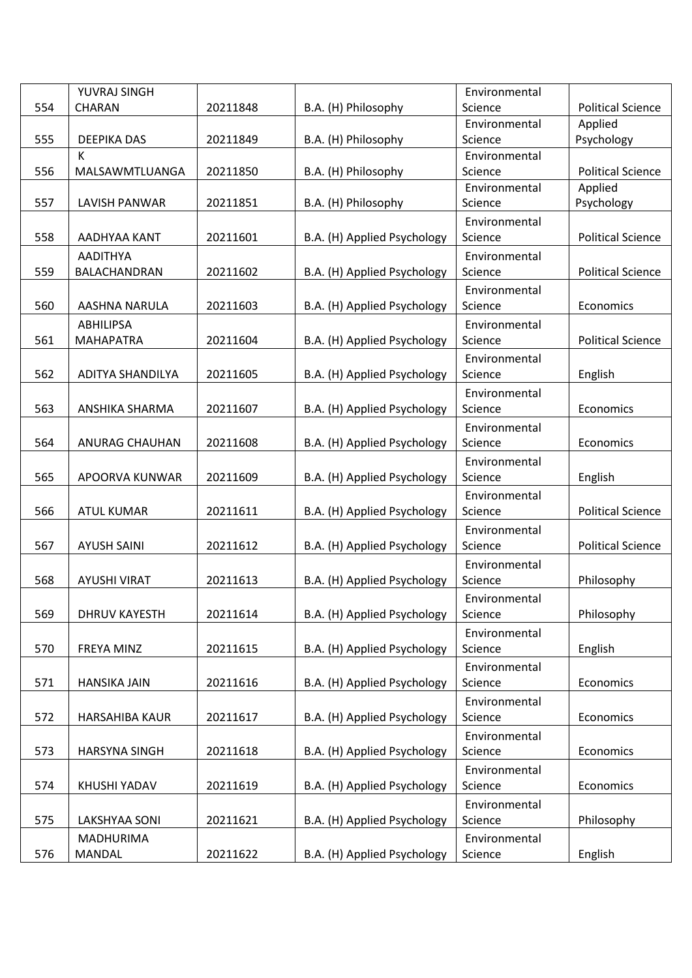|     | YUVRAJ SINGH         |          |                             | Environmental            |                          |
|-----|----------------------|----------|-----------------------------|--------------------------|--------------------------|
| 554 | CHARAN               | 20211848 | B.A. (H) Philosophy         | Science                  | <b>Political Science</b> |
|     |                      |          |                             | Environmental            | Applied                  |
| 555 | DEEPIKA DAS          | 20211849 | B.A. (H) Philosophy         | Science                  | Psychology               |
|     | К                    |          |                             | Environmental            |                          |
| 556 | MALSAWMTLUANGA       | 20211850 | B.A. (H) Philosophy         | Science                  | <b>Political Science</b> |
|     |                      |          |                             | Environmental            | Applied                  |
| 557 | <b>LAVISH PANWAR</b> | 20211851 | B.A. (H) Philosophy         | Science                  | Psychology               |
|     |                      |          |                             | Environmental            |                          |
| 558 | AADHYAA KANT         | 20211601 | B.A. (H) Applied Psychology | Science                  | <b>Political Science</b> |
|     | <b>AADITHYA</b>      |          |                             | Environmental            |                          |
| 559 | BALACHANDRAN         | 20211602 | B.A. (H) Applied Psychology | Science                  | <b>Political Science</b> |
|     |                      |          |                             | Environmental            |                          |
| 560 | AASHNA NARULA        | 20211603 | B.A. (H) Applied Psychology | Science                  | Economics                |
|     | <b>ABHILIPSA</b>     |          |                             | Environmental            |                          |
| 561 | <b>MAHAPATRA</b>     | 20211604 | B.A. (H) Applied Psychology | Science                  | <b>Political Science</b> |
|     |                      |          |                             | Environmental            |                          |
| 562 | ADITYA SHANDILYA     | 20211605 | B.A. (H) Applied Psychology | Science                  | English                  |
|     |                      |          |                             | Environmental            |                          |
| 563 | ANSHIKA SHARMA       | 20211607 | B.A. (H) Applied Psychology | Science                  | Economics                |
|     |                      |          |                             | Environmental            |                          |
| 564 | ANURAG CHAUHAN       | 20211608 | B.A. (H) Applied Psychology | Science                  | Economics                |
|     |                      |          |                             | Environmental            |                          |
| 565 | APOORVA KUNWAR       | 20211609 | B.A. (H) Applied Psychology | Science                  | English                  |
|     |                      |          |                             | Environmental            |                          |
| 566 | <b>ATUL KUMAR</b>    | 20211611 | B.A. (H) Applied Psychology | Science                  | <b>Political Science</b> |
|     |                      |          |                             |                          |                          |
| 567 | <b>AYUSH SAINI</b>   | 20211612 | B.A. (H) Applied Psychology | Environmental<br>Science | <b>Political Science</b> |
|     |                      |          |                             |                          |                          |
|     |                      | 20211613 |                             | Environmental            |                          |
| 568 | <b>AYUSHI VIRAT</b>  |          | B.A. (H) Applied Psychology | Science                  | Philosophy               |
|     |                      |          |                             | Environmental            |                          |
| 569 | <b>DHRUV KAYESTH</b> | 20211614 | B.A. (H) Applied Psychology | Science                  | Philosophy               |
|     |                      |          |                             | Environmental            |                          |
| 570 | FREYA MINZ           | 20211615 | B.A. (H) Applied Psychology | Science                  | English                  |
|     |                      |          |                             | Environmental            |                          |
| 571 | HANSIKA JAIN         | 20211616 | B.A. (H) Applied Psychology | Science                  | Economics                |
|     |                      |          |                             | Environmental            |                          |
| 572 | HARSAHIBA KAUR       | 20211617 | B.A. (H) Applied Psychology | Science                  | Economics                |
|     |                      |          |                             | Environmental            |                          |
| 573 | <b>HARSYNA SINGH</b> | 20211618 | B.A. (H) Applied Psychology | Science                  | Economics                |
|     |                      |          |                             | Environmental            |                          |
| 574 | KHUSHI YADAV         | 20211619 | B.A. (H) Applied Psychology | Science                  | Economics                |
|     |                      |          |                             | Environmental            |                          |
| 575 | LAKSHYAA SONI        | 20211621 | B.A. (H) Applied Psychology | Science                  | Philosophy               |
|     | MADHURIMA            |          |                             | Environmental            |                          |
| 576 | MANDAL               | 20211622 | B.A. (H) Applied Psychology | Science                  | English                  |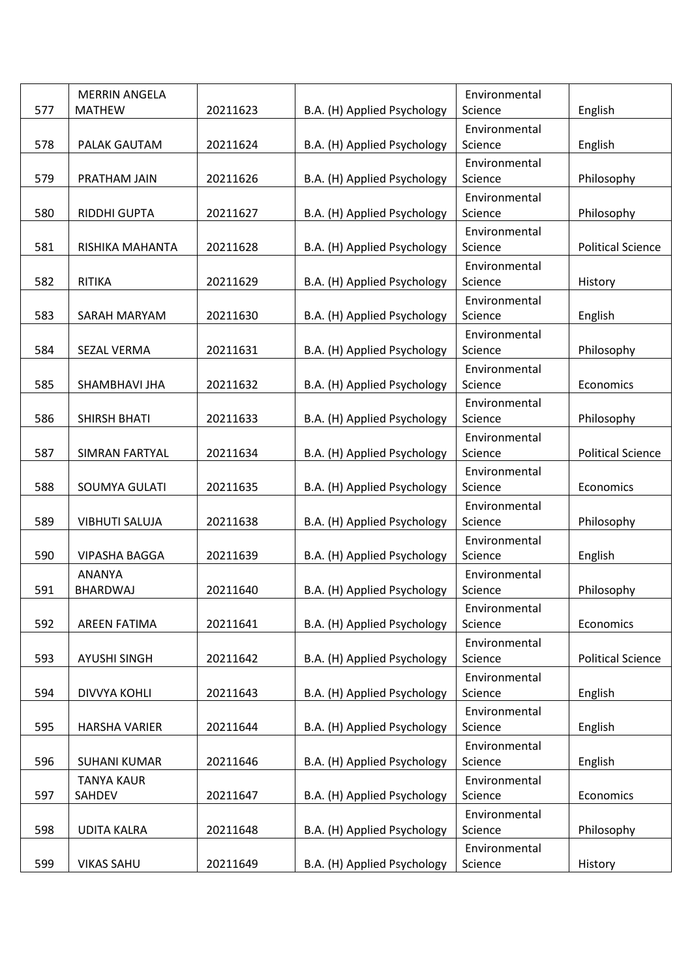|     | <b>MERRIN ANGELA</b>        |          |                             | Environmental            |                          |
|-----|-----------------------------|----------|-----------------------------|--------------------------|--------------------------|
| 577 | <b>MATHEW</b>               | 20211623 | B.A. (H) Applied Psychology | Science                  | English                  |
| 578 | PALAK GAUTAM                | 20211624 | B.A. (H) Applied Psychology | Environmental<br>Science | English                  |
|     |                             |          |                             | Environmental            |                          |
| 579 | PRATHAM JAIN                | 20211626 | B.A. (H) Applied Psychology | Science                  | Philosophy               |
|     |                             |          |                             | Environmental            |                          |
| 580 | RIDDHI GUPTA                | 20211627 | B.A. (H) Applied Psychology | Science                  | Philosophy               |
| 581 | RISHIKA MAHANTA             | 20211628 | B.A. (H) Applied Psychology | Environmental<br>Science | <b>Political Science</b> |
|     |                             |          |                             | Environmental            |                          |
| 582 | <b>RITIKA</b>               | 20211629 | B.A. (H) Applied Psychology | Science                  | History                  |
|     |                             |          |                             | Environmental            |                          |
| 583 | SARAH MARYAM                | 20211630 | B.A. (H) Applied Psychology | Science                  | English                  |
|     |                             |          |                             | Environmental            |                          |
| 584 | SEZAL VERMA                 | 20211631 | B.A. (H) Applied Psychology | Science                  | Philosophy               |
|     |                             |          |                             | Environmental            |                          |
| 585 | SHAMBHAVI JHA               | 20211632 | B.A. (H) Applied Psychology | Science                  | Economics                |
|     |                             |          |                             | Environmental            |                          |
| 586 | SHIRSH BHATI                | 20211633 | B.A. (H) Applied Psychology | Science                  | Philosophy               |
|     |                             |          |                             | Environmental            |                          |
| 587 | SIMRAN FARTYAL              | 20211634 | B.A. (H) Applied Psychology | Science                  | <b>Political Science</b> |
| 588 | SOUMYA GULATI               | 20211635 | B.A. (H) Applied Psychology | Environmental<br>Science | Economics                |
|     |                             |          |                             | Environmental            |                          |
| 589 | <b>VIBHUTI SALUJA</b>       | 20211638 | B.A. (H) Applied Psychology | Science                  | Philosophy               |
|     |                             |          |                             | Environmental            |                          |
| 590 | <b>VIPASHA BAGGA</b>        | 20211639 | B.A. (H) Applied Psychology | Science                  | English                  |
|     | <b>ANANYA</b>               |          |                             | Environmental            |                          |
| 591 | <b>BHARDWAJ</b>             | 20211640 | B.A. (H) Applied Psychology | Science                  | Philosophy               |
|     |                             |          |                             | Environmental            |                          |
| 592 | AREEN FATIMA                | 20211641 | B.A. (H) Applied Psychology | Science                  | Economics                |
|     |                             |          |                             | Environmental            |                          |
| 593 | <b>AYUSHI SINGH</b>         | 20211642 | B.A. (H) Applied Psychology | Science                  | <b>Political Science</b> |
|     |                             |          |                             | Environmental            |                          |
| 594 | <b>DIVVYA KOHLI</b>         | 20211643 | B.A. (H) Applied Psychology | Science                  | English                  |
|     |                             |          |                             | Environmental            |                          |
| 595 | <b>HARSHA VARIER</b>        | 20211644 | B.A. (H) Applied Psychology | Science                  | English                  |
| 596 | <b>SUHANI KUMAR</b>         | 20211646 | B.A. (H) Applied Psychology | Environmental<br>Science | English                  |
|     |                             |          |                             |                          |                          |
| 597 | <b>TANYA KAUR</b><br>SAHDEV | 20211647 | B.A. (H) Applied Psychology | Environmental<br>Science | Economics                |
|     |                             |          |                             | Environmental            |                          |
| 598 | <b>UDITA KALRA</b>          | 20211648 | B.A. (H) Applied Psychology | Science                  | Philosophy               |
|     |                             |          |                             | Environmental            |                          |
| 599 | <b>VIKAS SAHU</b>           | 20211649 | B.A. (H) Applied Psychology | Science                  | History                  |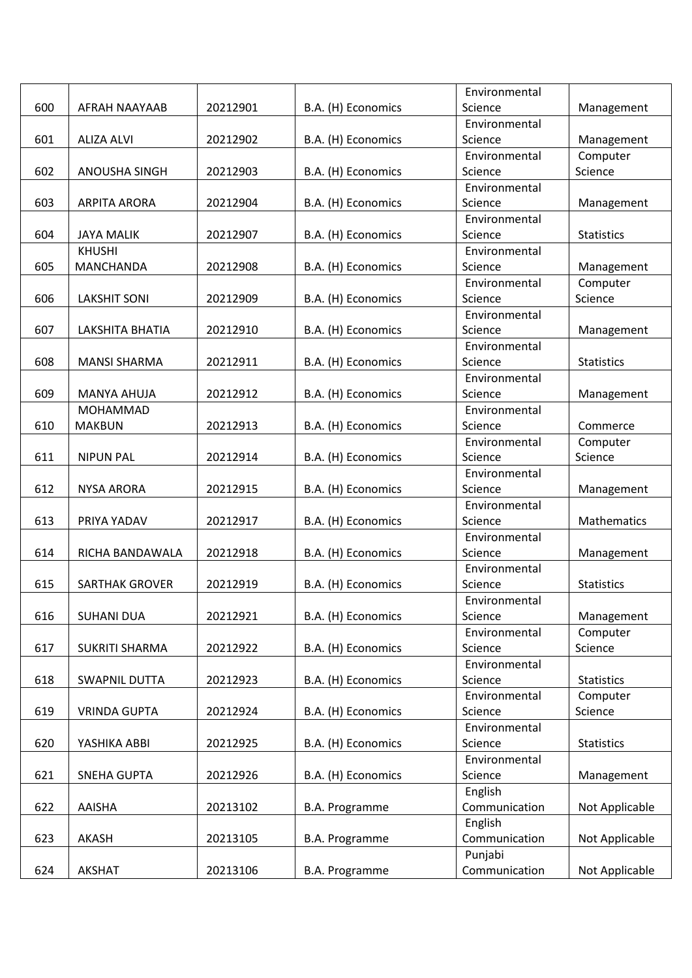|     |                       |          |                    | Environmental            |                   |
|-----|-----------------------|----------|--------------------|--------------------------|-------------------|
| 600 | AFRAH NAAYAAB         | 20212901 | B.A. (H) Economics | Science                  | Management        |
|     |                       |          |                    | Environmental            |                   |
| 601 | <b>ALIZA ALVI</b>     | 20212902 | B.A. (H) Economics | Science                  | Management        |
|     |                       |          |                    | Environmental            | Computer          |
| 602 | ANOUSHA SINGH         | 20212903 | B.A. (H) Economics | Science                  | Science           |
|     |                       |          |                    | Environmental            |                   |
| 603 | <b>ARPITA ARORA</b>   | 20212904 | B.A. (H) Economics | Science                  | Management        |
|     |                       |          |                    | Environmental            |                   |
| 604 | <b>JAYA MALIK</b>     | 20212907 | B.A. (H) Economics | Science                  | <b>Statistics</b> |
|     | <b>KHUSHI</b>         |          |                    | Environmental            |                   |
| 605 | <b>MANCHANDA</b>      | 20212908 | B.A. (H) Economics | Science                  | Management        |
|     |                       |          |                    | Environmental            | Computer          |
| 606 | <b>LAKSHIT SONI</b>   | 20212909 | B.A. (H) Economics | Science                  | Science           |
|     |                       |          |                    | Environmental            |                   |
| 607 | LAKSHITA BHATIA       | 20212910 | B.A. (H) Economics | Science                  | Management        |
|     |                       |          |                    | Environmental            |                   |
| 608 | <b>MANSI SHARMA</b>   | 20212911 | B.A. (H) Economics | Science                  | <b>Statistics</b> |
|     |                       |          |                    | Environmental            |                   |
| 609 | <b>MANYA AHUJA</b>    | 20212912 | B.A. (H) Economics | Science                  | Management        |
|     | <b>MOHAMMAD</b>       |          |                    | Environmental            |                   |
| 610 | <b>MAKBUN</b>         | 20212913 | B.A. (H) Economics | Science                  | Commerce          |
|     |                       |          |                    | Environmental            | Computer          |
| 611 | <b>NIPUN PAL</b>      | 20212914 | B.A. (H) Economics | Science                  | Science           |
|     |                       |          |                    | Environmental            |                   |
| 612 | <b>NYSA ARORA</b>     | 20212915 | B.A. (H) Economics | Science                  | Management        |
| 613 | PRIYA YADAV           | 20212917 | B.A. (H) Economics | Environmental<br>Science | Mathematics       |
|     |                       |          |                    | Environmental            |                   |
| 614 | RICHA BANDAWALA       | 20212918 | B.A. (H) Economics | Science                  | Management        |
|     |                       |          |                    | Environmental            |                   |
| 615 | <b>SARTHAK GROVER</b> | 20212919 | B.A. (H) Economics | Science                  | Statistics        |
|     |                       |          |                    | Environmental            |                   |
| 616 | <b>SUHANI DUA</b>     | 20212921 | B.A. (H) Economics | Science                  | Management        |
|     |                       |          |                    | Environmental            | Computer          |
| 617 | <b>SUKRITI SHARMA</b> | 20212922 | B.A. (H) Economics | Science                  | Science           |
|     |                       |          |                    | Environmental            |                   |
| 618 | <b>SWAPNIL DUTTA</b>  | 20212923 | B.A. (H) Economics | Science                  | <b>Statistics</b> |
|     |                       |          |                    | Environmental            | Computer          |
| 619 | <b>VRINDA GUPTA</b>   | 20212924 | B.A. (H) Economics | Science                  | Science           |
|     |                       |          |                    | Environmental            |                   |
| 620 | YASHIKA ABBI          | 20212925 | B.A. (H) Economics | Science                  | <b>Statistics</b> |
|     |                       |          |                    | Environmental            |                   |
| 621 | <b>SNEHA GUPTA</b>    | 20212926 | B.A. (H) Economics | Science                  | Management        |
|     |                       |          |                    | English                  |                   |
| 622 | AAISHA                | 20213102 | B.A. Programme     | Communication            | Not Applicable    |
|     |                       |          |                    | English                  |                   |
| 623 | <b>AKASH</b>          | 20213105 | B.A. Programme     | Communication            | Not Applicable    |
|     |                       |          |                    | Punjabi                  |                   |
| 624 | <b>AKSHAT</b>         | 20213106 | B.A. Programme     | Communication            | Not Applicable    |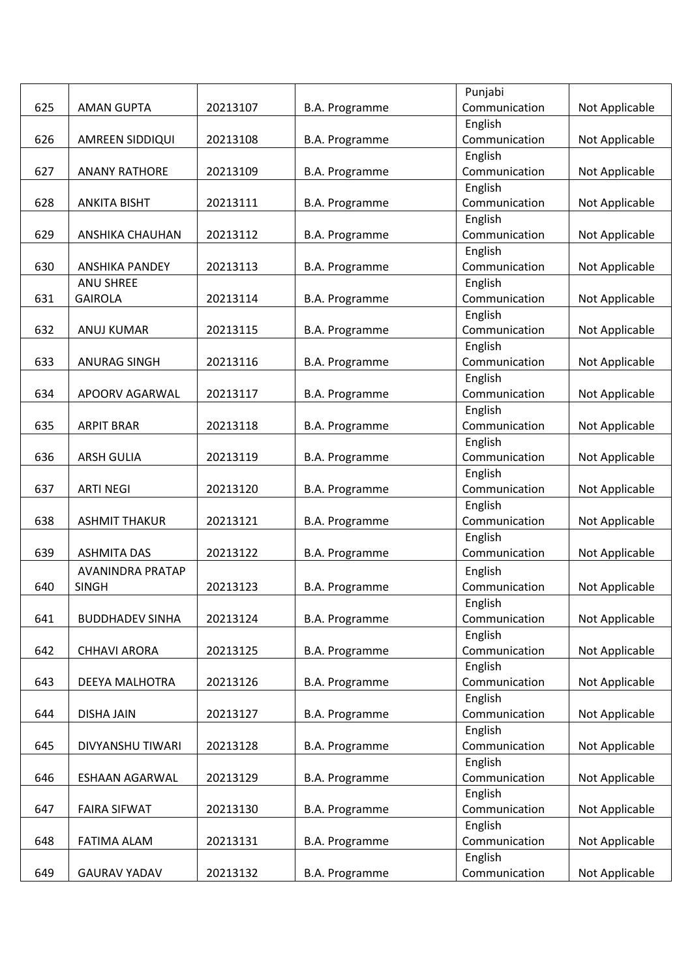|     |                        |          |                       | Punjabi       |                |
|-----|------------------------|----------|-----------------------|---------------|----------------|
| 625 | <b>AMAN GUPTA</b>      | 20213107 | B.A. Programme        | Communication | Not Applicable |
|     |                        |          |                       | English       |                |
| 626 | AMREEN SIDDIQUI        | 20213108 | B.A. Programme        | Communication | Not Applicable |
|     |                        |          |                       | English       |                |
| 627 | <b>ANANY RATHORE</b>   | 20213109 | B.A. Programme        | Communication | Not Applicable |
|     |                        |          |                       | English       |                |
| 628 | <b>ANKITA BISHT</b>    | 20213111 | B.A. Programme        | Communication | Not Applicable |
|     |                        |          |                       | English       |                |
| 629 | <b>ANSHIKA CHAUHAN</b> | 20213112 | B.A. Programme        | Communication | Not Applicable |
|     |                        |          |                       | English       |                |
| 630 | <b>ANSHIKA PANDEY</b>  | 20213113 | B.A. Programme        | Communication | Not Applicable |
|     | <b>ANU SHREE</b>       |          |                       | English       |                |
| 631 | <b>GAIROLA</b>         | 20213114 | B.A. Programme        | Communication | Not Applicable |
|     |                        |          |                       | English       |                |
| 632 | ANUJ KUMAR             | 20213115 | <b>B.A. Programme</b> | Communication | Not Applicable |
|     |                        |          |                       | English       |                |
| 633 | <b>ANURAG SINGH</b>    | 20213116 | B.A. Programme        | Communication | Not Applicable |
|     |                        |          |                       | English       |                |
| 634 | APOORV AGARWAL         | 20213117 | B.A. Programme        | Communication | Not Applicable |
|     |                        |          |                       | English       |                |
| 635 | <b>ARPIT BRAR</b>      | 20213118 | B.A. Programme        | Communication | Not Applicable |
|     |                        |          |                       | English       |                |
| 636 | <b>ARSH GULIA</b>      | 20213119 | B.A. Programme        | Communication | Not Applicable |
|     |                        |          |                       | English       |                |
| 637 | <b>ARTI NEGI</b>       | 20213120 | B.A. Programme        | Communication | Not Applicable |
|     |                        |          |                       | English       |                |
| 638 | <b>ASHMIT THAKUR</b>   | 20213121 | B.A. Programme        | Communication | Not Applicable |
|     |                        |          |                       | English       |                |
| 639 | <b>ASHMITA DAS</b>     | 20213122 | <b>B.A. Programme</b> | Communication | Not Applicable |
|     | AVANINDRA PRATAP       |          |                       | English       |                |
| 640 | <b>SINGH</b>           | 20213123 | B.A. Programme        | Communication | Not Applicable |
|     |                        |          |                       | English       |                |
| 641 | <b>BUDDHADEV SINHA</b> | 20213124 | B.A. Programme        | Communication | Not Applicable |
|     |                        |          |                       | English       |                |
| 642 | <b>CHHAVI ARORA</b>    | 20213125 | B.A. Programme        | Communication | Not Applicable |
|     |                        |          |                       | English       |                |
| 643 | DEEYA MALHOTRA         | 20213126 | B.A. Programme        | Communication | Not Applicable |
|     |                        |          |                       | English       |                |
| 644 | <b>DISHA JAIN</b>      | 20213127 | B.A. Programme        | Communication | Not Applicable |
|     |                        |          |                       | English       |                |
| 645 | DIVYANSHU TIWARI       | 20213128 | B.A. Programme        | Communication | Not Applicable |
|     |                        |          |                       | English       |                |
| 646 | ESHAAN AGARWAL         | 20213129 | B.A. Programme        | Communication | Not Applicable |
|     |                        |          |                       | English       |                |
| 647 | <b>FAIRA SIFWAT</b>    | 20213130 | B.A. Programme        | Communication | Not Applicable |
|     |                        |          |                       | English       |                |
| 648 | FATIMA ALAM            | 20213131 | <b>B.A. Programme</b> | Communication | Not Applicable |
|     |                        |          |                       | English       |                |
| 649 | <b>GAURAV YADAV</b>    | 20213132 | B.A. Programme        | Communication | Not Applicable |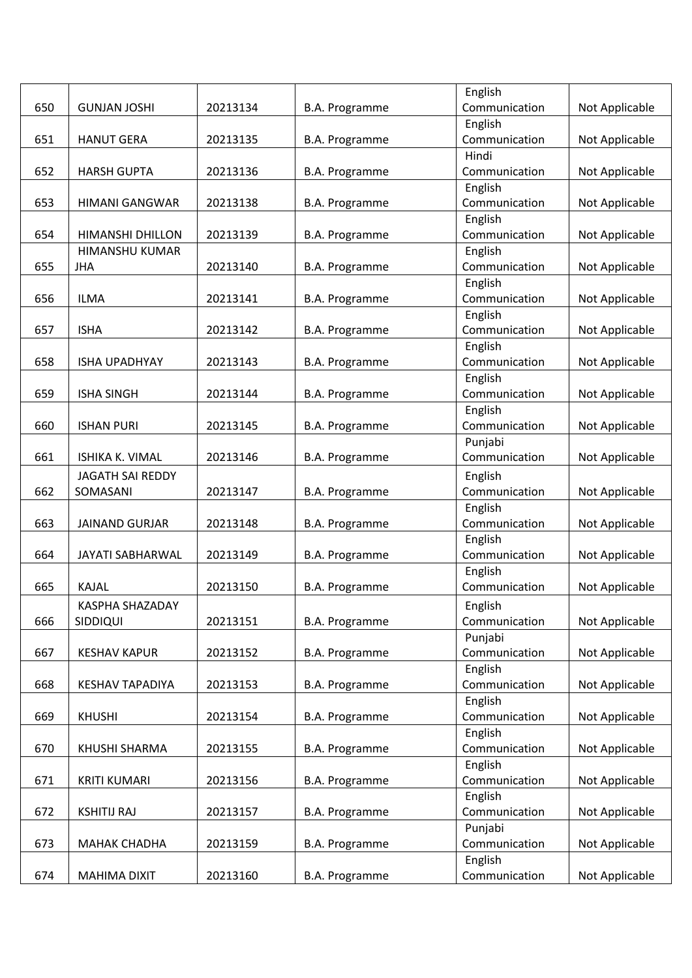|     |                         |          |                       | English       |                |
|-----|-------------------------|----------|-----------------------|---------------|----------------|
| 650 | <b>GUNJAN JOSHI</b>     | 20213134 | B.A. Programme        | Communication | Not Applicable |
|     |                         |          |                       | English       |                |
| 651 | <b>HANUT GERA</b>       | 20213135 | B.A. Programme        | Communication | Not Applicable |
|     |                         |          |                       | Hindi         |                |
| 652 | <b>HARSH GUPTA</b>      | 20213136 | B.A. Programme        | Communication | Not Applicable |
|     |                         |          |                       | English       |                |
| 653 | <b>HIMANI GANGWAR</b>   | 20213138 | B.A. Programme        | Communication | Not Applicable |
|     |                         |          |                       | English       |                |
| 654 | HIMANSHI DHILLON        | 20213139 | B.A. Programme        | Communication | Not Applicable |
|     | HIMANSHU KUMAR          |          |                       | English       |                |
| 655 | <b>JHA</b>              | 20213140 | B.A. Programme        | Communication | Not Applicable |
|     |                         |          |                       | English       |                |
| 656 | <b>ILMA</b>             | 20213141 | B.A. Programme        | Communication | Not Applicable |
|     |                         |          |                       | English       |                |
| 657 | <b>ISHA</b>             | 20213142 | <b>B.A. Programme</b> | Communication | Not Applicable |
|     |                         |          |                       | English       |                |
| 658 | <b>ISHA UPADHYAY</b>    | 20213143 | B.A. Programme        | Communication | Not Applicable |
|     |                         |          |                       | English       |                |
| 659 | <b>ISHA SINGH</b>       | 20213144 | B.A. Programme        | Communication | Not Applicable |
|     |                         |          |                       | English       |                |
| 660 | <b>ISHAN PURI</b>       | 20213145 | B.A. Programme        | Communication | Not Applicable |
|     |                         |          |                       | Punjabi       |                |
| 661 | ISHIKA K. VIMAL         | 20213146 | B.A. Programme        | Communication | Not Applicable |
|     | JAGATH SAI REDDY        |          |                       | English       |                |
| 662 | SOMASANI                | 20213147 | B.A. Programme        | Communication | Not Applicable |
|     |                         |          |                       | English       |                |
| 663 | <b>JAINAND GURJAR</b>   | 20213148 | B.A. Programme        | Communication | Not Applicable |
|     |                         |          |                       | English       |                |
| 664 | <b>JAYATI SABHARWAL</b> | 20213149 | B.A. Programme        | Communication | Not Applicable |
|     |                         |          |                       | English       |                |
| 665 | KAJAL                   | 20213150 | B.A. Programme        | Communication | Not Applicable |
|     |                         |          |                       |               |                |
|     | KASPHA SHAZADAY         |          |                       | English       |                |
| 666 | SIDDIQUI                | 20213151 | B.A. Programme        | Communication | Not Applicable |
|     |                         |          |                       | Punjabi       |                |
| 667 | <b>KESHAV KAPUR</b>     | 20213152 | B.A. Programme        | Communication | Not Applicable |
|     |                         |          |                       | English       |                |
| 668 | <b>KESHAV TAPADIYA</b>  | 20213153 | B.A. Programme        | Communication | Not Applicable |
|     |                         |          |                       | English       |                |
| 669 | <b>KHUSHI</b>           | 20213154 | B.A. Programme        | Communication | Not Applicable |
|     |                         |          |                       | English       |                |
| 670 | KHUSHI SHARMA           | 20213155 | <b>B.A. Programme</b> | Communication | Not Applicable |
|     |                         |          |                       | English       |                |
| 671 | <b>KRITI KUMARI</b>     | 20213156 | B.A. Programme        | Communication | Not Applicable |
|     |                         |          |                       | English       |                |
| 672 | <b>KSHITIJ RAJ</b>      | 20213157 | <b>B.A. Programme</b> | Communication | Not Applicable |
|     |                         |          |                       | Punjabi       |                |
| 673 | <b>MAHAK CHADHA</b>     | 20213159 | B.A. Programme        | Communication | Not Applicable |
|     |                         |          |                       | English       |                |
| 674 | MAHIMA DIXIT            | 20213160 | B.A. Programme        | Communication | Not Applicable |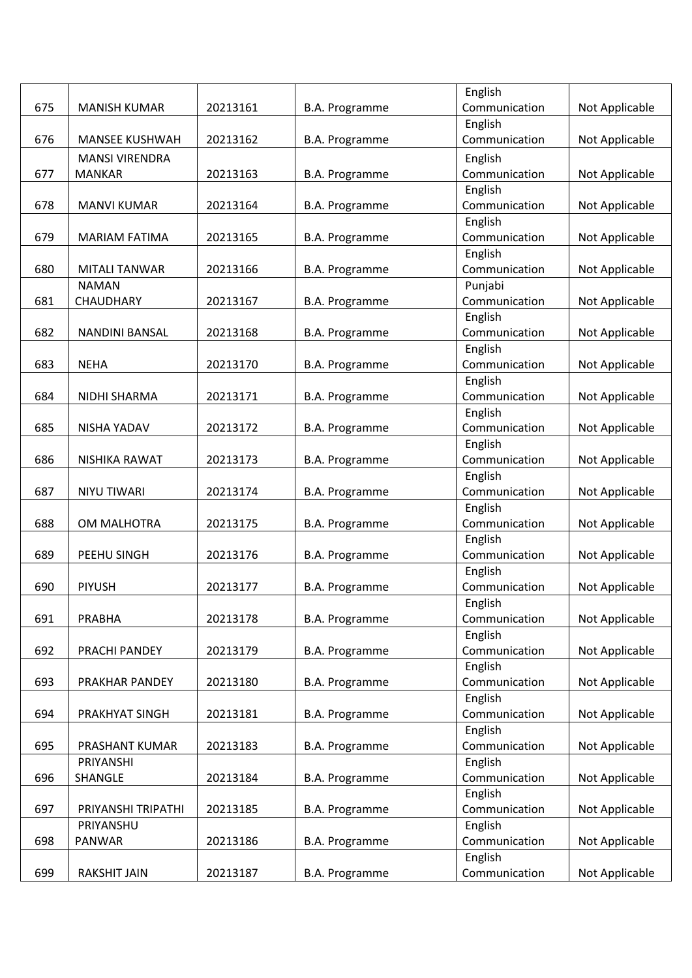|     |                       |          |                       | English       |                |
|-----|-----------------------|----------|-----------------------|---------------|----------------|
| 675 | <b>MANISH KUMAR</b>   | 20213161 | B.A. Programme        | Communication | Not Applicable |
|     |                       |          |                       | English       |                |
| 676 | <b>MANSEE KUSHWAH</b> | 20213162 | B.A. Programme        | Communication | Not Applicable |
|     | <b>MANSI VIRENDRA</b> |          |                       | English       |                |
| 677 | <b>MANKAR</b>         | 20213163 | B.A. Programme        | Communication | Not Applicable |
|     |                       |          |                       | English       |                |
| 678 | <b>MANVI KUMAR</b>    | 20213164 | B.A. Programme        | Communication | Not Applicable |
|     |                       |          |                       | English       |                |
| 679 | <b>MARIAM FATIMA</b>  | 20213165 | B.A. Programme        | Communication | Not Applicable |
|     |                       |          |                       | English       |                |
| 680 | <b>MITALI TANWAR</b>  | 20213166 | B.A. Programme        | Communication | Not Applicable |
|     | <b>NAMAN</b>          |          |                       | Punjabi       |                |
| 681 | CHAUDHARY             | 20213167 | B.A. Programme        | Communication | Not Applicable |
|     |                       |          |                       | English       |                |
| 682 | <b>NANDINI BANSAL</b> | 20213168 | <b>B.A. Programme</b> | Communication | Not Applicable |
|     |                       |          |                       | English       |                |
| 683 | <b>NEHA</b>           | 20213170 | B.A. Programme        | Communication | Not Applicable |
|     |                       |          |                       | English       |                |
| 684 | NIDHI SHARMA          | 20213171 | B.A. Programme        | Communication | Not Applicable |
|     |                       |          |                       | English       |                |
| 685 | NISHA YADAV           | 20213172 | B.A. Programme        | Communication | Not Applicable |
|     |                       |          |                       | English       |                |
| 686 | NISHIKA RAWAT         | 20213173 | B.A. Programme        | Communication | Not Applicable |
|     |                       |          |                       | English       |                |
| 687 | <b>NIYU TIWARI</b>    | 20213174 | B.A. Programme        | Communication | Not Applicable |
|     |                       |          |                       | English       |                |
| 688 | OM MALHOTRA           | 20213175 | B.A. Programme        | Communication | Not Applicable |
|     |                       |          |                       | English       |                |
| 689 | PEEHU SINGH           | 20213176 | <b>B.A. Programme</b> | Communication | Not Applicable |
|     |                       |          |                       | English       |                |
| 690 | <b>PIYUSH</b>         | 20213177 | B.A. Programme        | Communication | Not Applicable |
|     |                       |          |                       | English       |                |
| 691 | PRABHA                | 20213178 | <b>B.A. Programme</b> | Communication | Not Applicable |
|     |                       |          |                       | English       |                |
| 692 | PRACHI PANDEY         | 20213179 | B.A. Programme        | Communication | Not Applicable |
|     |                       |          |                       | English       |                |
| 693 | PRAKHAR PANDEY        | 20213180 | <b>B.A. Programme</b> | Communication | Not Applicable |
|     |                       |          |                       | English       |                |
| 694 | PRAKHYAT SINGH        | 20213181 | <b>B.A. Programme</b> | Communication | Not Applicable |
|     |                       |          |                       | English       |                |
| 695 | PRASHANT KUMAR        | 20213183 | <b>B.A. Programme</b> | Communication | Not Applicable |
|     | PRIYANSHI             |          |                       | English       |                |
| 696 | SHANGLE               | 20213184 | B.A. Programme        | Communication | Not Applicable |
|     |                       |          |                       | English       |                |
| 697 | PRIYANSHI TRIPATHI    | 20213185 | B.A. Programme        | Communication | Not Applicable |
|     | PRIYANSHU             |          |                       | English       |                |
| 698 | PANWAR                | 20213186 | <b>B.A. Programme</b> | Communication | Not Applicable |
|     |                       |          |                       | English       |                |
| 699 | RAKSHIT JAIN          | 20213187 | B.A. Programme        | Communication | Not Applicable |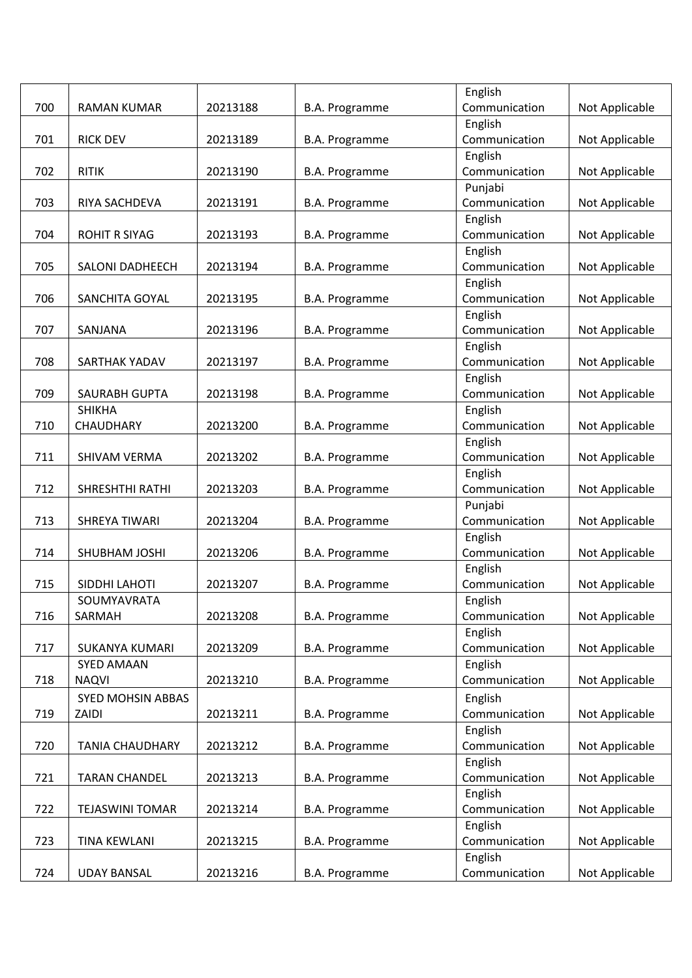|     |                        |          |                       | English       |                |
|-----|------------------------|----------|-----------------------|---------------|----------------|
| 700 | RAMAN KUMAR            | 20213188 | B.A. Programme        | Communication | Not Applicable |
|     |                        |          |                       | English       |                |
| 701 | <b>RICK DEV</b>        | 20213189 | B.A. Programme        | Communication | Not Applicable |
|     |                        |          |                       | English       |                |
| 702 | <b>RITIK</b>           | 20213190 | B.A. Programme        | Communication | Not Applicable |
|     |                        |          |                       | Punjabi       |                |
| 703 | RIYA SACHDEVA          | 20213191 | B.A. Programme        | Communication | Not Applicable |
|     |                        |          |                       | English       |                |
| 704 | <b>ROHIT R SIYAG</b>   | 20213193 | B.A. Programme        | Communication | Not Applicable |
|     |                        |          |                       | English       |                |
| 705 | <b>SALONI DADHEECH</b> | 20213194 | <b>B.A. Programme</b> | Communication | Not Applicable |
|     |                        |          |                       | English       |                |
| 706 | <b>SANCHITA GOYAL</b>  | 20213195 | B.A. Programme        | Communication | Not Applicable |
|     |                        |          |                       | English       |                |
| 707 | SANJANA                | 20213196 | <b>B.A. Programme</b> | Communication | Not Applicable |
|     |                        |          |                       | English       |                |
| 708 | SARTHAK YADAV          | 20213197 | B.A. Programme        | Communication | Not Applicable |
|     |                        |          |                       | English       |                |
| 709 | <b>SAURABH GUPTA</b>   | 20213198 |                       | Communication | Not Applicable |
|     | <b>SHIKHA</b>          |          | B.A. Programme        | English       |                |
| 710 | CHAUDHARY              | 20213200 |                       | Communication |                |
|     |                        |          | B.A. Programme        |               | Not Applicable |
|     |                        |          |                       | English       |                |
| 711 | SHIVAM VERMA           | 20213202 | B.A. Programme        | Communication | Not Applicable |
|     |                        |          |                       | English       |                |
| 712 | SHRESHTHI RATHI        | 20213203 | B.A. Programme        | Communication | Not Applicable |
|     |                        |          |                       | Punjabi       |                |
| 713 | SHREYA TIWARI          | 20213204 | B.A. Programme        | Communication | Not Applicable |
|     |                        |          |                       | English       |                |
| 714 | SHUBHAM JOSHI          | 20213206 | <b>B.A. Programme</b> | Communication | Not Applicable |
|     |                        |          |                       | English       |                |
| 715 | SIDDHI LAHOTI          | 20213207 | <b>B.A. Programme</b> | Communication | Not Applicable |
|     | SOUMYAVRATA            |          |                       | English       |                |
| 716 | SARMAH                 | 20213208 | B.A. Programme        | Communication | Not Applicable |
|     |                        |          |                       | English       |                |
| 717 | <b>SUKANYA KUMARI</b>  | 20213209 | B.A. Programme        | Communication | Not Applicable |
|     | <b>SYED AMAAN</b>      |          |                       | English       |                |
| 718 | <b>NAQVI</b>           | 20213210 | <b>B.A. Programme</b> | Communication | Not Applicable |
|     | SYED MOHSIN ABBAS      |          |                       | English       |                |
| 719 | ZAIDI                  | 20213211 | B.A. Programme        | Communication | Not Applicable |
|     |                        |          |                       | English       |                |
| 720 | <b>TANIA CHAUDHARY</b> | 20213212 | <b>B.A. Programme</b> | Communication | Not Applicable |
|     |                        |          |                       | English       |                |
| 721 | <b>TARAN CHANDEL</b>   | 20213213 | B.A. Programme        | Communication | Not Applicable |
|     |                        |          |                       | English       |                |
| 722 | <b>TEJASWINI TOMAR</b> | 20213214 | B.A. Programme        | Communication | Not Applicable |
|     |                        |          |                       | English       |                |
| 723 | <b>TINA KEWLANI</b>    | 20213215 | <b>B.A. Programme</b> | Communication | Not Applicable |
|     |                        |          |                       | English       |                |
| 724 | <b>UDAY BANSAL</b>     | 20213216 | B.A. Programme        | Communication | Not Applicable |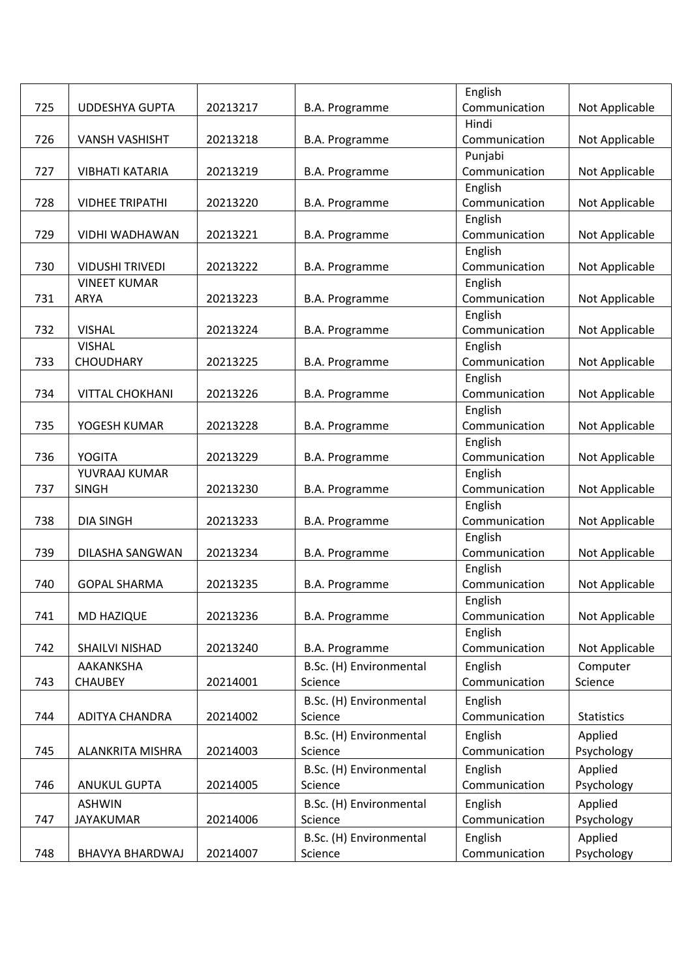|     |                                |          |                         | English                  |                   |
|-----|--------------------------------|----------|-------------------------|--------------------------|-------------------|
| 725 | UDDESHYA GUPTA                 | 20213217 | B.A. Programme          | Communication            | Not Applicable    |
|     |                                |          |                         | Hindi                    |                   |
| 726 | <b>VANSH VASHISHT</b>          | 20213218 | B.A. Programme          | Communication            | Not Applicable    |
|     |                                |          |                         | Punjabi                  |                   |
| 727 | <b>VIBHATI KATARIA</b>         | 20213219 | <b>B.A. Programme</b>   | Communication            | Not Applicable    |
|     |                                |          |                         | English                  |                   |
| 728 | <b>VIDHEE TRIPATHI</b>         | 20213220 | B.A. Programme          | Communication            | Not Applicable    |
|     |                                |          |                         | English                  |                   |
| 729 | VIDHI WADHAWAN                 | 20213221 | B.A. Programme          | Communication            | Not Applicable    |
|     |                                |          |                         | English                  |                   |
| 730 | <b>VIDUSHI TRIVEDI</b>         | 20213222 | B.A. Programme          | Communication            | Not Applicable    |
|     | <b>VINEET KUMAR</b>            |          |                         | English                  |                   |
| 731 | <b>ARYA</b>                    | 20213223 | B.A. Programme          | Communication            | Not Applicable    |
|     |                                |          |                         | English                  |                   |
| 732 | <b>VISHAL</b>                  | 20213224 | B.A. Programme          | Communication            | Not Applicable    |
|     | <b>VISHAL</b>                  |          |                         | English                  |                   |
| 733 | <b>CHOUDHARY</b>               | 20213225 | B.A. Programme          | Communication            | Not Applicable    |
|     |                                |          |                         | English                  |                   |
| 734 | <b>VITTAL CHOKHANI</b>         | 20213226 | B.A. Programme          | Communication            | Not Applicable    |
|     |                                |          |                         | English                  |                   |
| 735 | YOGESH KUMAR                   | 20213228 | B.A. Programme          | Communication            | Not Applicable    |
|     |                                |          |                         | English                  |                   |
| 736 | <b>YOGITA</b><br>YUVRAAJ KUMAR | 20213229 | B.A. Programme          | Communication            | Not Applicable    |
| 737 | <b>SINGH</b>                   | 20213230 | B.A. Programme          | English<br>Communication | Not Applicable    |
|     |                                |          |                         | English                  |                   |
| 738 | <b>DIA SINGH</b>               | 20213233 | B.A. Programme          | Communication            | Not Applicable    |
|     |                                |          |                         | English                  |                   |
| 739 | DILASHA SANGWAN                | 20213234 | <b>B.A. Programme</b>   | Communication            | Not Applicable    |
|     |                                |          |                         | English                  |                   |
| 740 | <b>GOPAL SHARMA</b>            | 20213235 | B.A. Programme          | Communication            | Not Applicable    |
|     |                                |          |                         | English                  |                   |
| 741 | MD HAZIQUE                     | 20213236 | B.A. Programme          | Communication            | Not Applicable    |
|     |                                |          |                         | English                  |                   |
| 742 | SHAILVI NISHAD                 | 20213240 | B.A. Programme          | Communication            | Not Applicable    |
|     | AAKANKSHA                      |          | B.Sc. (H) Environmental | English                  | Computer          |
| 743 | <b>CHAUBEY</b>                 | 20214001 | Science                 | Communication            | Science           |
|     |                                |          | B.Sc. (H) Environmental | English                  |                   |
| 744 | ADITYA CHANDRA                 | 20214002 | Science                 | Communication            | <b>Statistics</b> |
|     |                                |          |                         |                          |                   |
|     |                                |          | B.Sc. (H) Environmental | English                  | Applied           |
| 745 | ALANKRITA MISHRA               | 20214003 | Science                 | Communication            | Psychology        |
|     |                                |          | B.Sc. (H) Environmental | English                  | Applied           |
| 746 | <b>ANUKUL GUPTA</b>            | 20214005 | Science                 | Communication            | Psychology        |
|     | <b>ASHWIN</b>                  |          | B.Sc. (H) Environmental | English                  | Applied           |
| 747 | JAYAKUMAR                      | 20214006 | Science                 | Communication            | Psychology        |
|     |                                |          | B.Sc. (H) Environmental | English                  | Applied           |
| 748 | BHAVYA BHARDWAJ                | 20214007 | Science                 | Communication            | Psychology        |